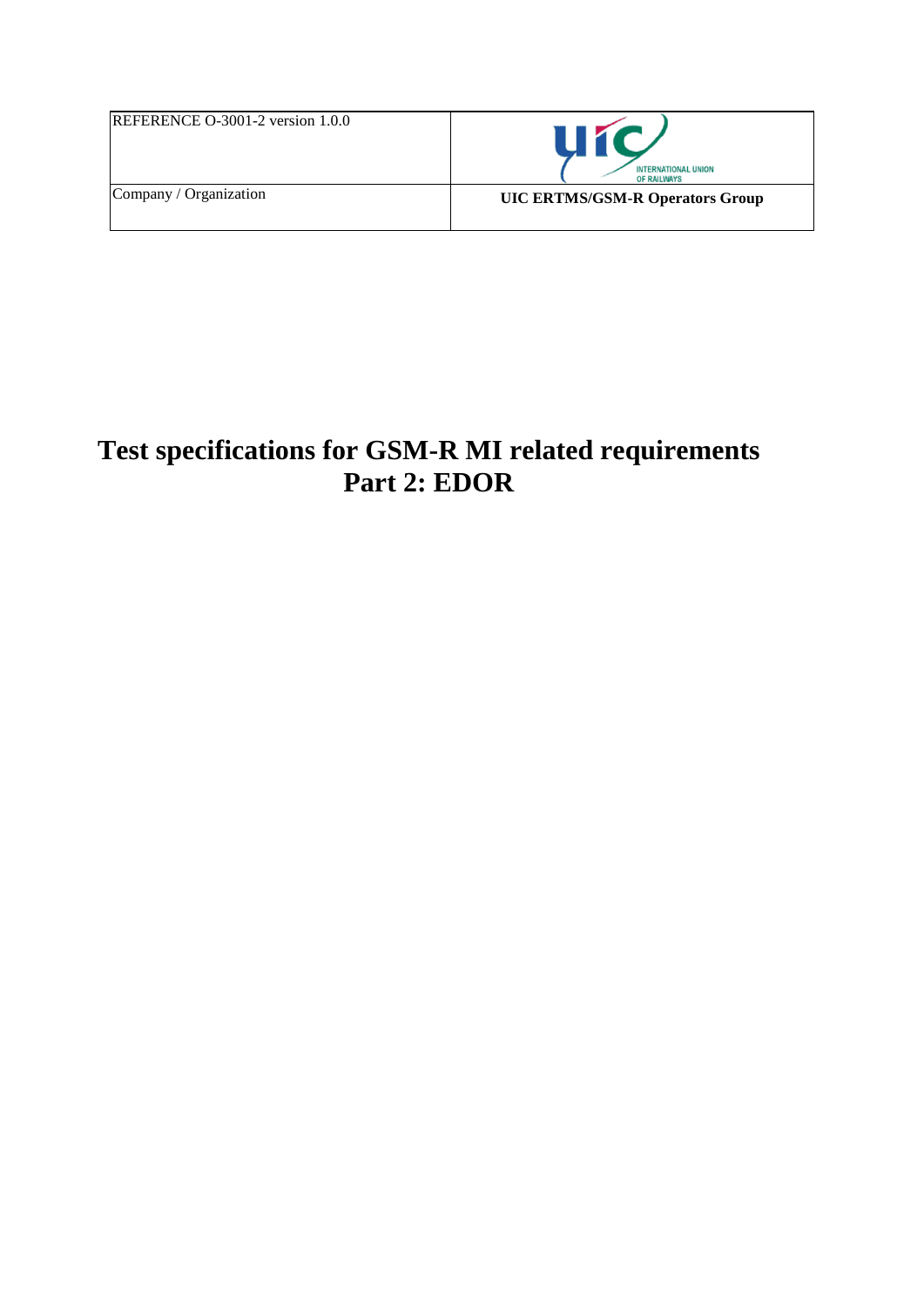| <b>REFERENCE O-3001-2 version <math>1.0.0</math></b> | <b>INTERNATIONAL UNION</b><br><b>OF RAILWAYS</b> |
|------------------------------------------------------|--------------------------------------------------|
| Company / Organization                               | <b>UIC ERTMS/GSM-R Operators Group</b>           |

# **Test specifications for GSM-R MI related requirements Part 2: EDOR**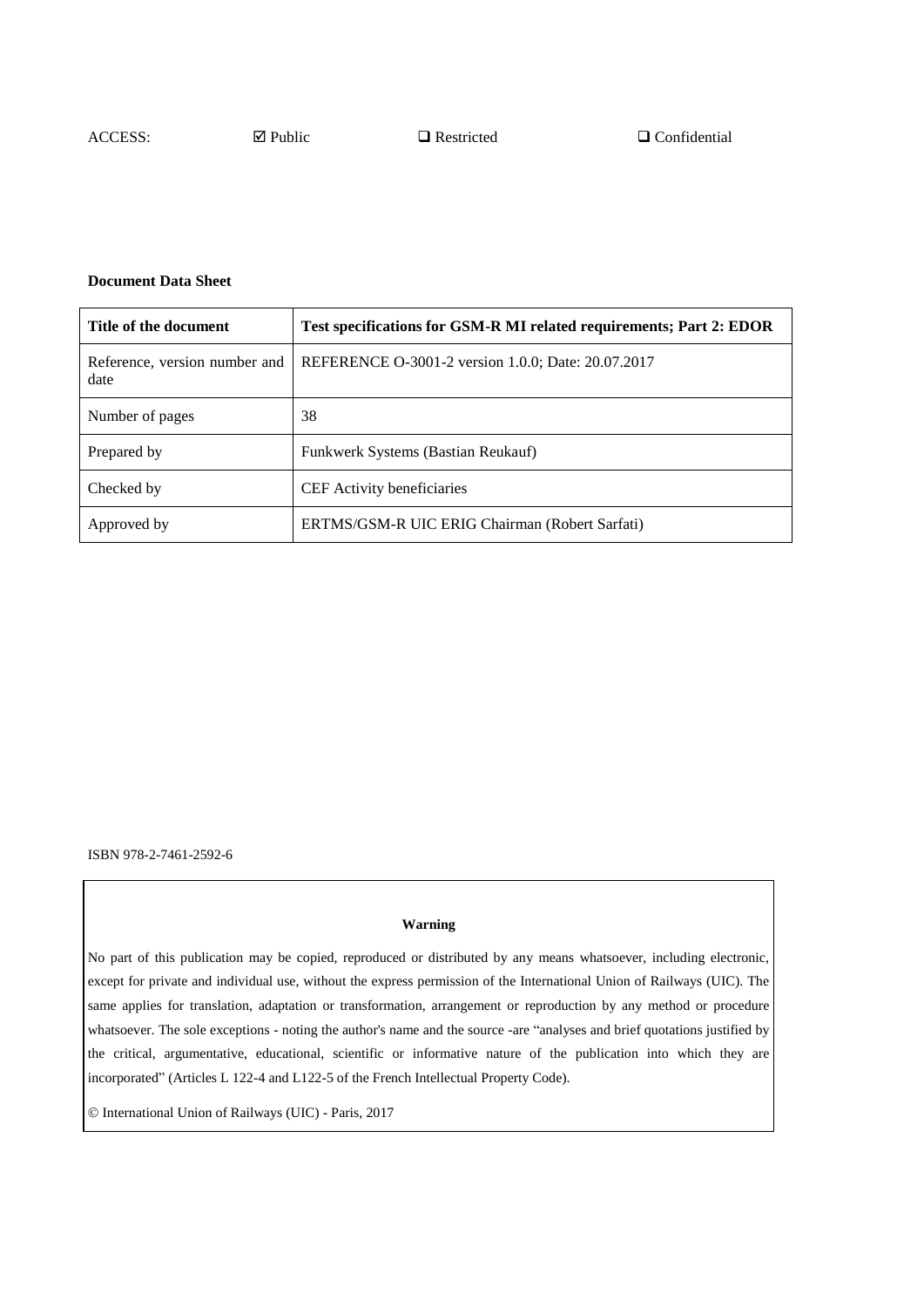#### **Document Data Sheet**

| Title of the document                 | Test specifications for GSM-R MI related requirements; Part 2: EDOR |  |
|---------------------------------------|---------------------------------------------------------------------|--|
| Reference, version number and<br>date | REFERENCE O-3001-2 version 1.0.0; Date: 20.07.2017                  |  |
| Number of pages                       | 38                                                                  |  |
| Prepared by                           | Funkwerk Systems (Bastian Reukauf)                                  |  |
| Checked by                            | <b>CEF</b> Activity beneficiaries                                   |  |
| Approved by                           | ERTMS/GSM-R UIC ERIG Chairman (Robert Sarfati)                      |  |

ISBN 978-2-7461-2592-6

#### **Warning**

No part of this publication may be copied, reproduced or distributed by any means whatsoever, including electronic, except for private and individual use, without the express permission of the International Union of Railways (UIC). The same applies for translation, adaptation or transformation, arrangement or reproduction by any method or procedure whatsoever. The sole exceptions - noting the author's name and the source -are "analyses and brief quotations justified by the critical, argumentative, educational, scientific or informative nature of the publication into which they are incorporated" (Articles L 122-4 and L122-5 of the French Intellectual Property Code).

International Union of Railways (UIC) - Paris, 2017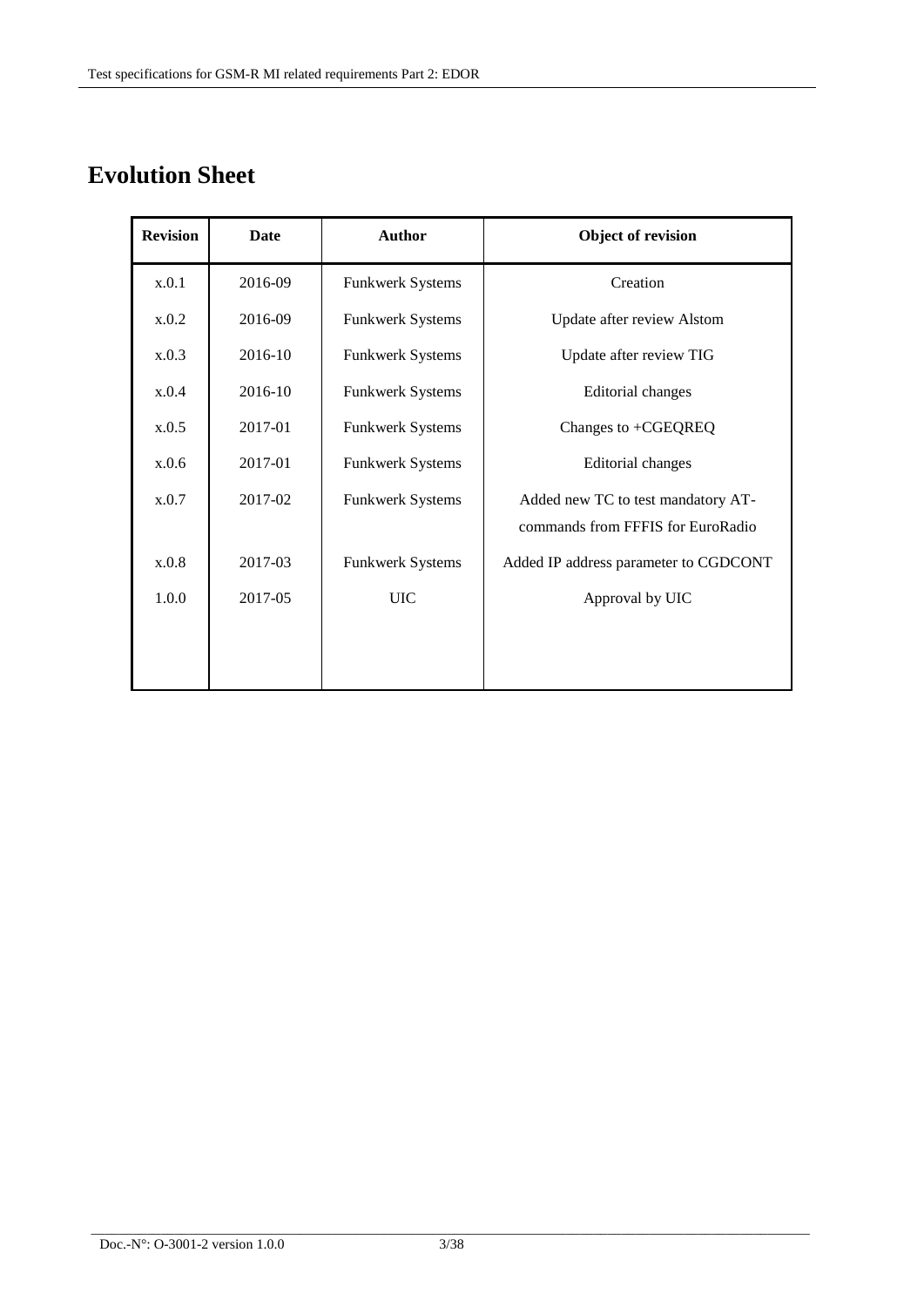# **Evolution Sheet**

| <b>Revision</b> | <b>Date</b> | <b>Author</b>           | Object of revision                    |  |
|-----------------|-------------|-------------------------|---------------------------------------|--|
| x.0.1           | 2016-09     | Funkwerk Systems        | Creation                              |  |
| x.0.2           | 2016-09     | Funkwerk Systems        | Update after review Alstom            |  |
| x.0.3           | 2016-10     | <b>Funkwerk Systems</b> | Update after review TIG               |  |
| x.0.4           | 2016-10     | <b>Funkwerk Systems</b> | Editorial changes                     |  |
| x.0.5           | 2017-01     | <b>Funkwerk Systems</b> | Changes to +CGEQREQ                   |  |
| x.0.6           | 2017-01     | Funkwerk Systems        | Editorial changes                     |  |
| x.0.7           | 2017-02     | Funkwerk Systems        | Added new TC to test mandatory AT-    |  |
|                 |             |                         | commands from FFFIS for EuroRadio     |  |
| x.0.8           | 2017-03     | <b>Funkwerk Systems</b> | Added IP address parameter to CGDCONT |  |
| 1.0.0           | 2017-05     | <b>UIC</b>              | Approval by UIC                       |  |
|                 |             |                         |                                       |  |
|                 |             |                         |                                       |  |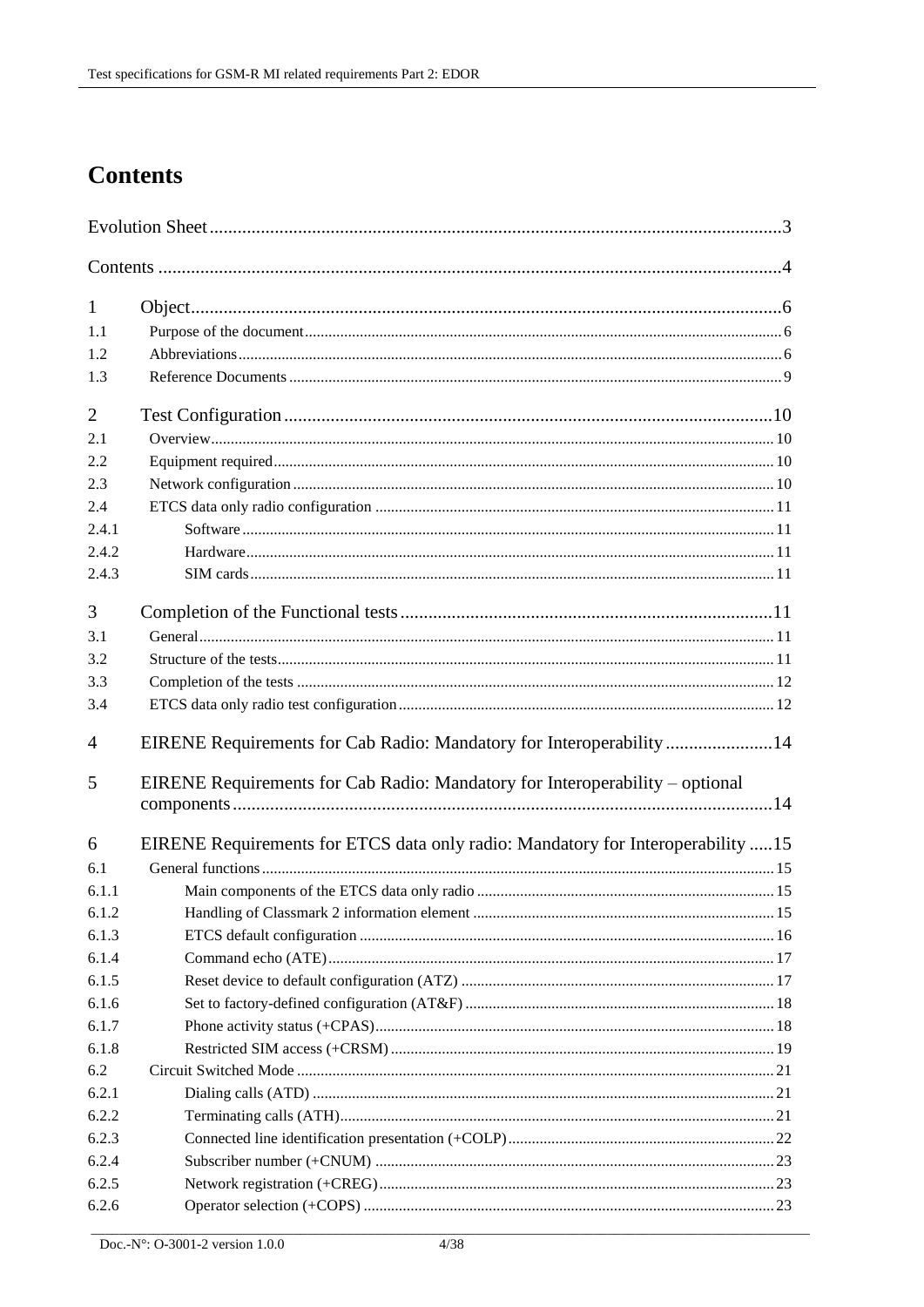# **Contents**

| 1              |                                                                                 |  |
|----------------|---------------------------------------------------------------------------------|--|
| 1.1            |                                                                                 |  |
| 1.2            |                                                                                 |  |
| 1.3            |                                                                                 |  |
| $\overline{2}$ |                                                                                 |  |
| 2.1            |                                                                                 |  |
| 2.2            |                                                                                 |  |
| 2.3            |                                                                                 |  |
| 2.4            |                                                                                 |  |
| 2.4.1          |                                                                                 |  |
| 2.4.2          |                                                                                 |  |
| 2.4.3          |                                                                                 |  |
| 3              |                                                                                 |  |
| 3.1            |                                                                                 |  |
| 3.2            |                                                                                 |  |
| 3.3            |                                                                                 |  |
| 3.4            |                                                                                 |  |
| 4              | EIRENE Requirements for Cab Radio: Mandatory for Interoperability14             |  |
| 5              | EIRENE Requirements for Cab Radio: Mandatory for Interoperability – optional    |  |
| 6              | EIRENE Requirements for ETCS data only radio: Mandatory for Interoperability 15 |  |
| 6.1            |                                                                                 |  |
| 6.1.1          |                                                                                 |  |
| 6.1.2          |                                                                                 |  |
| 6.1.3          |                                                                                 |  |
| 6.1.4          |                                                                                 |  |
| 6.1.5          |                                                                                 |  |
| 6.1.6          |                                                                                 |  |
| 6.1.7          |                                                                                 |  |
| 6.1.8          |                                                                                 |  |
| 6.2            |                                                                                 |  |
| 6.2.1          |                                                                                 |  |
| 6.2.2          |                                                                                 |  |
| 6.2.3          |                                                                                 |  |
| 6.2.4          |                                                                                 |  |
| 6.2.5          |                                                                                 |  |
| 6.2.6          |                                                                                 |  |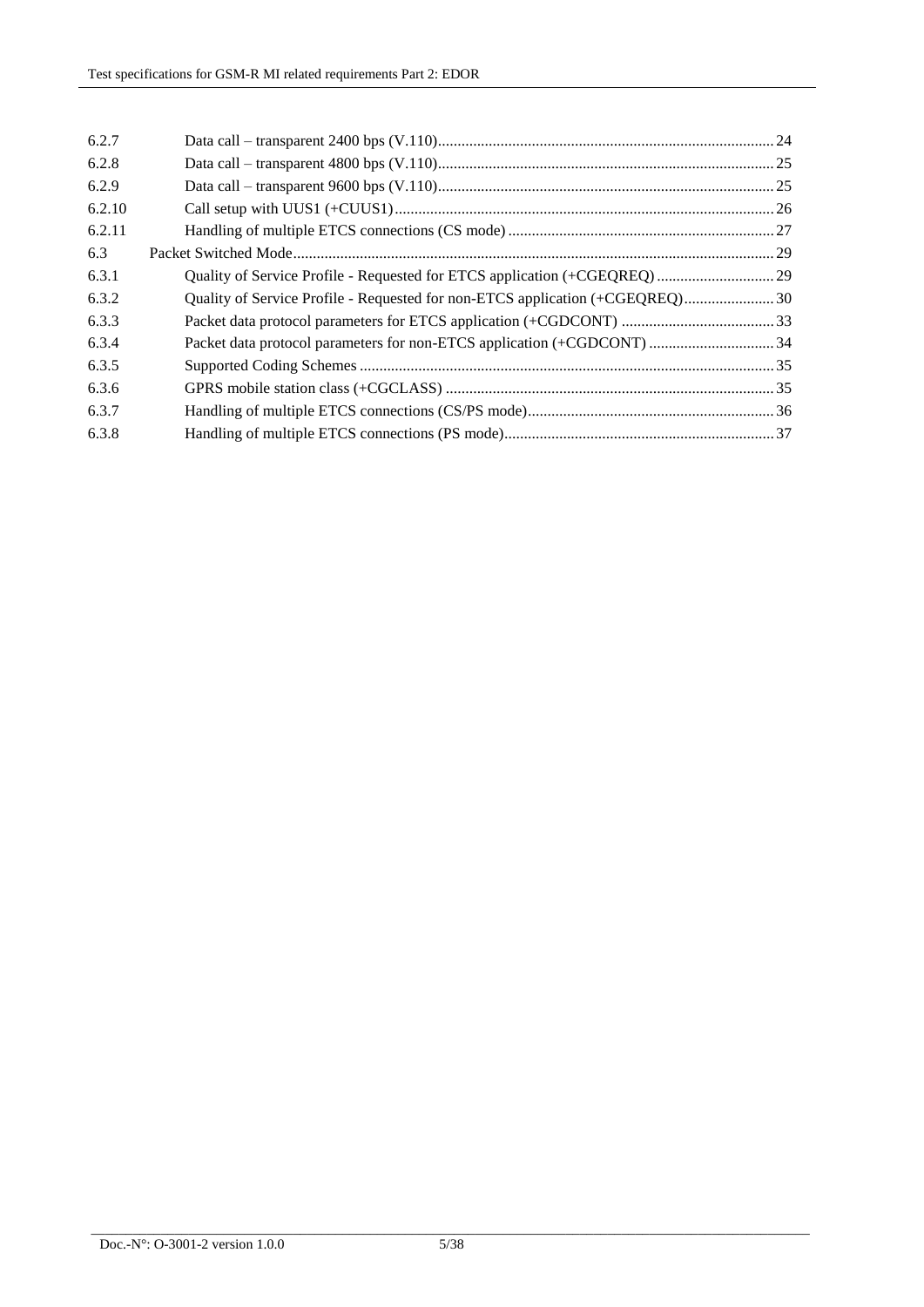| 6.2.7  |                                                                               |  |
|--------|-------------------------------------------------------------------------------|--|
| 6.2.8  |                                                                               |  |
| 6.2.9  |                                                                               |  |
| 6.2.10 |                                                                               |  |
| 6.2.11 |                                                                               |  |
| 6.3    |                                                                               |  |
| 6.3.1  |                                                                               |  |
| 6.3.2  | Quality of Service Profile - Requested for non-ETCS application (+CGEQREQ) 30 |  |
| 6.3.3  |                                                                               |  |
| 6.3.4  |                                                                               |  |
| 6.3.5  |                                                                               |  |
| 6.3.6  |                                                                               |  |
| 6.3.7  |                                                                               |  |
| 6.3.8  |                                                                               |  |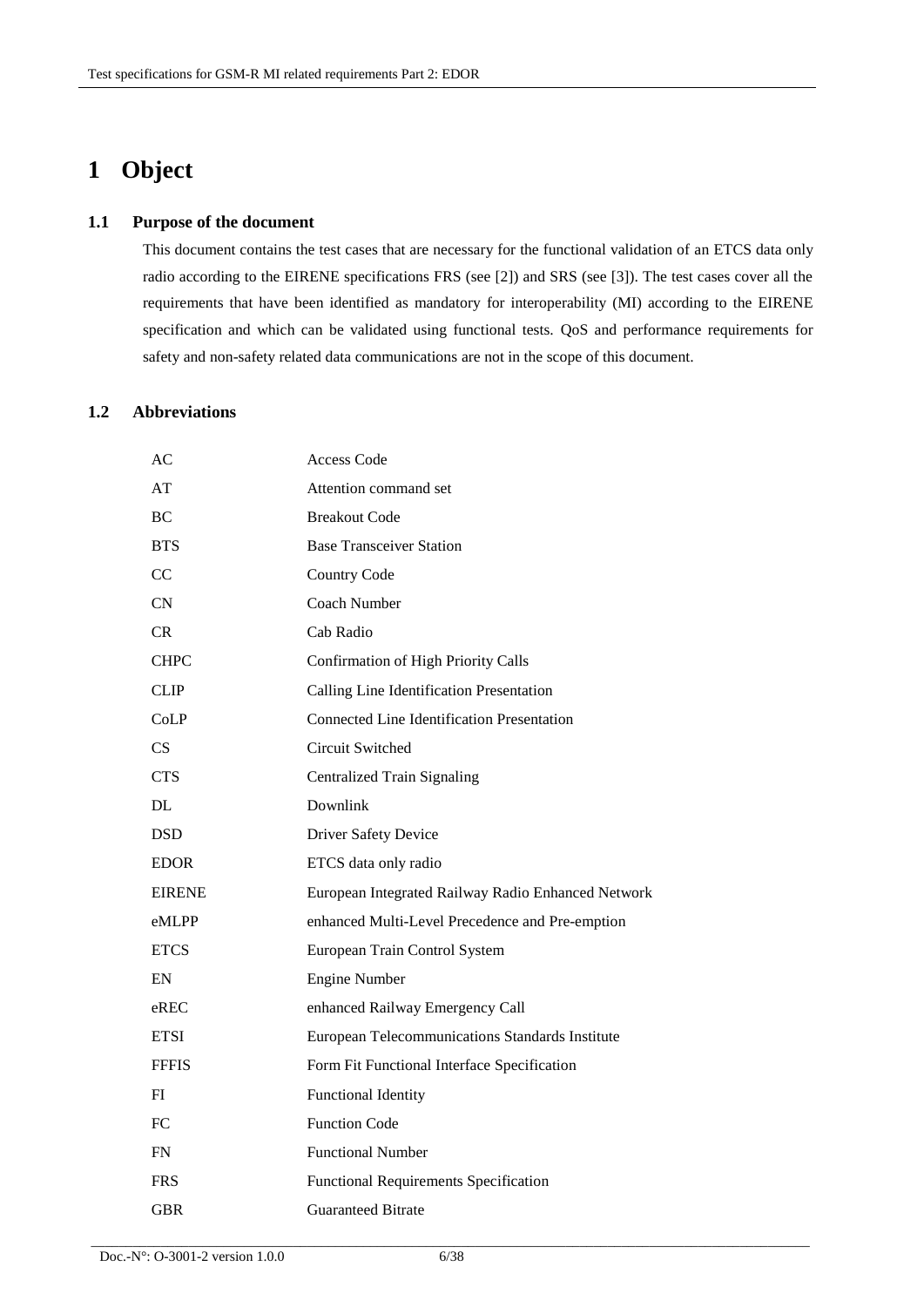# **1 Object**

#### **1.1 Purpose of the document**

This document contains the test cases that are necessary for the functional validation of an ETCS data only radio according to the EIRENE specifications FRS (see [2]) and SRS (see [3]). The test cases cover all the requirements that have been identified as mandatory for interoperability (MI) according to the EIRENE specification and which can be validated using functional tests. QoS and performance requirements for safety and non-safety related data communications are not in the scope of this document.

### **1.2 Abbreviations**

| АC            | <b>Access Code</b>                                 |
|---------------|----------------------------------------------------|
| AT            | Attention command set                              |
| BC            | <b>Breakout Code</b>                               |
| <b>BTS</b>    | <b>Base Transceiver Station</b>                    |
| <sub>CC</sub> | <b>Country Code</b>                                |
| CN            | Coach Number                                       |
| CR            | Cab Radio                                          |
| <b>CHPC</b>   | <b>Confirmation of High Priority Calls</b>         |
| <b>CLIP</b>   | Calling Line Identification Presentation           |
| CoLP          | <b>Connected Line Identification Presentation</b>  |
| CS.           | Circuit Switched                                   |
| <b>CTS</b>    | <b>Centralized Train Signaling</b>                 |
| DL            | Downlink                                           |
| <b>DSD</b>    | <b>Driver Safety Device</b>                        |
| <b>EDOR</b>   | ETCS data only radio                               |
| <b>EIRENE</b> | European Integrated Railway Radio Enhanced Network |
| eMLPP         | enhanced Multi-Level Precedence and Pre-emption    |
| <b>ETCS</b>   | European Train Control System                      |
| EN            | <b>Engine Number</b>                               |
| $e$ REC       | enhanced Railway Emergency Call                    |
| <b>ETSI</b>   | European Telecommunications Standards Institute    |
| <b>FFFIS</b>  | Form Fit Functional Interface Specification        |
| FI            | <b>Functional Identity</b>                         |
| FC            | <b>Function Code</b>                               |
| <b>FN</b>     | <b>Functional Number</b>                           |
| <b>FRS</b>    | <b>Functional Requirements Specification</b>       |
| GBR           | <b>Guaranteed Bitrate</b>                          |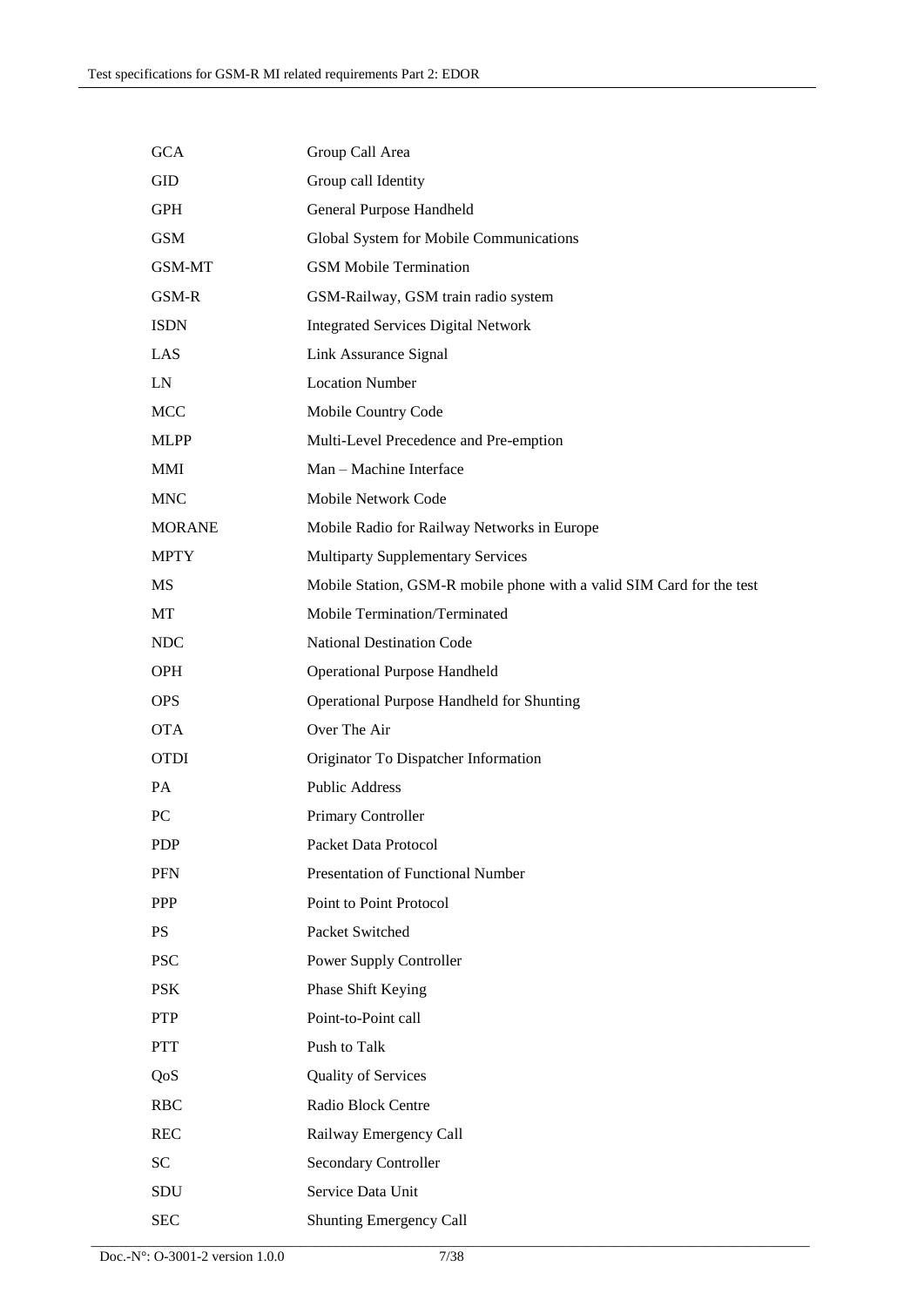| <b>GCA</b>    | Group Call Area                                                       |
|---------------|-----------------------------------------------------------------------|
| GID           | Group call Identity                                                   |
| <b>GPH</b>    | General Purpose Handheld                                              |
| <b>GSM</b>    | Global System for Mobile Communications                               |
| GSM-MT        | <b>GSM Mobile Termination</b>                                         |
| GSM-R         | GSM-Railway, GSM train radio system                                   |
| <b>ISDN</b>   | <b>Integrated Services Digital Network</b>                            |
| LAS           | Link Assurance Signal                                                 |
| LN            | <b>Location Number</b>                                                |
| <b>MCC</b>    | Mobile Country Code                                                   |
| <b>MLPP</b>   | Multi-Level Precedence and Pre-emption                                |
| <b>MMI</b>    | Man - Machine Interface                                               |
| <b>MNC</b>    | Mobile Network Code                                                   |
| <b>MORANE</b> | Mobile Radio for Railway Networks in Europe                           |
| <b>MPTY</b>   | <b>Multiparty Supplementary Services</b>                              |
| MS            | Mobile Station, GSM-R mobile phone with a valid SIM Card for the test |
| MT            | Mobile Termination/Terminated                                         |
| <b>NDC</b>    | <b>National Destination Code</b>                                      |
| <b>OPH</b>    | <b>Operational Purpose Handheld</b>                                   |
| <b>OPS</b>    | Operational Purpose Handheld for Shunting                             |
| <b>OTA</b>    | Over The Air                                                          |
| <b>OTDI</b>   | Originator To Dispatcher Information                                  |
| PA            | <b>Public Address</b>                                                 |
| PC            | Primary Controller                                                    |
| <b>PDP</b>    | Packet Data Protocol                                                  |
| <b>PFN</b>    | Presentation of Functional Number                                     |
| PPP           | Point to Point Protocol                                               |
| <b>PS</b>     | Packet Switched                                                       |
| <b>PSC</b>    | Power Supply Controller                                               |
| <b>PSK</b>    | Phase Shift Keying                                                    |
| <b>PTP</b>    | Point-to-Point call                                                   |
| <b>PTT</b>    | Push to Talk                                                          |
| QoS           | <b>Quality of Services</b>                                            |
| <b>RBC</b>    | Radio Block Centre                                                    |
| <b>REC</b>    | Railway Emergency Call                                                |
| <b>SC</b>     | <b>Secondary Controller</b>                                           |
| SDU           | Service Data Unit                                                     |
| <b>SEC</b>    | Shunting Emergency Call                                               |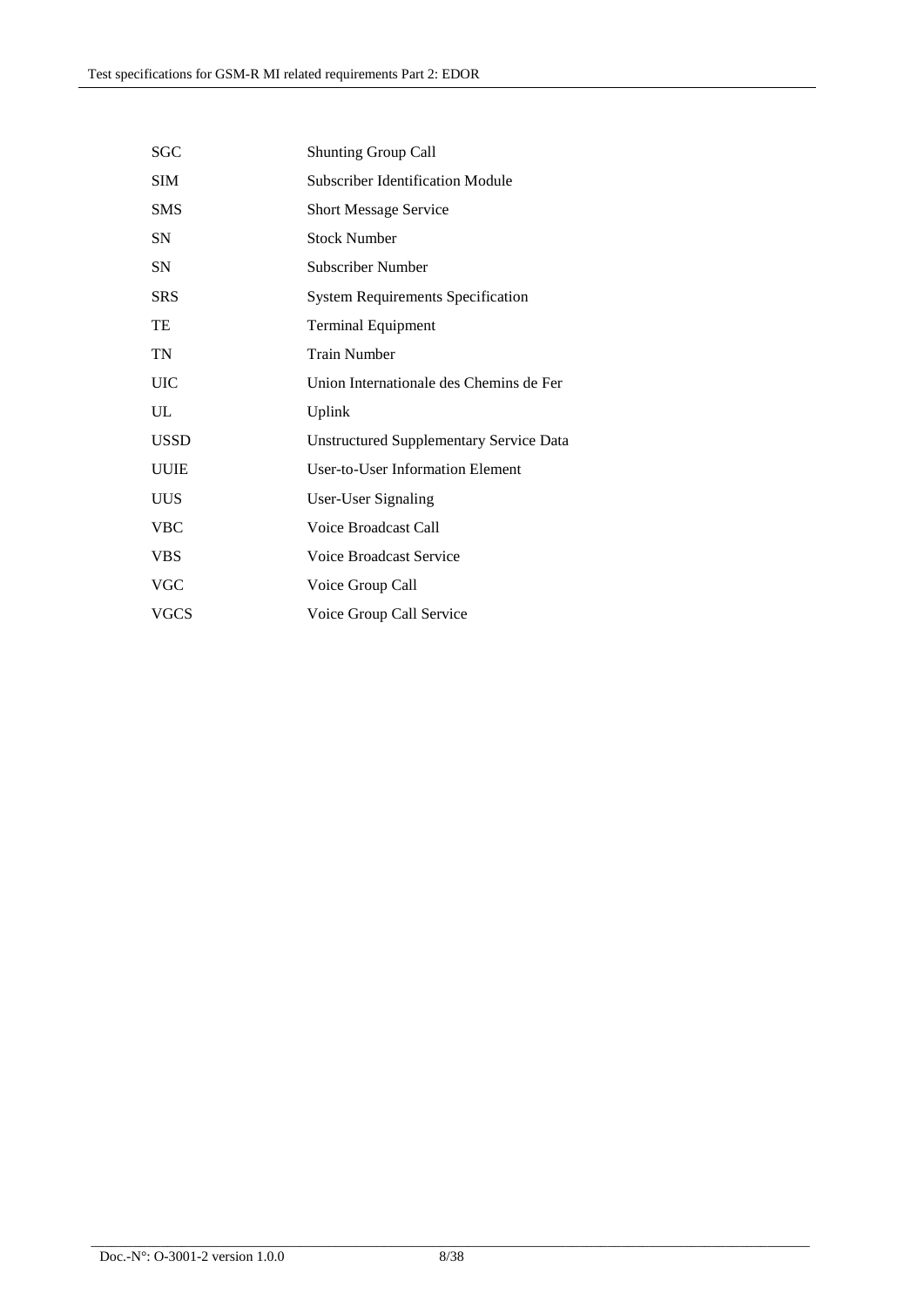| SGC         | <b>Shunting Group Call</b>                     |
|-------------|------------------------------------------------|
| <b>SIM</b>  | Subscriber Identification Module               |
| <b>SMS</b>  | <b>Short Message Service</b>                   |
| SN          | <b>Stock Number</b>                            |
| <b>SN</b>   | <b>Subscriber Number</b>                       |
| <b>SRS</b>  | <b>System Requirements Specification</b>       |
| TE          | <b>Terminal Equipment</b>                      |
| TN          | <b>Train Number</b>                            |
| <b>UIC</b>  | Union Internationale des Chemins de Fer        |
| UL          | Uplink                                         |
| <b>USSD</b> | <b>Unstructured Supplementary Service Data</b> |
| <b>UUIE</b> | <b>User-to-User Information Element</b>        |
| UUS         | User-User Signaling                            |
| <b>VBC</b>  | Voice Broadcast Call                           |
| <b>VBS</b>  | <b>Voice Broadcast Service</b>                 |
| <b>VGC</b>  | Voice Group Call                               |
| <b>VGCS</b> | Voice Group Call Service                       |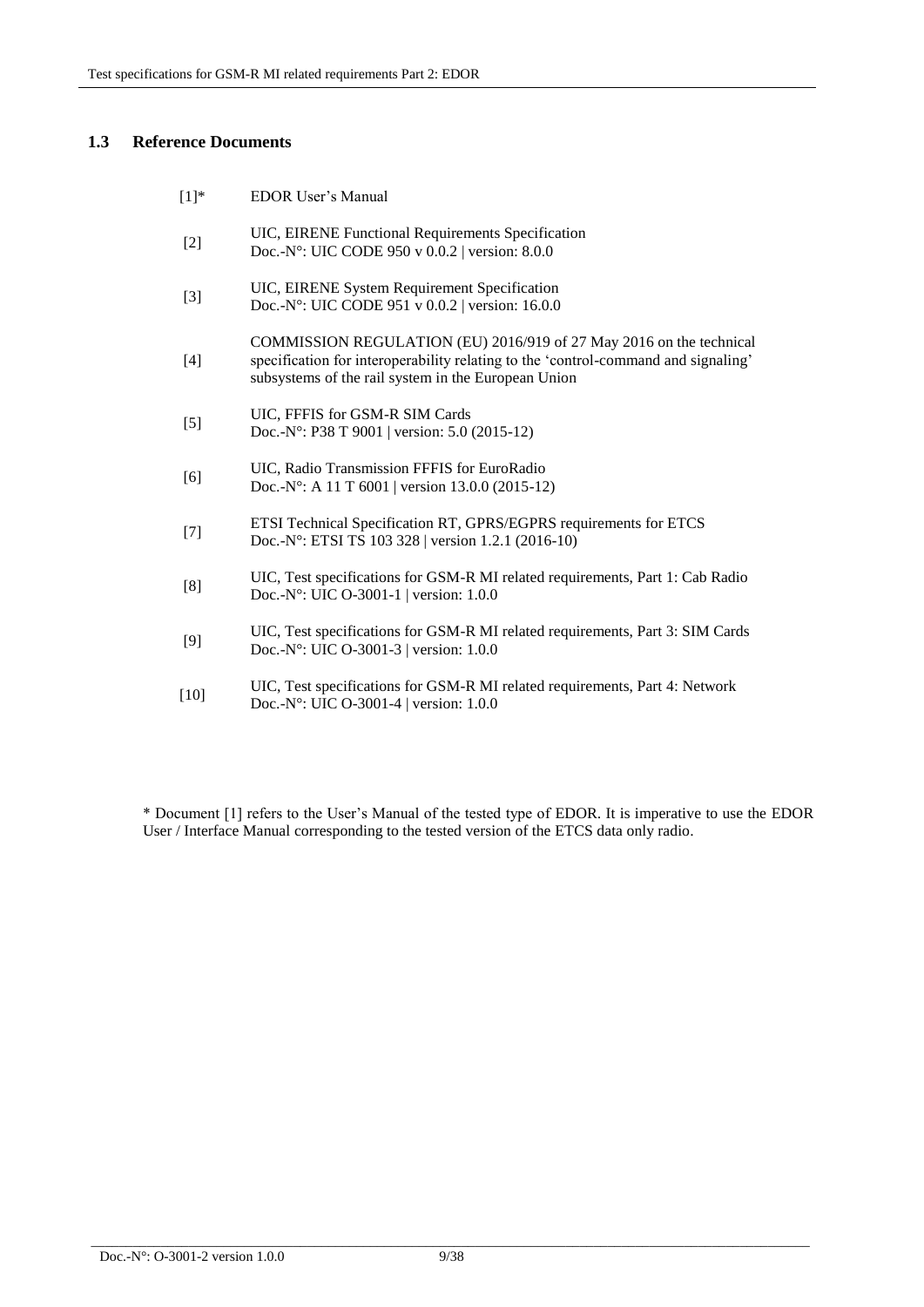## **1.3 Reference Documents**

| $[1]^*$ | <b>EDOR User's Manual</b>                                                                                                                                                                                        |
|---------|------------------------------------------------------------------------------------------------------------------------------------------------------------------------------------------------------------------|
| $[2]$   | UIC, EIRENE Functional Requirements Specification<br>Doc.-N°: UIC CODE 950 v 0.0.2   version: 8.0.0                                                                                                              |
| $[3]$   | UIC, EIRENE System Requirement Specification<br>Doc.-N°: UIC CODE 951 v 0.0.2   version: 16.0.0                                                                                                                  |
| [4]     | COMMISSION REGULATION (EU) 2016/919 of 27 May 2016 on the technical<br>specification for interoperability relating to the 'control-command and signaling'<br>subsystems of the rail system in the European Union |
| $[5]$   | UIC, FFFIS for GSM-R SIM Cards<br>Doc.-N°: P38 T 9001   version: 5.0 (2015-12)                                                                                                                                   |
| [6]     | UIC, Radio Transmission FFFIS for EuroRadio<br>Doc.-N°: A 11 T 6001   version 13.0.0 (2015-12)                                                                                                                   |
| $[7]$   | ETSI Technical Specification RT, GPRS/EGPRS requirements for ETCS<br>Doc.-N°: ETSI TS 103 328   version 1.2.1 (2016-10)                                                                                          |
| [8]     | UIC, Test specifications for GSM-R MI related requirements, Part 1: Cab Radio<br>Doc.-N°: UIC O-3001-1   version: 1.0.0                                                                                          |
| [9]     | UIC, Test specifications for GSM-R MI related requirements, Part 3: SIM Cards<br>Doc.-N°: UIC O-3001-3   version: 1.0.0                                                                                          |
| $[10]$  | UIC, Test specifications for GSM-R MI related requirements, Part 4: Network<br>Doc.-N°: UIC O-3001-4   version: $1.0.0$                                                                                          |
|         |                                                                                                                                                                                                                  |

\* Document [1] refers to the User's Manual of the tested type of EDOR. It is imperative to use the EDOR User / Interface Manual corresponding to the tested version of the ETCS data only radio.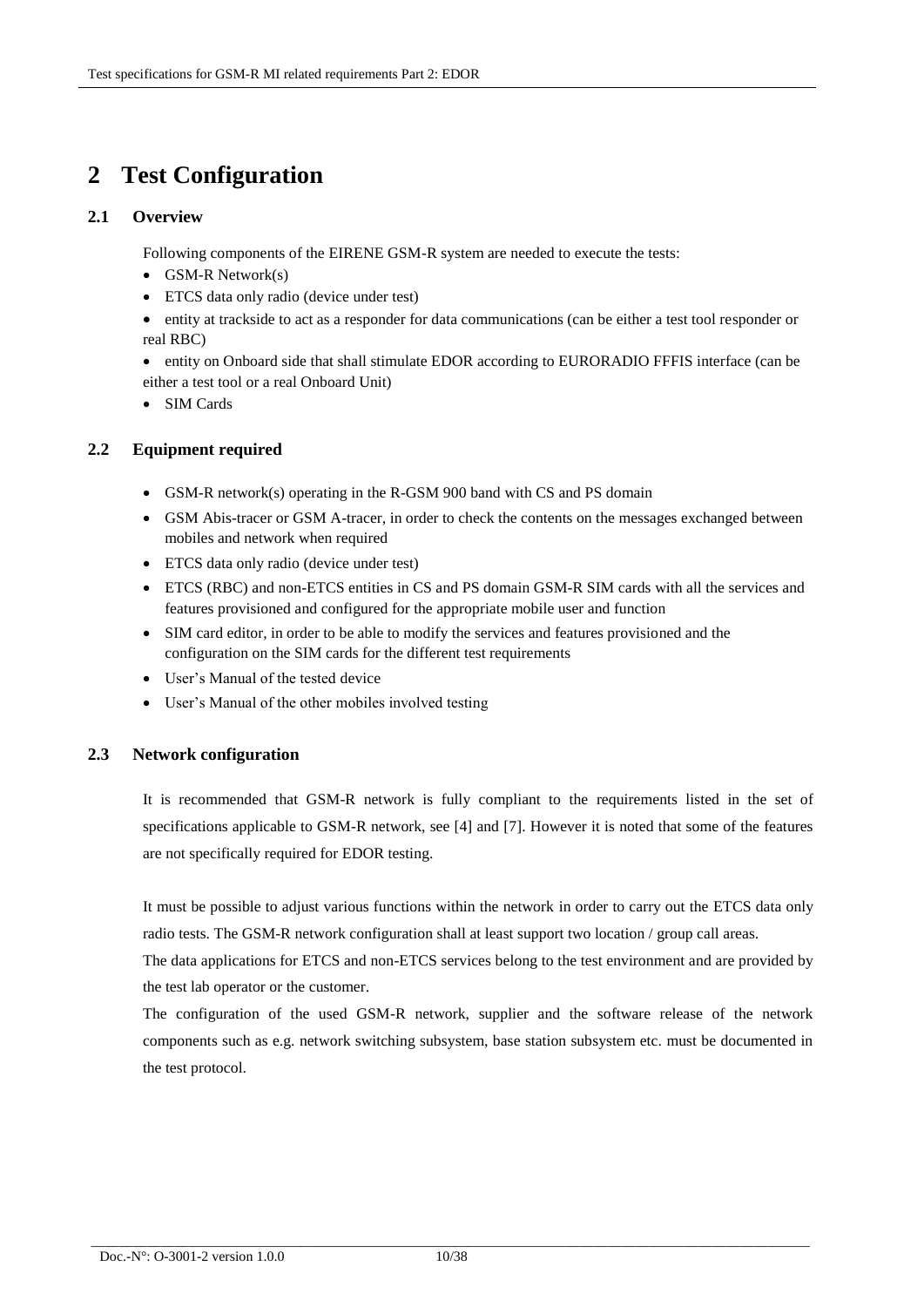# **2 Test Configuration**

## **2.1 Overview**

Following components of the EIRENE GSM-R system are needed to execute the tests:

- $\bullet$  GSM-R Network(s)
- ETCS data only radio (device under test)

 entity at trackside to act as a responder for data communications (can be either a test tool responder or real RBC)

 entity on Onboard side that shall stimulate EDOR according to EURORADIO FFFIS interface (can be either a test tool or a real Onboard Unit)

SIM Cards

## **2.2 Equipment required**

- GSM-R network(s) operating in the R-GSM 900 band with CS and PS domain
- GSM Abis-tracer or GSM A-tracer, in order to check the contents on the messages exchanged between mobiles and network when required
- ETCS data only radio (device under test)
- ETCS (RBC) and non-ETCS entities in CS and PS domain GSM-R SIM cards with all the services and features provisioned and configured for the appropriate mobile user and function
- SIM card editor, in order to be able to modify the services and features provisioned and the configuration on the SIM cards for the different test requirements
- User's Manual of the tested device
- User's Manual of the other mobiles involved testing

### **2.3 Network configuration**

It is recommended that GSM-R network is fully compliant to the requirements listed in the set of specifications applicable to GSM-R network, see [4] and [7]. However it is noted that some of the features are not specifically required for EDOR testing.

It must be possible to adjust various functions within the network in order to carry out the ETCS data only radio tests. The GSM-R network configuration shall at least support two location / group call areas.

The data applications for ETCS and non-ETCS services belong to the test environment and are provided by the test lab operator or the customer.

The configuration of the used GSM-R network, supplier and the software release of the network components such as e.g. network switching subsystem, base station subsystem etc. must be documented in the test protocol.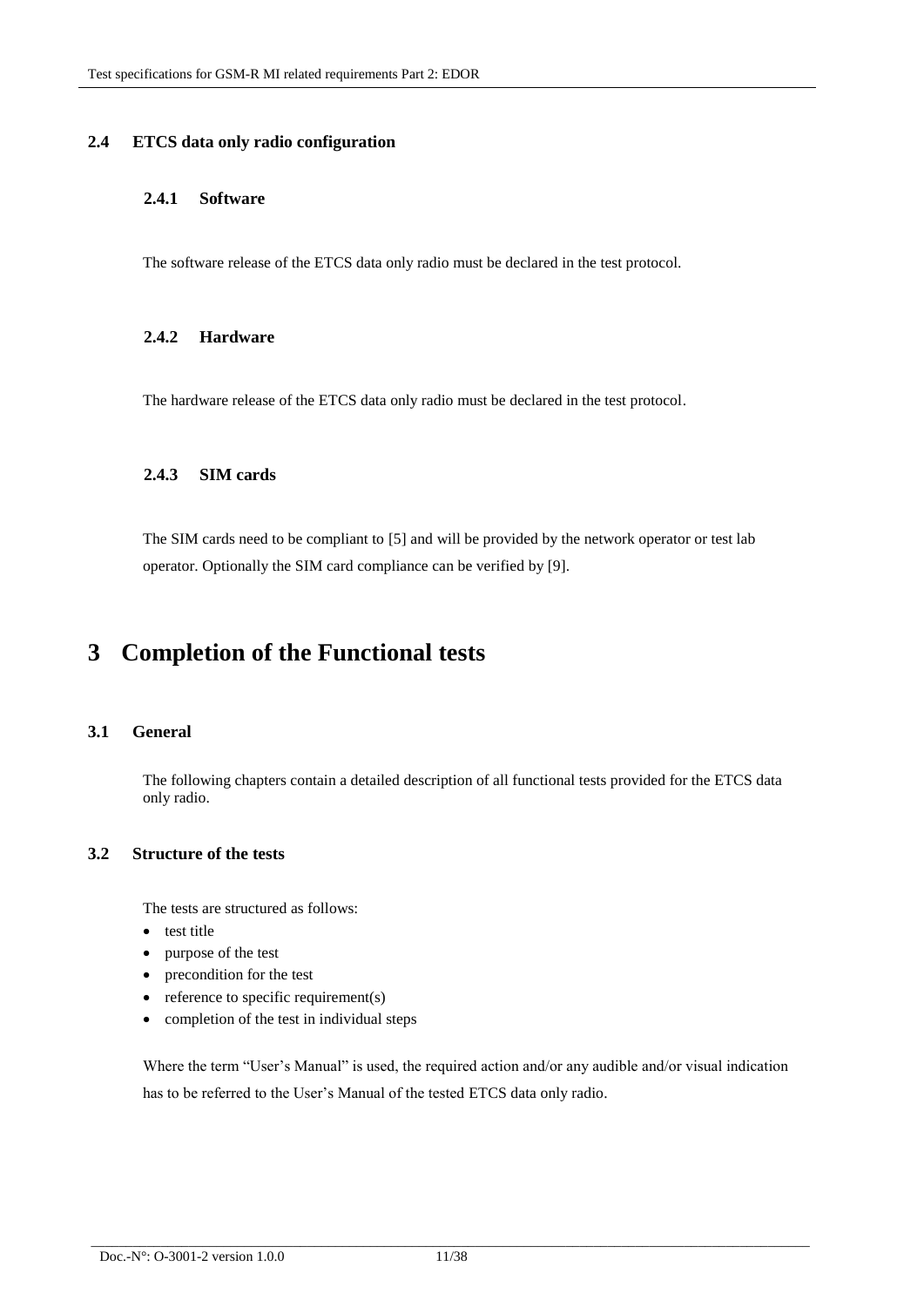## **2.4 ETCS data only radio configuration**

## **2.4.1 Software**

The software release of the ETCS data only radio must be declared in the test protocol.

### **2.4.2 Hardware**

The hardware release of the ETCS data only radio must be declared in the test protocol.

### **2.4.3 SIM cards**

The SIM cards need to be compliant to [5] and will be provided by the network operator or test lab operator. Optionally the SIM card compliance can be verified by [9].

## **3 Completion of the Functional tests**

### **3.1 General**

The following chapters contain a detailed description of all functional tests provided for the ETCS data only radio.

### **3.2 Structure of the tests**

The tests are structured as follows:

- test title
- purpose of the test
- precondition for the test
- $\bullet$  reference to specific requirement(s)
- completion of the test in individual steps

Where the term "User's Manual" is used, the required action and/or any audible and/or visual indication has to be referred to the User's Manual of the tested ETCS data only radio.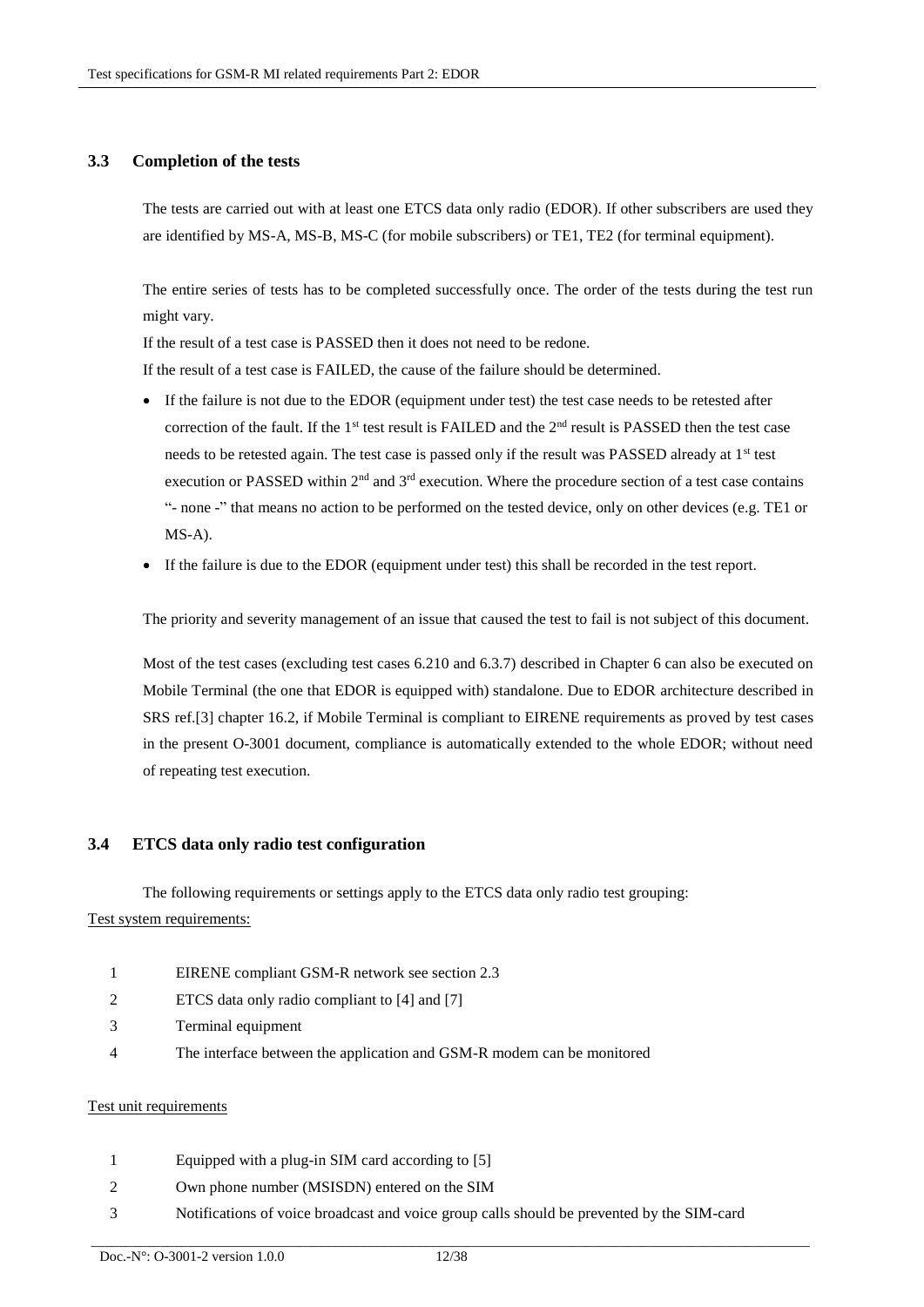### **3.3 Completion of the tests**

The tests are carried out with at least one ETCS data only radio (EDOR). If other subscribers are used they are identified by MS-A, MS-B, MS-C (for mobile subscribers) or TE1, TE2 (for terminal equipment).

The entire series of tests has to be completed successfully once. The order of the tests during the test run might vary.

If the result of a test case is PASSED then it does not need to be redone.

If the result of a test case is FAILED, the cause of the failure should be determined.

- If the failure is not due to the EDOR (equipment under test) the test case needs to be retested after correction of the fault. If the 1<sup>st</sup> test result is FAILED and the  $2<sup>nd</sup>$  result is PASSED then the test case needs to be retested again. The test case is passed only if the result was PASSED already at 1<sup>st</sup> test execution or PASSED within 2<sup>nd</sup> and 3<sup>rd</sup> execution. Where the procedure section of a test case contains "- none -" that means no action to be performed on the tested device, only on other devices (e.g. TE1 or MS-A).
- If the failure is due to the EDOR (equipment under test) this shall be recorded in the test report.

The priority and severity management of an issue that caused the test to fail is not subject of this document.

Most of the test cases (excluding test cases 6.210 and 6.3.7) described in Chapter 6 can also be executed on Mobile Terminal (the one that EDOR is equipped with) standalone. Due to EDOR architecture described in SRS ref.[3] chapter 16.2, if Mobile Terminal is compliant to EIRENE requirements as proved by test cases in the present O-3001 document, compliance is automatically extended to the whole EDOR; without need of repeating test execution.

### **3.4 ETCS data only radio test configuration**

The following requirements or settings apply to the ETCS data only radio test grouping: Test system requirements:

- 1 EIRENE compliant GSM-R network see section 2.3
- 2 ETCS data only radio compliant to [4] and [7]
- 3 Terminal equipment
- 4 The interface between the application and GSM-R modem can be monitored

#### Test unit requirements

- 1 Equipped with a plug-in SIM card according to [5]
- 2 Own phone number (MSISDN) entered on the SIM
- 3 Notifications of voice broadcast and voice group calls should be prevented by the SIM-card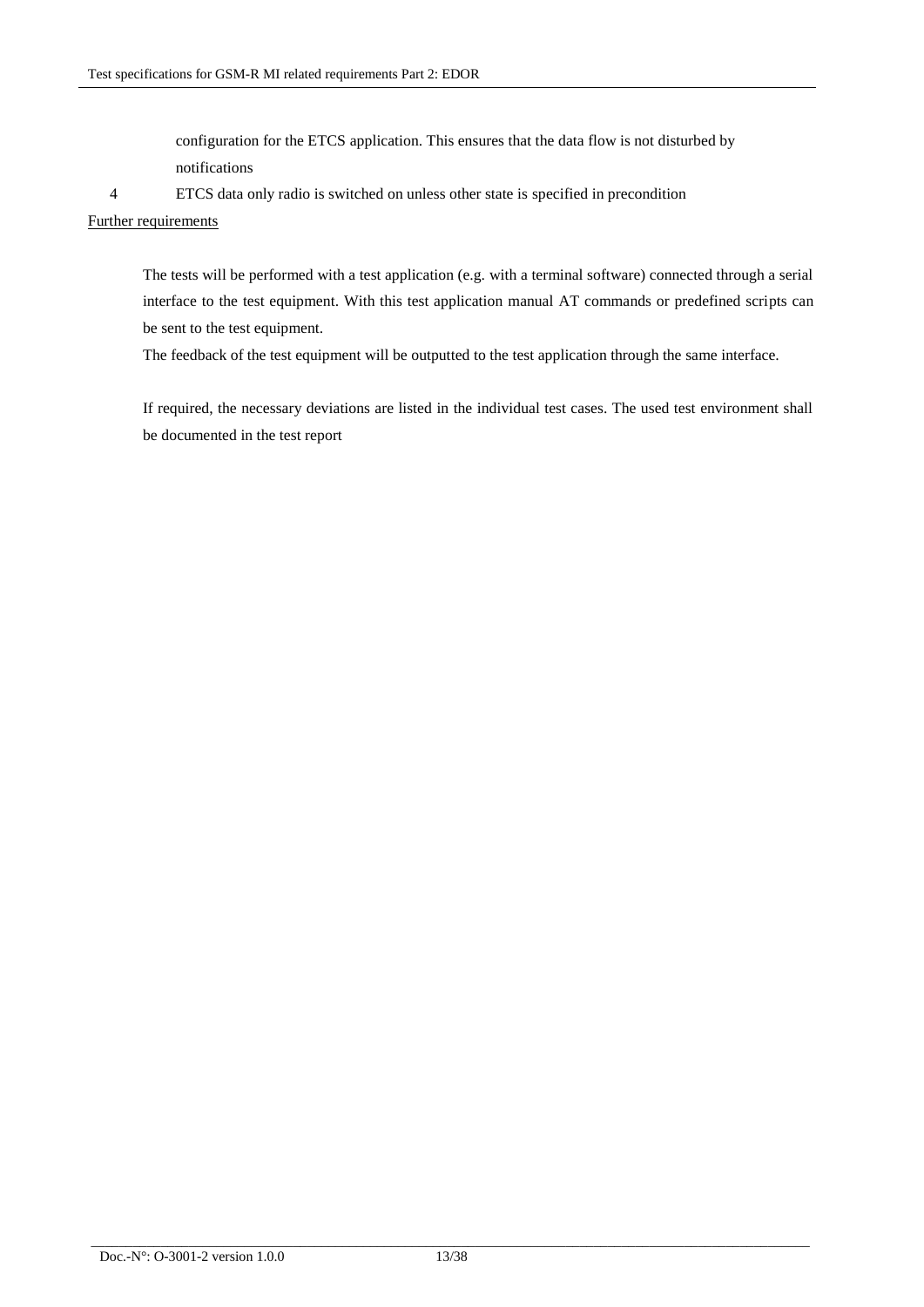configuration for the ETCS application. This ensures that the data flow is not disturbed by notifications

4 ETCS data only radio is switched on unless other state is specified in precondition

#### Further requirements

The tests will be performed with a test application (e.g. with a terminal software) connected through a serial interface to the test equipment. With this test application manual AT commands or predefined scripts can be sent to the test equipment.

The feedback of the test equipment will be outputted to the test application through the same interface.

If required, the necessary deviations are listed in the individual test cases. The used test environment shall be documented in the test report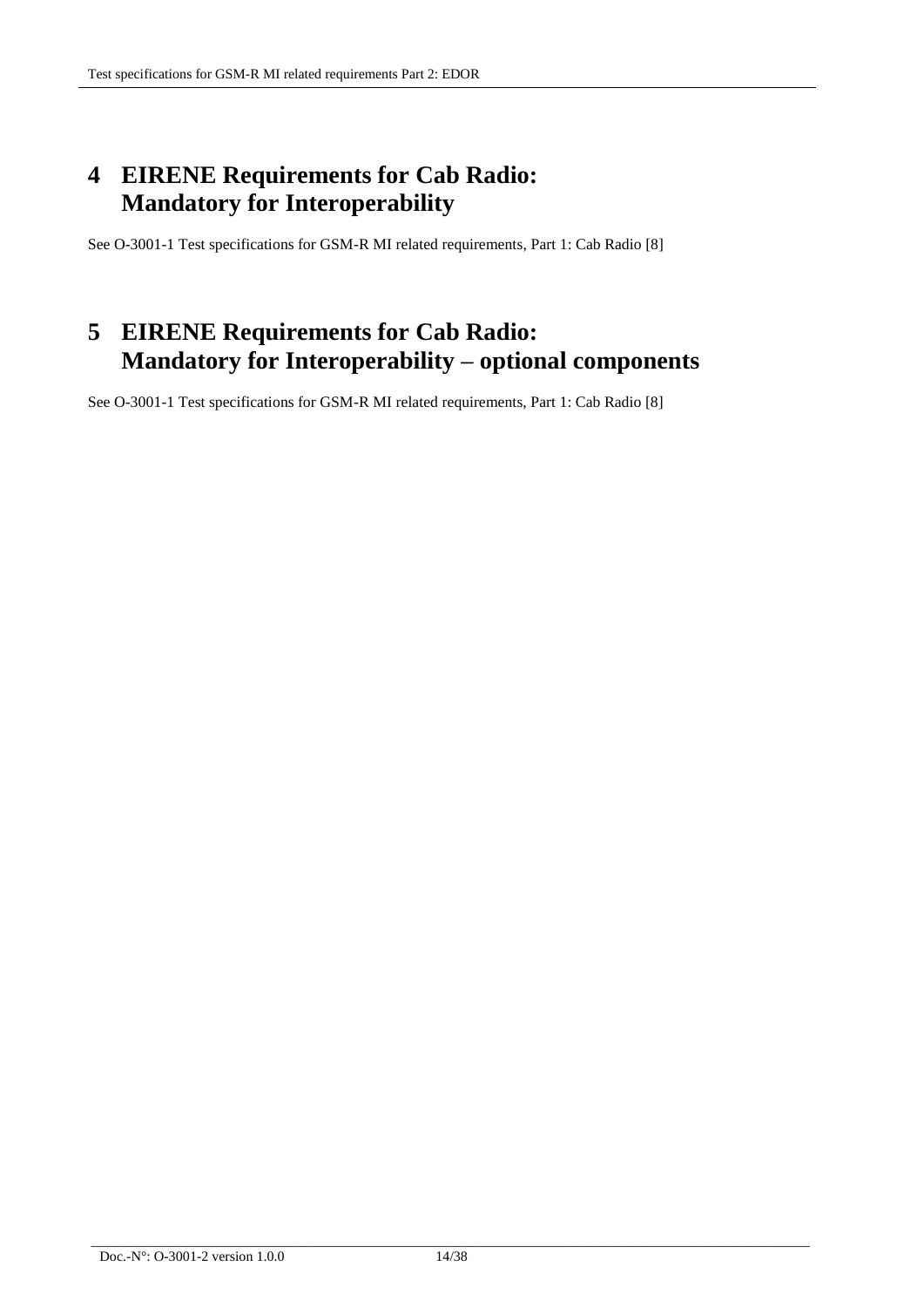# **4 EIRENE Requirements for Cab Radio: Mandatory for Interoperability**

See O-3001-1 Test specifications for GSM-R MI related requirements, Part 1: Cab Radio [8]

# **5 EIRENE Requirements for Cab Radio: Mandatory for Interoperability – optional components**

See O-3001-1 Test specifications for GSM-R MI related requirements, Part 1: Cab Radio [8]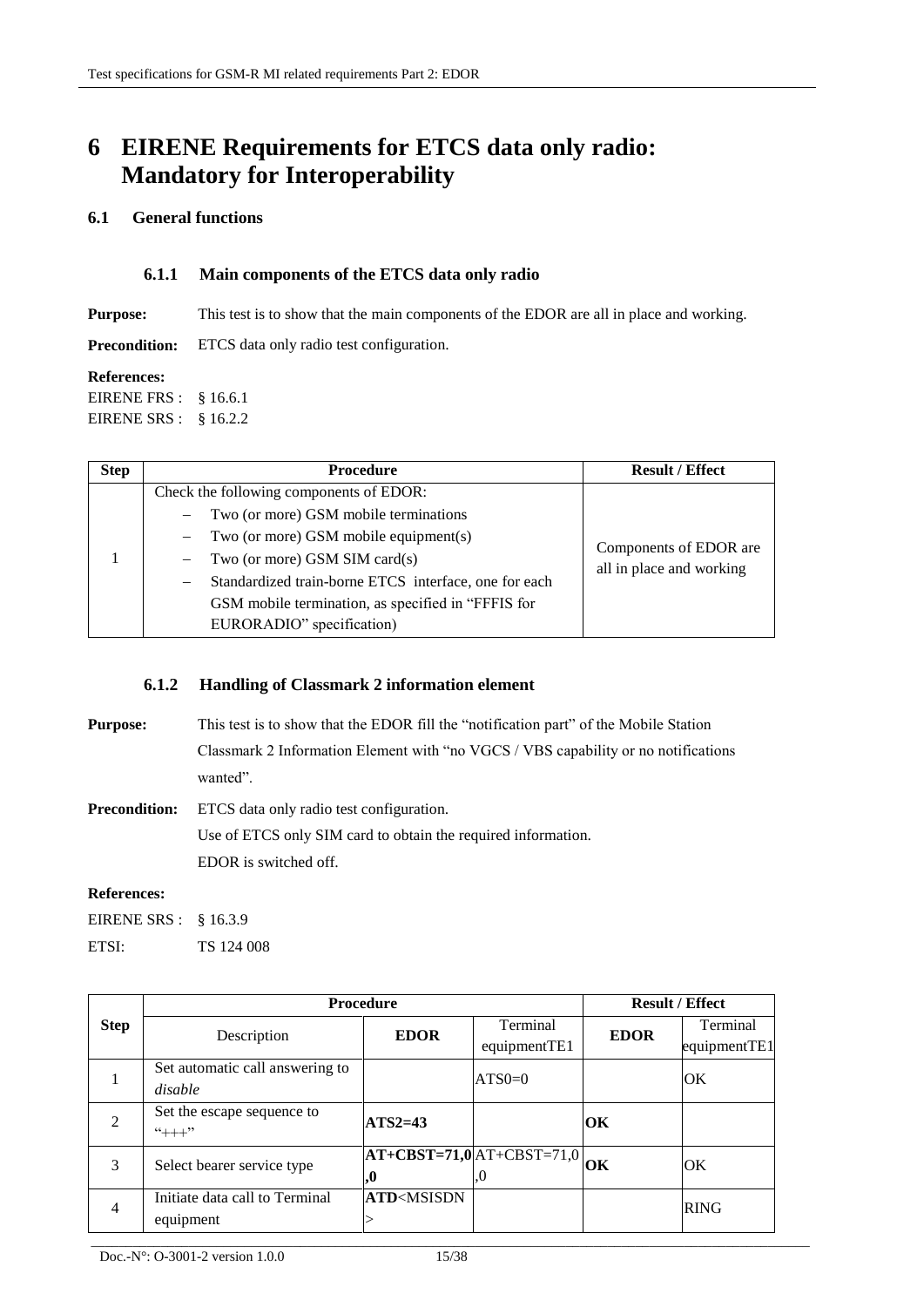# **6 EIRENE Requirements for ETCS data only radio: Mandatory for Interoperability**

### **6.1 General functions**

### **6.1.1 Main components of the ETCS data only radio**

**Purpose:** This test is to show that the main components of the EDOR are all in place and working.

**Precondition:** ETCS data only radio test configuration.

#### **References:**

EIRENE FRS : § 16.6.1 EIRENE SRS : § 16.2.2

| <b>Step</b> | <b>Procedure</b>                                      | <b>Result / Effect</b>                             |
|-------------|-------------------------------------------------------|----------------------------------------------------|
|             | Check the following components of EDOR:               |                                                    |
|             | Two (or more) GSM mobile terminations                 |                                                    |
|             | Two (or more) GSM mobile equipment(s)                 |                                                    |
|             | Two (or more) GSM SIM card(s)                         | Components of EDOR are<br>all in place and working |
|             | Standardized train-borne ETCS interface, one for each |                                                    |
|             | GSM mobile termination, as specified in "FFFIS for    |                                                    |
|             | EURORADIO" specification)                             |                                                    |

## **6.1.2 Handling of Classmark 2 information element**

**Purpose:** This test is to show that the EDOR fill the "notification part" of the Mobile Station Classmark 2 Information Element with "no VGCS / VBS capability or no notifications wanted".

**Precondition:** ETCS data only radio test configuration. Use of ETCS only SIM card to obtain the required information. EDOR is switched off.

### **References:**

EIRENE SRS : § 16.3.9

ETSI: TS 124 008

|                | <b>Procedure</b>                |                                                                            |                               | <b>Result / Effect</b> |              |
|----------------|---------------------------------|----------------------------------------------------------------------------|-------------------------------|------------------------|--------------|
| <b>Step</b>    |                                 | <b>EDOR</b>                                                                | Terminal                      | <b>EDOR</b>            | Terminal     |
|                | Description                     |                                                                            | equipmentTE1                  |                        | equipmentTE1 |
|                | Set automatic call answering to |                                                                            | $ATS0=0$                      |                        | OK           |
|                | disable                         |                                                                            |                               |                        |              |
| $\mathcal{D}$  | Set the escape sequence to      | $ATS2=43$                                                                  |                               | OК                     |              |
|                | $4++7$                          |                                                                            |                               |                        |              |
| 3              | Select bearer service type      |                                                                            | $AT+CBST=71,0$ $AT+CBST=71,0$ | OК                     | <b>OK</b>    |
|                |                                 | IJ,                                                                        | .0                            |                        |              |
| $\overline{4}$ | Initiate data call to Terminal  | <b>ATD</b> <msisdn< td=""><td></td><td></td><td><b>RING</b></td></msisdn<> |                               |                        | <b>RING</b>  |
|                | equipment                       |                                                                            |                               |                        |              |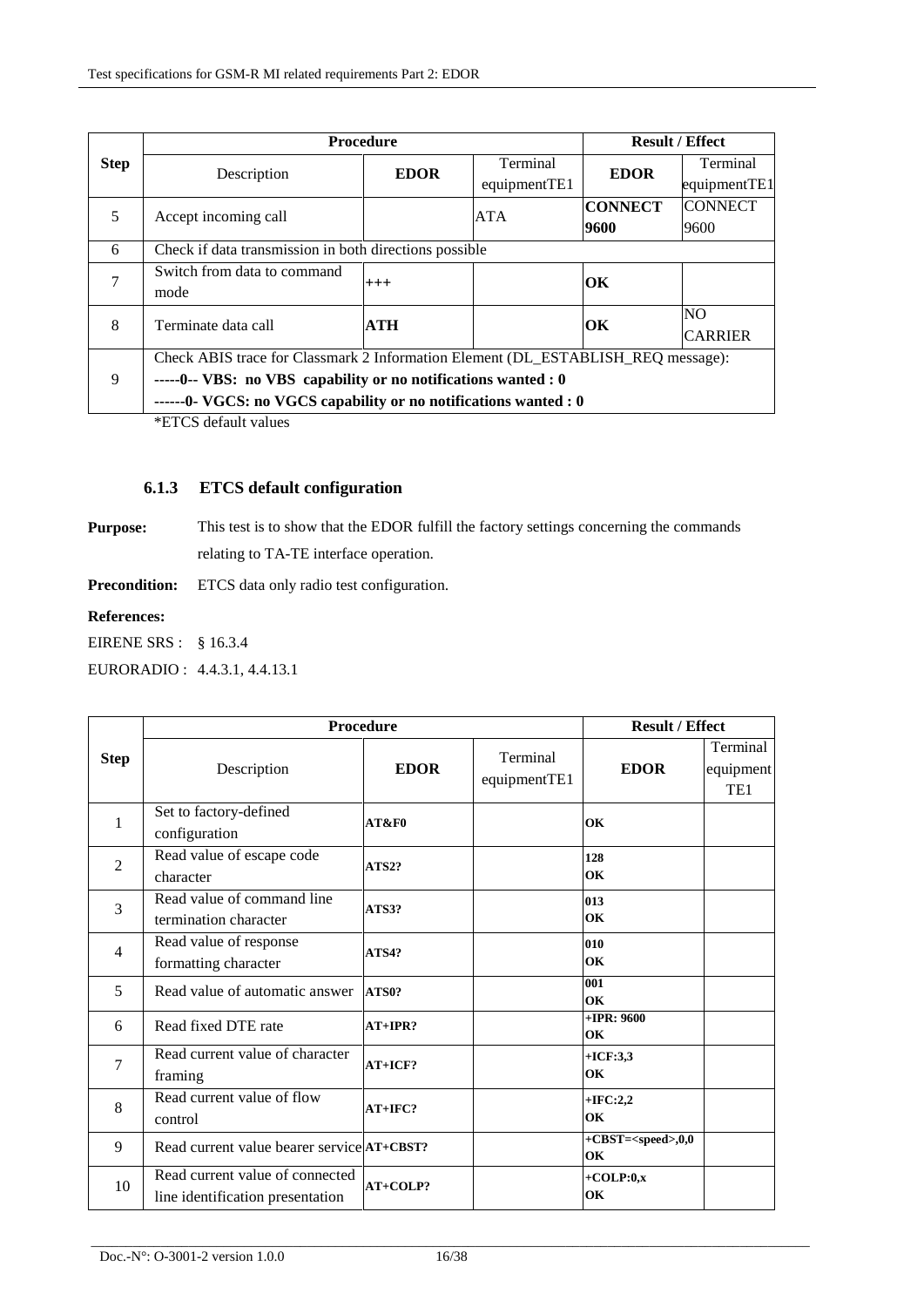|             | <b>Procedure</b>                                                                                                                                                                                                       |             |              | <b>Result / Effect</b> |                |
|-------------|------------------------------------------------------------------------------------------------------------------------------------------------------------------------------------------------------------------------|-------------|--------------|------------------------|----------------|
| <b>Step</b> | Description                                                                                                                                                                                                            | <b>EDOR</b> | Terminal     | <b>EDOR</b>            | Terminal       |
|             |                                                                                                                                                                                                                        |             | equipmentTE1 |                        | equipmentTE1   |
| 5           |                                                                                                                                                                                                                        |             | <b>ATA</b>   | <b>CONNECT</b>         | <b>CONNECT</b> |
|             | Accept incoming call                                                                                                                                                                                                   |             |              | 9600                   | 9600           |
| 6           | Check if data transmission in both directions possible                                                                                                                                                                 |             |              |                        |                |
| 7           | Switch from data to command                                                                                                                                                                                            |             |              | OК                     |                |
|             | mode                                                                                                                                                                                                                   | $^{+++}$    |              |                        |                |
| 8           | Terminate data call                                                                                                                                                                                                    | <b>ATH</b>  |              | OК                     | NO.            |
|             |                                                                                                                                                                                                                        |             |              |                        | <b>CARRIER</b> |
|             | Check ABIS trace for Classmark 2 Information Element (DL_ESTABLISH_REQ message):<br>-----0-- VBS: no VBS capability or no notifications wanted : 0<br>------0- VGCS: no VGCS capability or no notifications wanted : 0 |             |              |                        |                |
| 9           |                                                                                                                                                                                                                        |             |              |                        |                |
|             |                                                                                                                                                                                                                        |             |              |                        |                |
|             |                                                                                                                                                                                                                        |             |              |                        |                |

\*ETCS default values

## **6.1.3 ETCS default configuration**

**Purpose:** This test is to show that the EDOR fulfill the factory settings concerning the commands relating to TA-TE interface operation.

**Precondition:** ETCS data only radio test configuration.

#### **References:**

EIRENE SRS : § 16.3.4

EURORADIO : 4.4.3.1, 4.4.13.1

|                | Procedure                                                           |             |                          | <b>Result / Effect</b>               |                                          |
|----------------|---------------------------------------------------------------------|-------------|--------------------------|--------------------------------------|------------------------------------------|
| <b>Step</b>    | Description                                                         | <b>EDOR</b> | Terminal<br>equipmentTE1 | <b>EDOR</b>                          | Terminal<br>equipment<br>TE <sub>1</sub> |
| 1              | Set to factory-defined<br>configuration                             | AT&F0       |                          | OK                                   |                                          |
| 2              | Read value of escape code<br>character                              | ATS2?       |                          | 128<br>OK                            |                                          |
| $\overline{3}$ | Read value of command line<br>termination character                 | ATS3?       |                          | 013<br>OK                            |                                          |
| $\overline{4}$ | Read value of response<br>formatting character                      | ATS4?       |                          | 010<br>OK                            |                                          |
| 5              | Read value of automatic answer                                      | ATS0?       |                          | 001<br>OK                            |                                          |
| 6              | Read fixed DTE rate                                                 | $AT+IPR?$   |                          | $+IPR: 9600$<br>OK                   |                                          |
| $\overline{7}$ | Read current value of character<br>framing                          | $AT+ICF?$   |                          | $+ICF:3,3$<br>OK                     |                                          |
| 8              | Read current value of flow<br>control                               | $AT+IFC?$   |                          | $+IFC:2,2$<br>OK                     |                                          |
| 9              | Read current value bearer service <b>AT+CBST?</b>                   |             |                          | $+$ CBST= <speed>,0,0<br/>OK</speed> |                                          |
| 10             | Read current value of connected<br>line identification presentation | AT+COLP?    |                          | $+COLP:0,x$<br>OK                    |                                          |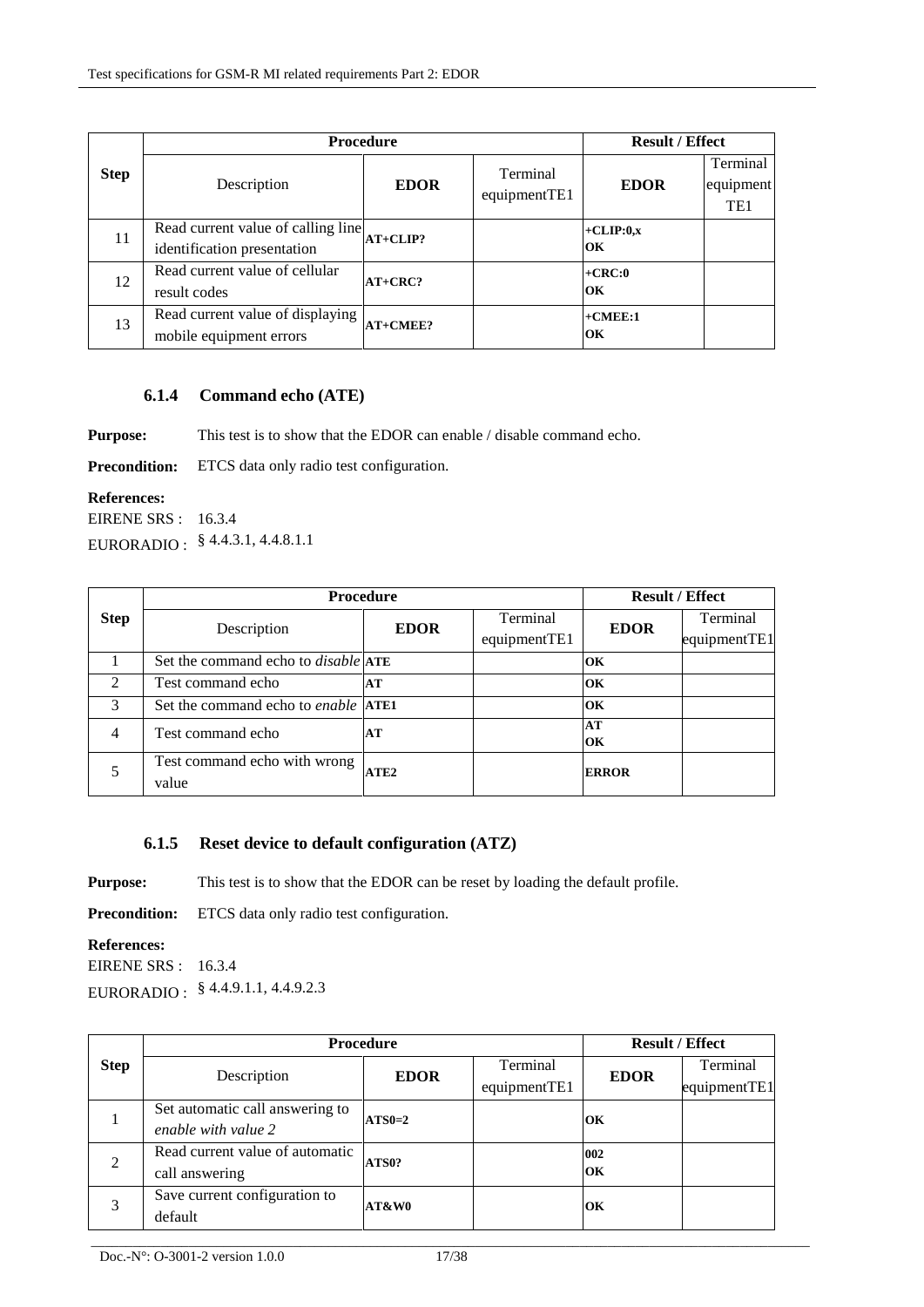|             | <b>Procedure</b>                                                  |             |                          | <b>Result / Effect</b> |                                          |
|-------------|-------------------------------------------------------------------|-------------|--------------------------|------------------------|------------------------------------------|
| <b>Step</b> | Description                                                       | <b>EDOR</b> | Terminal<br>equipmentTE1 | <b>EDOR</b>            | Terminal<br>equipment<br>TE <sub>1</sub> |
| 11          | Read current value of calling line<br>identification presentation | $AT+CLIP?$  |                          | $+CLIP:0,x$<br>OK      |                                          |
| 12          | Read current value of cellular<br>result codes                    | $AT+CRC?$   |                          | $+CRC:0$<br>OK         |                                          |
| 13          | Read current value of displaying<br>mobile equipment errors       | AT+CMEE?    |                          | $+$ CMEE:1<br>OК       |                                          |

## **6.1.4 Command echo (ATE)**

**Purpose:** This test is to show that the EDOR can enable / disable command echo.

**Precondition:** ETCS data only radio test configuration.

#### **References:**

EIRENE SRS : 16.3.4 EURORADIO : § 4.4.3.1, 4.4.8.1.1

| <b>Step</b>    | <b>Procedure</b>                                  |             |              | <b>Result / Effect</b> |              |
|----------------|---------------------------------------------------|-------------|--------------|------------------------|--------------|
|                | Description                                       | <b>EDOR</b> | Terminal     | <b>EDOR</b>            | Terminal     |
|                |                                                   |             | equipmentTE1 |                        | equipmentTE1 |
|                | Set the command echo to <i>disable</i> <b>ATE</b> |             |              | OK                     |              |
| $\mathfrak{D}$ | Test command echo                                 | AT          |              | OK                     |              |
| $\mathcal{R}$  | Set the command echo to <i>enable</i> <b>ATE1</b> |             |              | OK                     |              |
| $\overline{4}$ | Test command echo                                 | AT          |              | AT                     |              |
|                |                                                   |             |              | OK                     |              |
|                | Test command echo with wrong                      | ATE2        |              | <b>ERROR</b>           |              |
|                | value                                             |             |              |                        |              |

## **6.1.5 Reset device to default configuration (ATZ)**

**Purpose:** This test is to show that the EDOR can be reset by loading the default profile.

Precondition: ETCS data only radio test configuration.

#### **References:**

EIRENE SRS : 16.3.4 EURORADIO : § 4.4.9.1.1, 4.4.9.2.3

| <b>Step</b> | <b>Procedure</b>                |             |              | <b>Result / Effect</b> |              |
|-------------|---------------------------------|-------------|--------------|------------------------|--------------|
|             | Description                     | <b>EDOR</b> | Terminal     | <b>EDOR</b>            | Terminal     |
|             |                                 |             | equipmentTE1 |                        | equipmentTE1 |
|             | Set automatic call answering to | $ATS0=2$    |              | ЮK.                    |              |
|             | enable with value 2             |             |              |                        |              |
| 2           | Read current value of automatic |             | 002          |                        |              |
|             | call answering                  | ATS0?       |              | OК                     |              |
| 3           | Save current configuration to   | AT&W0       |              | ЮK                     |              |
|             | default                         |             |              |                        |              |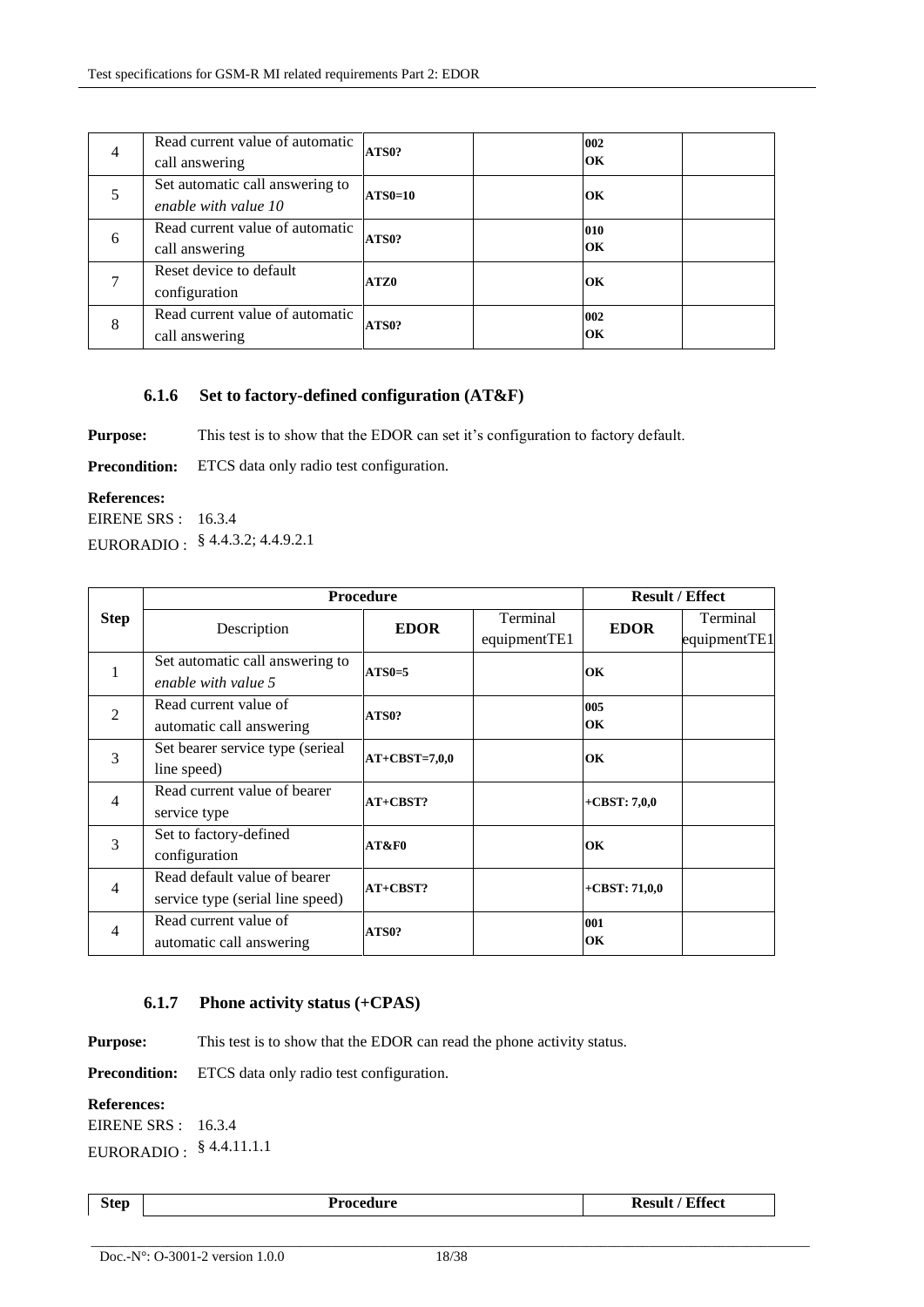| $\overline{4}$ | Read current value of automatic<br>call answering       | ATS0?          | 002<br>OК |  |
|----------------|---------------------------------------------------------|----------------|-----------|--|
|                | Set automatic call answering to<br>enable with value 10 | <b>ATS0=10</b> | OK        |  |
| 6              | Read current value of automatic<br>call answering       | ATS0?          | 010<br>OK |  |
|                | Reset device to default<br>configuration                | ATZ0           | OК        |  |
| 8              | Read current value of automatic<br>call answering       | ATS0?          | 002<br>OK |  |

#### **6.1.6 Set to factory-defined configuration (AT&F)**

**Purpose:** This test is to show that the EDOR can set it's configuration to factory default.

Precondition: ETCS data only radio test configuration.

#### **References:**

EIRENE SRS : 16.3.4 EURORADIO : § 4.4.3.2; 4.4.9.2.1

|                | <b>Procedure</b>                 |                 |              | <b>Result / Effect</b> |              |
|----------------|----------------------------------|-----------------|--------------|------------------------|--------------|
| <b>Step</b>    | Description                      | <b>EDOR</b>     | Terminal     | <b>EDOR</b>            | Terminal     |
|                |                                  |                 | equipmentTE1 |                        | equipmentTE1 |
| 1              | Set automatic call answering to  | $ATS0=5$        |              | OК                     |              |
|                | enable with value 5              |                 |              |                        |              |
| $\overline{2}$ | Read current value of            | ATS0?           |              | 005                    |              |
|                | automatic call answering         |                 |              | OK                     |              |
| $\mathcal{R}$  | Set bearer service type (serieal | $AT+CBST=7,0,0$ |              | OК                     |              |
|                | line speed)                      |                 |              |                        |              |
| $\overline{4}$ | Read current value of bearer     | AT+CBST?        |              | $+$ CBST: 7,0,0        |              |
|                | service type                     |                 |              |                        |              |
| 3              | Set to factory-defined           | AT&F0           |              | OK                     |              |
|                | configuration                    |                 |              |                        |              |
| $\overline{4}$ | Read default value of bearer     | $AT+CBST?$      |              | $+$ CBST: 71,0,0       |              |
|                | service type (serial line speed) |                 |              |                        |              |
| $\overline{4}$ | Read current value of            | ATS0?           |              | 001                    |              |
|                | automatic call answering         |                 |              | OК                     |              |

### **6.1.7 Phone activity status (+CPAS)**

**Purpose:** This test is to show that the EDOR can read the phone activity status.

**Precondition:** ETCS data only radio test configuration.

#### **References:**

EIRENE SRS : 16.3.4 EURORADIO : § 4.4.11.1.1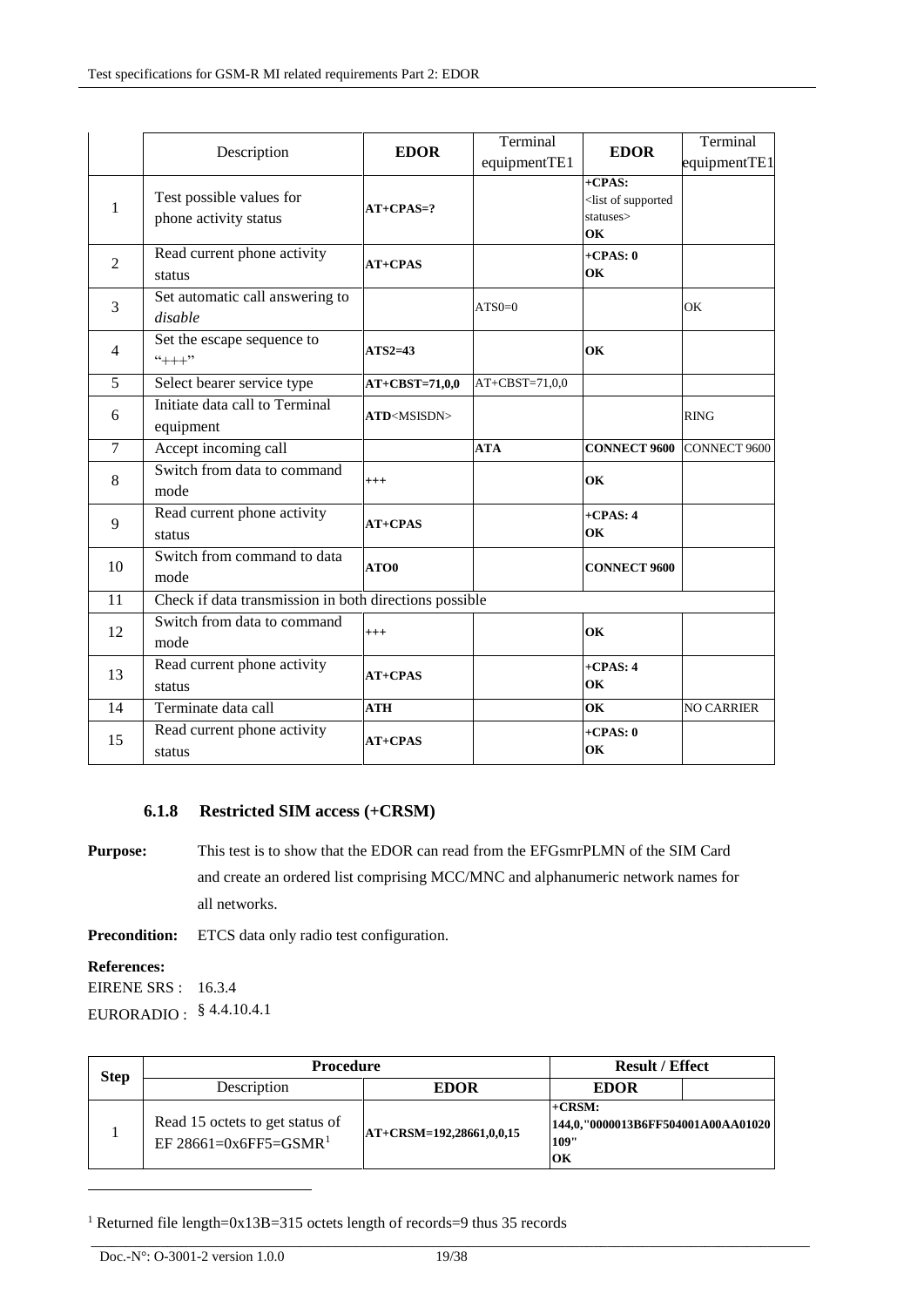|                | Description                                            | <b>EDOR</b>           | Terminal<br>equipmentTE1 | <b>EDOR</b>                                                       | Terminal<br>equipmentTE1 |
|----------------|--------------------------------------------------------|-----------------------|--------------------------|-------------------------------------------------------------------|--------------------------|
| $\mathbf{1}$   | Test possible values for<br>phone activity status      | $AT+CPAS=?$           |                          | $+CPAS$<br><list of="" supported<br="">statuses&gt;<br/>OK</list> |                          |
| $\overline{2}$ | Read current phone activity<br>status                  | $AT+CPAS$             |                          | $+CPAS: 0$<br>OK                                                  |                          |
| 3              | Set automatic call answering to<br>disable             |                       | $ATS0=0$                 |                                                                   | OK                       |
| $\overline{4}$ | Set the escape sequence to<br>$4++7$                   | $ATS2=43$             |                          | OK                                                                |                          |
| 5              | Select bearer service type                             | $AT+CBST=71,0,0$      | $AT+CBST=71,0,0$         |                                                                   |                          |
| 6              | Initiate data call to Terminal<br>equipment            | ATD <msisdn></msisdn> |                          |                                                                   | <b>RING</b>              |
| $\tau$         | Accept incoming call                                   |                       | <b>ATA</b>               | <b>CONNECT 9600</b>                                               | <b>CONNECT 9600</b>      |
| 8              | Switch from data to command<br>mode                    | $^{+++}$              |                          | OK                                                                |                          |
| 9              | Read current phone activity<br>status                  | $AT+CPAS$             |                          | $+CPAS: 4$<br>OK                                                  |                          |
| 10             | Switch from command to data<br>mode                    | ATO0                  |                          | <b>CONNECT 9600</b>                                               |                          |
| 11             | Check if data transmission in both directions possible |                       |                          |                                                                   |                          |
| 12             | Switch from data to command<br>mode                    | $^{+++}$              |                          | OK                                                                |                          |
| 13             | Read current phone activity<br>status                  | $AT+CPAS$             |                          | $+CPAS: 4$<br>OK                                                  |                          |
| 14             | Terminate data call                                    | <b>ATH</b>            |                          | OK                                                                | <b>NO CARRIER</b>        |
| 15             | Read current phone activity<br>status                  | $AT+CPAS$             |                          | $+CPAS: 0$<br>OK                                                  |                          |

## **6.1.8 Restricted SIM access (+CRSM)**

**Purpose:** This test is to show that the EDOR can read from the EFGsmrPLMN of the SIM Card and create an ordered list comprising MCC/MNC and alphanumeric network names for all networks.

**Precondition:** ETCS data only radio test configuration.

**References:**

-

EIRENE SRS : 16.3.4 EURORADIO : § 4.4.10.4.1

| <b>Step</b> | <b>Procedure</b>                                                     | <b>Result / Effect</b>      |                                                               |  |
|-------------|----------------------------------------------------------------------|-----------------------------|---------------------------------------------------------------|--|
|             | Description                                                          | <b>EDOR</b>                 | <b>EDOR</b>                                                   |  |
|             | Read 15 octets to get status of<br>EF 28661=0x6FF5=GSMR <sup>1</sup> | $ AT+CRSM=192,28661,0,0,15$ | $+CRSM$ :<br>144,0,"0000013B6FF504001A00AA01020<br>109"<br>ЮK |  |

<sup>1</sup> Returned file length=0x13B=315 octets length of records=9 thus 35 records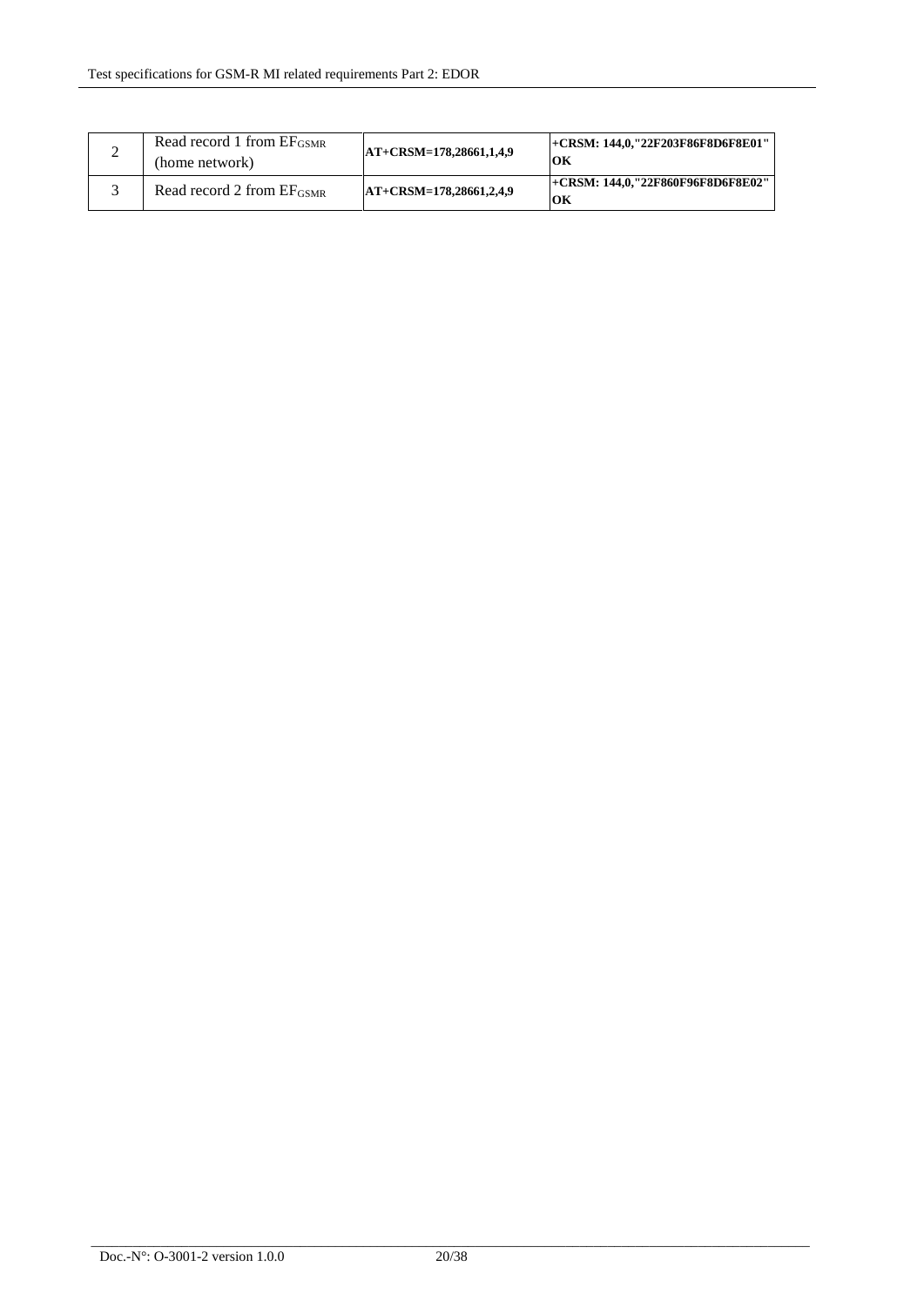| Read record 1 from $E_{\text{GSMR}}$<br>(home network) | AT+CRSM=178.28661.1.4.9 | +CRSM: 144,0,"22F203F86F8D6F8E01"<br>OК |
|--------------------------------------------------------|-------------------------|-----------------------------------------|
| Read record 2 from EF <sub>GSMR</sub>                  | AT+CRSM=178.28661.2.4.9 | +CRSM: 144.0."22F860F96F8D6F8E02"<br>OК |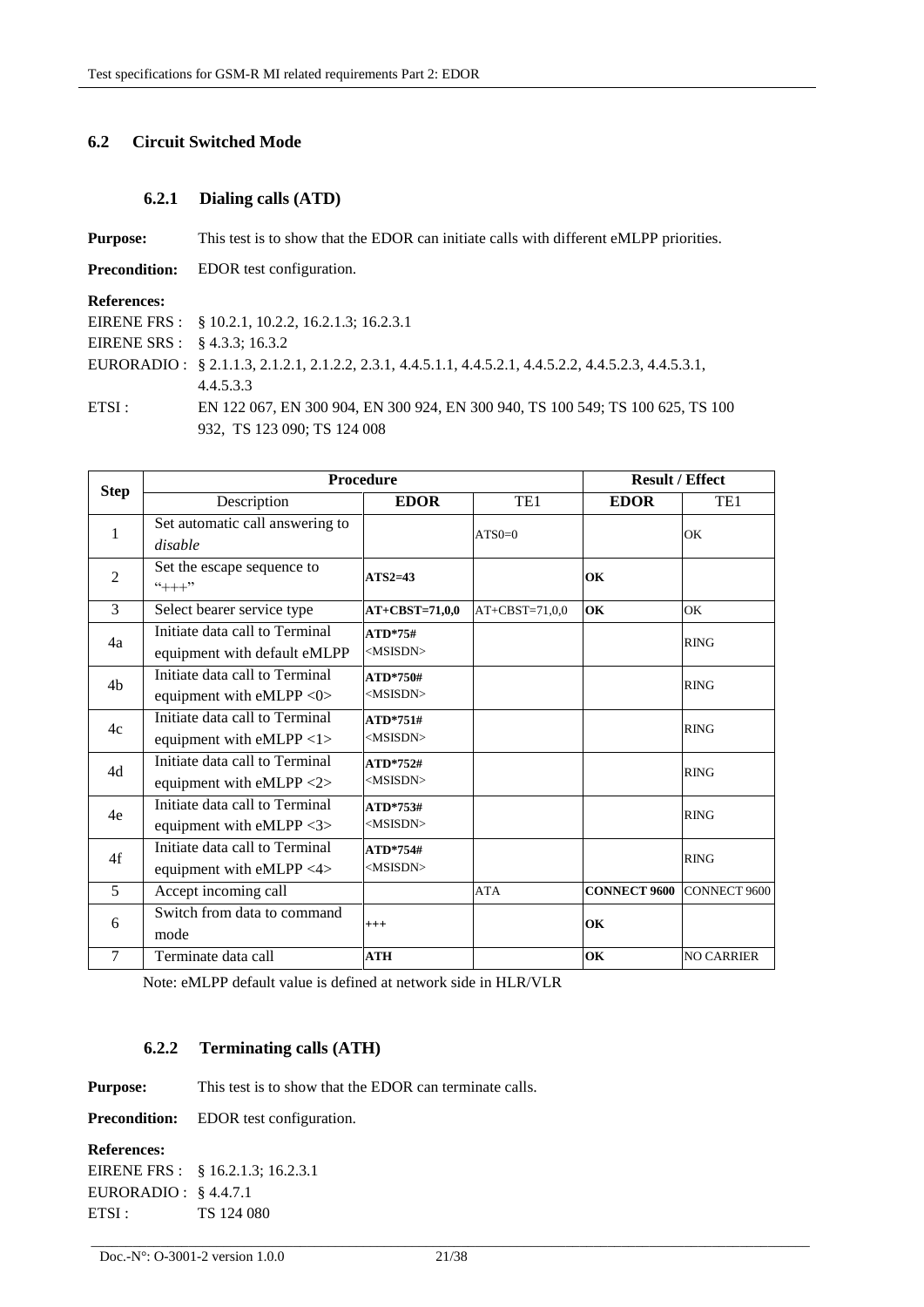## **6.2 Circuit Switched Mode**

## **6.2.1 Dialing calls (ATD)**

| <b>Purpose:</b>                  | This test is to show that the EDOR can initiate calls with different eMLPP priorities.                |
|----------------------------------|-------------------------------------------------------------------------------------------------------|
| <b>Precondition:</b>             | EDOR test configuration.                                                                              |
| <b>References:</b>               |                                                                                                       |
|                                  | EIRENE FRS : § 10.2.1, 10.2.2, 16.2.1.3; 16.2.3.1                                                     |
| EIRENE SRS : $\& 4.3.3$ ; 16.3.2 |                                                                                                       |
|                                  | EURORADIO: § 2.1.1.3, 2.1.2.1, 2.1.2.2, 2.3.1, 4.4.5.1.1, 4.4.5.2.1, 4.4.5.2.2, 4.4.5.2.3, 4.4.5.3.1, |
|                                  | 4.4.5.3.3                                                                                             |
| ETSI:                            | EN 122 067, EN 300 904, EN 300 924, EN 300 940, TS 100 549; TS 100 625, TS 100                        |
|                                  | 932, TS 123 090; TS 124 008                                                                           |

|                | <b>Procedure</b>                         |                  |                  | <b>Result / Effect</b> |                     |
|----------------|------------------------------------------|------------------|------------------|------------------------|---------------------|
| <b>Step</b>    | Description                              | <b>EDOR</b>      | TE1              | <b>EDOR</b>            | TE <sub>1</sub>     |
| 1              | Set automatic call answering to          |                  | $ATSO=0$         |                        | OK                  |
|                | disable                                  |                  |                  |                        |                     |
| 2              | Set the escape sequence to               | $ATS2=43$        |                  | OК                     |                     |
|                | $4++7$                                   |                  |                  |                        |                     |
| 3              | Select bearer service type               | $AT+CBST=71,0,0$ | $AT+CBST=71,0,0$ | OK                     | OK                  |
| 4a             | Initiate data call to Terminal           | $ATD*75#$        |                  |                        | <b>RING</b>         |
|                | equipment with default eMLPP             | $<$ MSISDN $>$   |                  |                        |                     |
| 4 <sub>b</sub> | Initiate data call to Terminal           | ATD*750#         |                  |                        | <b>RING</b>         |
|                | equipment with eMLPP $<0>$               | $<$ MSISDN>      |                  |                        |                     |
| 4c             | Initiate data call to Terminal           | $ATD*751#$       |                  |                        | <b>RING</b>         |
|                | equipment with eMLPP <1>                 | $<$ MSISDN>      |                  |                        |                     |
| 4d             | Initiate data call to Terminal           | ATD*752#         |                  |                        | <b>RING</b>         |
|                | equipment with eMLPP $\langle 2 \rangle$ | $<$ MSISDN>      |                  |                        |                     |
| 4e             | Initiate data call to Terminal           | ATD*753#         |                  |                        | <b>RING</b>         |
|                | equipment with eMLPP $\langle 3 \rangle$ | $<$ MSISDN>      |                  |                        |                     |
| 4f             | Initiate data call to Terminal           | ATD*754#         |                  |                        | <b>RING</b>         |
|                | equipment with eMLPP <4>                 | $<$ MSISDN>      |                  |                        |                     |
| 5              | Accept incoming call                     |                  | <b>ATA</b>       | <b>CONNECT 9600</b>    | <b>CONNECT 9600</b> |
| 6              | Switch from data to command              | $+++$            |                  | OK                     |                     |
|                | mode                                     |                  |                  |                        |                     |
| 7              | Terminate data call                      | <b>ATH</b>       |                  | OK                     | <b>NO CARRIER</b>   |

Note: eMLPP default value is defined at network side in HLR/VLR

## **6.2.2 Terminating calls (ATH)**

**Purpose:** This test is to show that the EDOR can terminate calls.

**Precondition:** EDOR test configuration.

#### **References:**

EIRENE FRS : § 16.2.1.3; 16.2.3.1 EURORADIO : § 4.4.7.1 ETSI : TS 124 080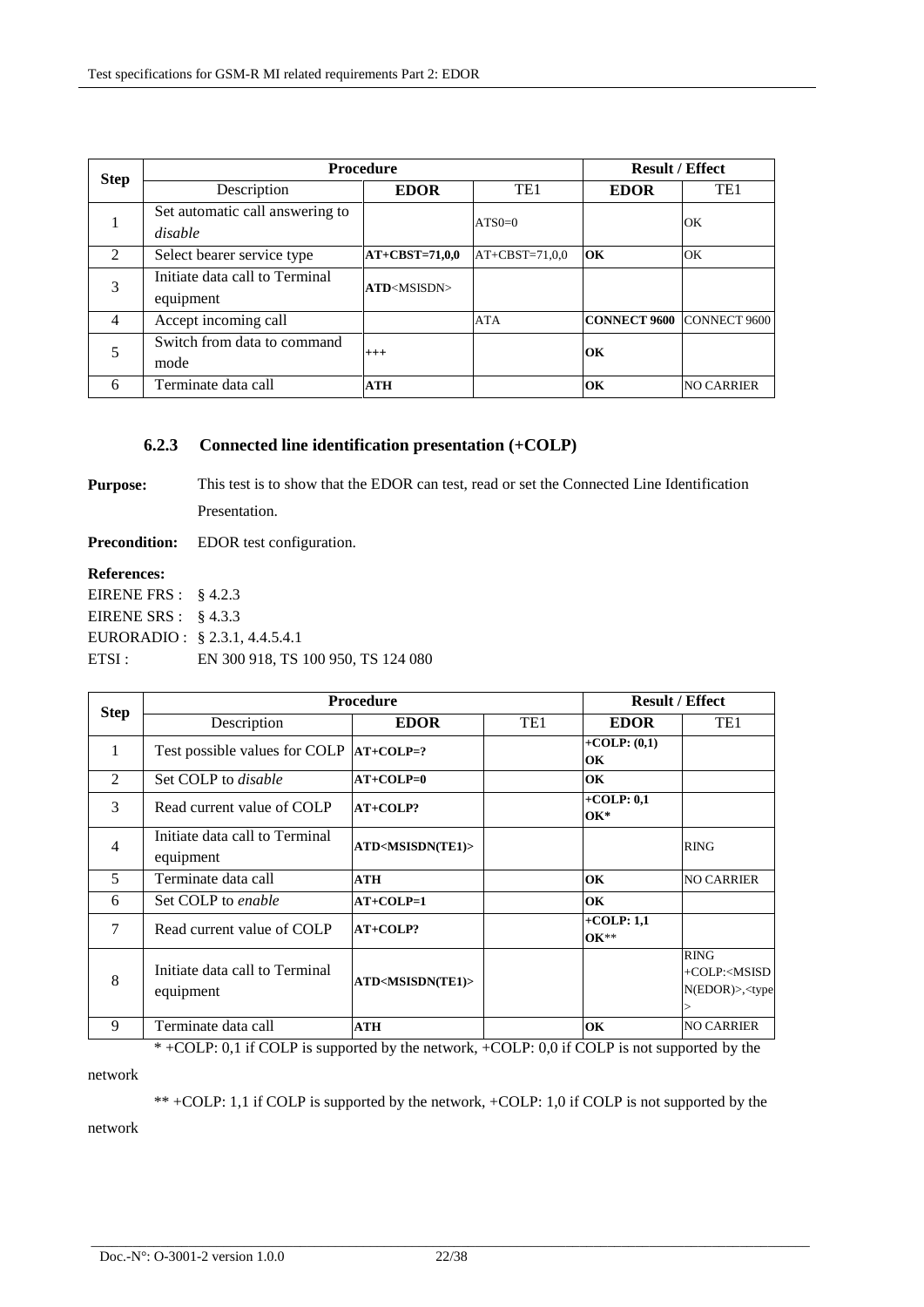| <b>Step</b>    | <b>Procedure</b>                            |                       |                  | <b>Result / Effect</b>    |                   |
|----------------|---------------------------------------------|-----------------------|------------------|---------------------------|-------------------|
|                | Description                                 | <b>EDOR</b>           | TE <sub>1</sub>  | <b>EDOR</b>               | TE <sub>1</sub>   |
|                | Set automatic call answering to<br>disable  |                       | $ATS0=0$         |                           | OK                |
| $\mathfrak{D}$ | Select bearer service type                  | $AT+CBST=71,0,0$      | $AT+CBST=71,0,0$ | OK                        | OK                |
| 3              | Initiate data call to Terminal<br>equipment | ATD <msisdn></msisdn> |                  |                           |                   |
| 4              | Accept incoming call                        |                       | <b>ATA</b>       | CONNECT 9600 CONNECT 9600 |                   |
|                | Switch from data to command<br>mode         | $^{+++}$              |                  | OК                        |                   |
| 6              | Terminate data call                         | <b>ATH</b>            |                  | OК                        | <b>NO CARRIER</b> |

#### **6.2.3 Connected line identification presentation (+COLP)**

**Purpose:** This test is to show that the EDOR can test, read or set the Connected Line Identification Presentation.

**Precondition:** EDOR test configuration.

## **References:**

| EIRENE FRS : $\& 4.2.3$ |                                    |
|-------------------------|------------------------------------|
| EIRENE SRS : $§ 4.3.3$  |                                    |
|                         | EURORADIO : § 2.3.1, 4.4.5.4.1     |
| ETSI :                  | EN 300 918, TS 100 950, TS 124 080 |

| <b>Step</b>    | <b>Procedure</b>                            |                                 |                 | <b>Result / Effect</b> |                                                                                           |
|----------------|---------------------------------------------|---------------------------------|-----------------|------------------------|-------------------------------------------------------------------------------------------|
|                | Description                                 | <b>EDOR</b>                     | TE <sub>1</sub> | <b>EDOR</b>            | TE <sub>1</sub>                                                                           |
| 1              | Test possible values for COLP               | $AT+COLP=?$                     |                 | $+COLP: (0,1)$<br>OK   |                                                                                           |
| $\mathcal{L}$  | Set COLP to <i>disable</i>                  | $AT+COLP=0$                     |                 | OK                     |                                                                                           |
| 3              | Read current value of COLP                  | $AT+COLP?$                      |                 | $+COLP: 0.1$<br>$OK^*$ |                                                                                           |
| $\overline{4}$ | Initiate data call to Terminal<br>equipment | ATD <msisdn(te1)></msisdn(te1)> |                 |                        | <b>RING</b>                                                                               |
| 5              | Terminate data call                         | ATH                             |                 | OK                     | <b>NO CARRIER</b>                                                                         |
| 6              | Set COLP to enable                          | $AT+COLP=1$                     |                 | OK                     |                                                                                           |
| 7              | Read current value of COLP                  | $AT+COLP?$                      |                 | $+COLP: 1,1$<br>$OK**$ |                                                                                           |
| 8              | Initiate data call to Terminal<br>equipment | ATD <msisdn(te1)></msisdn(te1)> |                 |                        | <b>RING</b><br>+COLP: <msisd<br><math>N(EDOR)</math>&gt;,<type< td=""></type<></msisd<br> |
| 9              | Terminate data call                         | ATH                             |                 | OK                     | <b>NO CARRIER</b>                                                                         |

\* +COLP: 0,1 if COLP is supported by the network, +COLP: 0,0 if COLP is not supported by the

network

\*\* +COLP: 1,1 if COLP is supported by the network, +COLP: 1,0 if COLP is not supported by the

network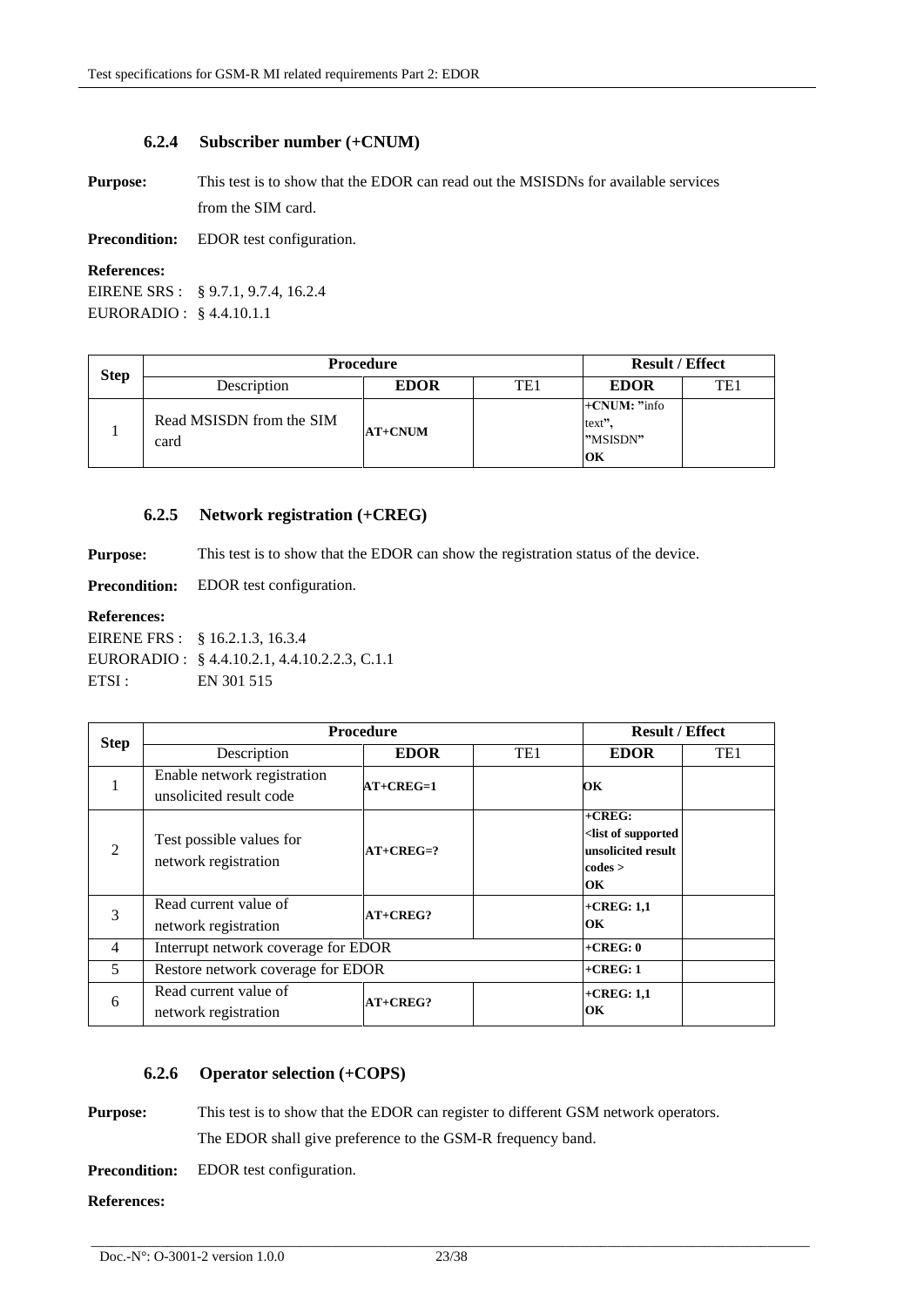### **6.2.4 Subscriber number (+CNUM)**

**Purpose:** This test is to show that the EDOR can read out the MSISDNs for available services from the SIM card.

**Precondition:** EDOR test configuration.

#### **References:**

EIRENE SRS : § 9.7.1, 9.7.4, 16.2.4 EURORADIO : § 4.4.10.1.1

| <b>Step</b> | <b>Procedure</b>                 |             | <b>Result / Effect</b> |                                            |     |
|-------------|----------------------------------|-------------|------------------------|--------------------------------------------|-----|
|             | Description                      | <b>EDOR</b> | TE1                    | <b>EDOR</b>                                | TE1 |
|             | Read MSISDN from the SIM<br>card | $AT+CNUM$   |                        | $+CNUM:$ "info<br>text".<br>"MSISDN"<br>OК |     |

#### **6.2.5 Network registration (+CREG)**

**Purpose:** This test is to show that the EDOR can show the registration status of the device.

**Precondition:** EDOR test configuration.

#### **References:**

EIRENE FRS : § 16.2.1.3, 16.3.4 EURORADIO : § 4.4.10.2.1, 4.4.10.2.2.3, C.1.1 ETSI : EN 301 515

| <b>Step</b>    | <b>Procedure</b>                                       |             | <b>Result / Effect</b> |                                                                                          |     |
|----------------|--------------------------------------------------------|-------------|------------------------|------------------------------------------------------------------------------------------|-----|
|                | Description                                            | <b>EDOR</b> | TE <sub>1</sub>        | <b>EDOR</b>                                                                              | TE1 |
| 1              | Enable network registration<br>unsolicited result code | $AT+CREG=1$ |                        | OК                                                                                       |     |
| 2              | Test possible values for<br>network registration       | $AT+CREG=?$ |                        | $+CREG$ :<br><list of="" supported<br="">unsolicited result<br/>codes &gt;<br/>OК</list> |     |
| 3              | Read current value of<br>network registration          | $AT+CREG?$  |                        | $+$ CREG: 1,1<br>OK                                                                      |     |
| $\overline{4}$ | Interrupt network coverage for EDOR                    |             |                        | $+CREG: 0$                                                                               |     |
| 5              | Restore network coverage for EDOR                      |             |                        | $+CREG: 1$                                                                               |     |
| 6              | Read current value of<br>network registration          | $AT+CREG?$  |                        | $+$ CREG: 1,1<br>OК                                                                      |     |

### **6.2.6 Operator selection (+COPS)**

**Purpose:** This test is to show that the EDOR can register to different GSM network operators.

The EDOR shall give preference to the GSM-R frequency band.

**Precondition:** EDOR test configuration.

**References:**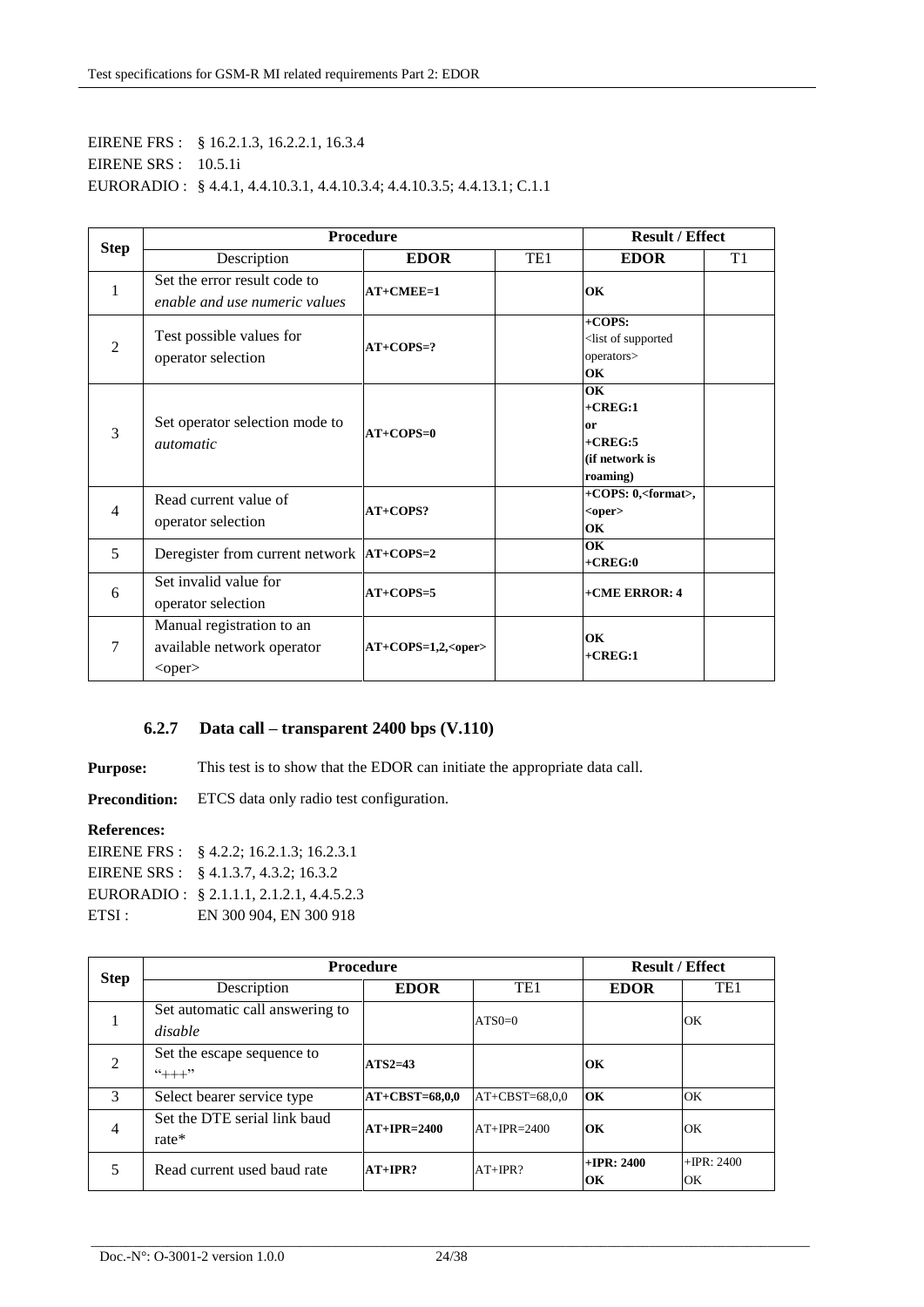## EIRENE FRS : § 16.2.1.3, 16.2.2.1, 16.3.4 EIRENE SRS : 10.5.1i EURORADIO : § 4.4.1, 4.4.10.3.1, 4.4.10.3.4; 4.4.10.3.5; 4.4.13.1; C.1.1

|                | <b>Procedure</b><br><b>Result / Effect</b>                              |                  |     |                                                                             |                |
|----------------|-------------------------------------------------------------------------|------------------|-----|-----------------------------------------------------------------------------|----------------|
| <b>Step</b>    | Description                                                             | <b>EDOR</b>      | TE1 | <b>EDOR</b>                                                                 | T <sub>1</sub> |
| 1              | Set the error result code to<br>enable and use numeric values           | $AT+CMEE=1$      |     | OK                                                                          |                |
| $\overline{2}$ | Test possible values for<br>operator selection                          | $AT+COPS=?$      |     | $+COPS:$<br><list of="" supported<br="">operators&gt;<br/>OК</list>         |                |
| 3              | Set operator selection mode to<br><i>automatic</i>                      | $AT+COPS=0$      |     | OК<br>$+CREG:1$<br><sub>or</sub><br>$+CREG:5$<br>(if network is<br>roaming) |                |
| $\overline{4}$ | Read current value of<br>operator selection                             | $AT+COPS?$       |     | $+$ COPS: 0, <format>,<br/><oper><br/>OК</oper></format>                    |                |
| 5              | Deregister from current network  AT+COPS=2                              |                  |     | OK<br>$+CREG:0$                                                             |                |
| 6              | Set invalid value for<br>operator selection                             | $AT+COPS=5$      |     | +CME ERROR: 4                                                               |                |
| 7              | Manual registration to an<br>available network operator<br>$<$ oper $>$ | $AT+COPS=1,2, 2$ |     | OК<br>$+CREG:1$                                                             |                |

## **6.2.7 Data call – transparent 2400 bps (V.110)**

**Purpose:** This test is to show that the EDOR can initiate the appropriate data call.

**Precondition:** ETCS data only radio test configuration.

#### **References:**

|       | EIRENE FRS : $\S$ 4.2.2; 16.2.1.3; 16.2.3.1 |
|-------|---------------------------------------------|
|       | EIRENE SRS : § 4.1.3.7, 4.3.2; 16.3.2       |
|       | EURORADIO: § 2.1.1.1, 2.1.2.1, 4.4.5.2.3    |
| ETSI: | EN 300 904, EN 300 918                      |

| <b>Step</b>    | <b>Procedure</b>                           |                  |                  | <b>Result / Effect</b>      |                     |
|----------------|--------------------------------------------|------------------|------------------|-----------------------------|---------------------|
|                | Description                                | <b>EDOR</b>      | TE <sub>1</sub>  | <b>EDOR</b>                 | TE <sub>1</sub>     |
|                | Set automatic call answering to<br>disable |                  | $ATSO=0$         |                             | OK                  |
| $\mathfrak{D}$ | Set the escape sequence to<br>$4++7$       | $ATS2=43$        |                  | OК                          |                     |
| 3              | Select bearer service type                 | $AT+CBST=68,0,0$ | $AT+CBST=68,0,0$ | OК                          | OK                  |
| $\overline{4}$ | Set the DTE serial link baud<br>rate*      | $AT+IPR=2400$    | $AT+IPR=2400$    | OK                          | OK                  |
|                | Read current used band rate                | $AT+IPR?$        | $AT+IPR?$        | $+$ <b>IPR</b> : 2400<br>OК | $+$ IPR: 2400<br>OK |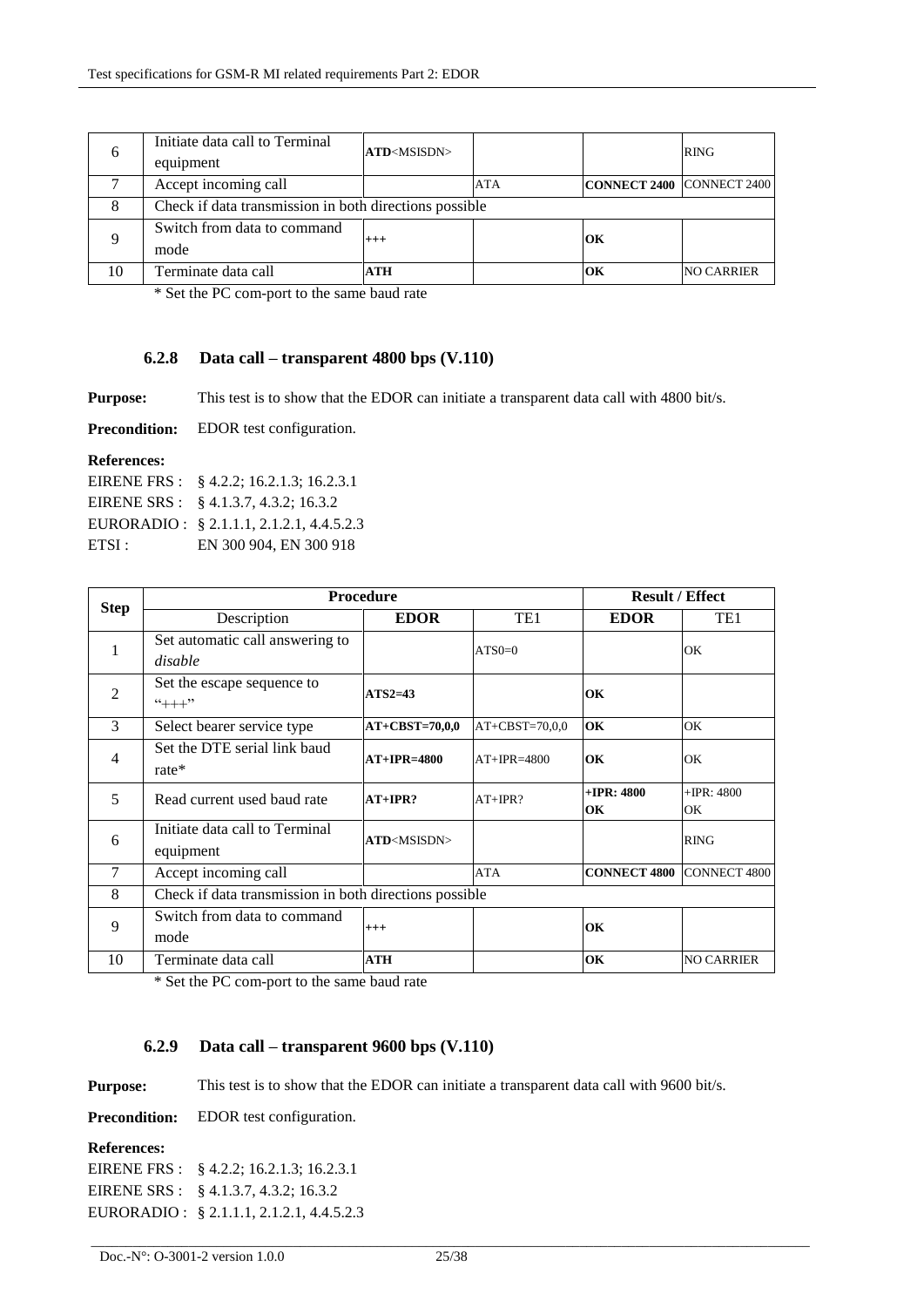| $\sigma$ | Initiate data call to Terminal<br>equipment            | ATD <msisdn></msisdn> |            |                           | <b>RING</b>       |
|----------|--------------------------------------------------------|-----------------------|------------|---------------------------|-------------------|
|          | Accept incoming call                                   |                       | <b>ATA</b> | CONNECT 2400 CONNECT 2400 |                   |
| 8        | Check if data transmission in both directions possible |                       |            |                           |                   |
|          | Switch from data to command<br>mode                    | $^{+++}$              |            | ЮK                        |                   |
| 10       | Terminate data call                                    | <b>ATH</b>            |            | OК                        | <b>NO CARRIER</b> |

\* Set the PC com-port to the same baud rate

#### **6.2.8 Data call – transparent 4800 bps (V.110)**

**Purpose:** This test is to show that the EDOR can initiate a transparent data call with 4800 bit/s.

**Precondition:** EDOR test configuration.

#### **References:**

|       | EIRENE FRS : $\& 4.2.2$ ; 16.2.1.3; 16.2.3.1 |
|-------|----------------------------------------------|
|       | EIRENE SRS : $\& 4.1.3.7, 4.3.2; 16.3.2$     |
|       | EURORADIO: § 2.1.1.1, 2.1.2.1, 4.4.5.2.3     |
| ETSI: | EN 300 904, EN 300 918                       |

| <b>Step</b>    | <b>Procedure</b>                                       |                              |                  |                             | <b>Result / Effect</b> |  |
|----------------|--------------------------------------------------------|------------------------------|------------------|-----------------------------|------------------------|--|
|                | Description                                            | <b>EDOR</b>                  | TE1              | <b>EDOR</b>                 | TE <sub>1</sub>        |  |
| 1              | Set automatic call answering to<br>disable             |                              | $ATSO=0$         |                             | OK                     |  |
| $\overline{2}$ | Set the escape sequence to<br>$4++7$                   | $ATS2=43$                    |                  | OК                          |                        |  |
| 3              | Select bearer service type                             | $AT+CBST=70,0,0$             | $AT+CBST=70,0.0$ | OK                          | OK                     |  |
| 4              | Set the DTE serial link baud<br>rate $*$               | $AT+IPR=4800$                | $AT+IPR=4800$    | OК                          | OK                     |  |
| 5              | Read current used baud rate                            | $AT+IPR?$                    | $AT+IPR?$        | $+$ <b>IPR</b> : 4800<br>OК | $+$ IPR: 4800<br>OK    |  |
| 6              | Initiate data call to Terminal<br>equipment            | <b>ATD</b> <msisdn></msisdn> |                  |                             | <b>RING</b>            |  |
| 7              | Accept incoming call                                   |                              | <b>ATA</b>       | <b>CONNECT 4800</b>         | <b>CONNECT 4800</b>    |  |
| 8              | Check if data transmission in both directions possible |                              |                  |                             |                        |  |
| 9              | Switch from data to command<br>mode                    | $+++$                        |                  | OK                          |                        |  |
| 10             | Terminate data call                                    | <b>ATH</b>                   |                  | OK                          | <b>NO CARRIER</b>      |  |

\* Set the PC com-port to the same baud rate

### **6.2.9 Data call – transparent 9600 bps (V.110)**

**Purpose:** This test is to show that the EDOR can initiate a transparent data call with 9600 bit/s.

**Precondition:** EDOR test configuration.

## **References:**

EIRENE FRS : § 4.2.2; 16.2.1.3; 16.2.3.1 EIRENE SRS : § 4.1.3.7, 4.3.2; 16.3.2 EURORADIO : § 2.1.1.1, 2.1.2.1, 4.4.5.2.3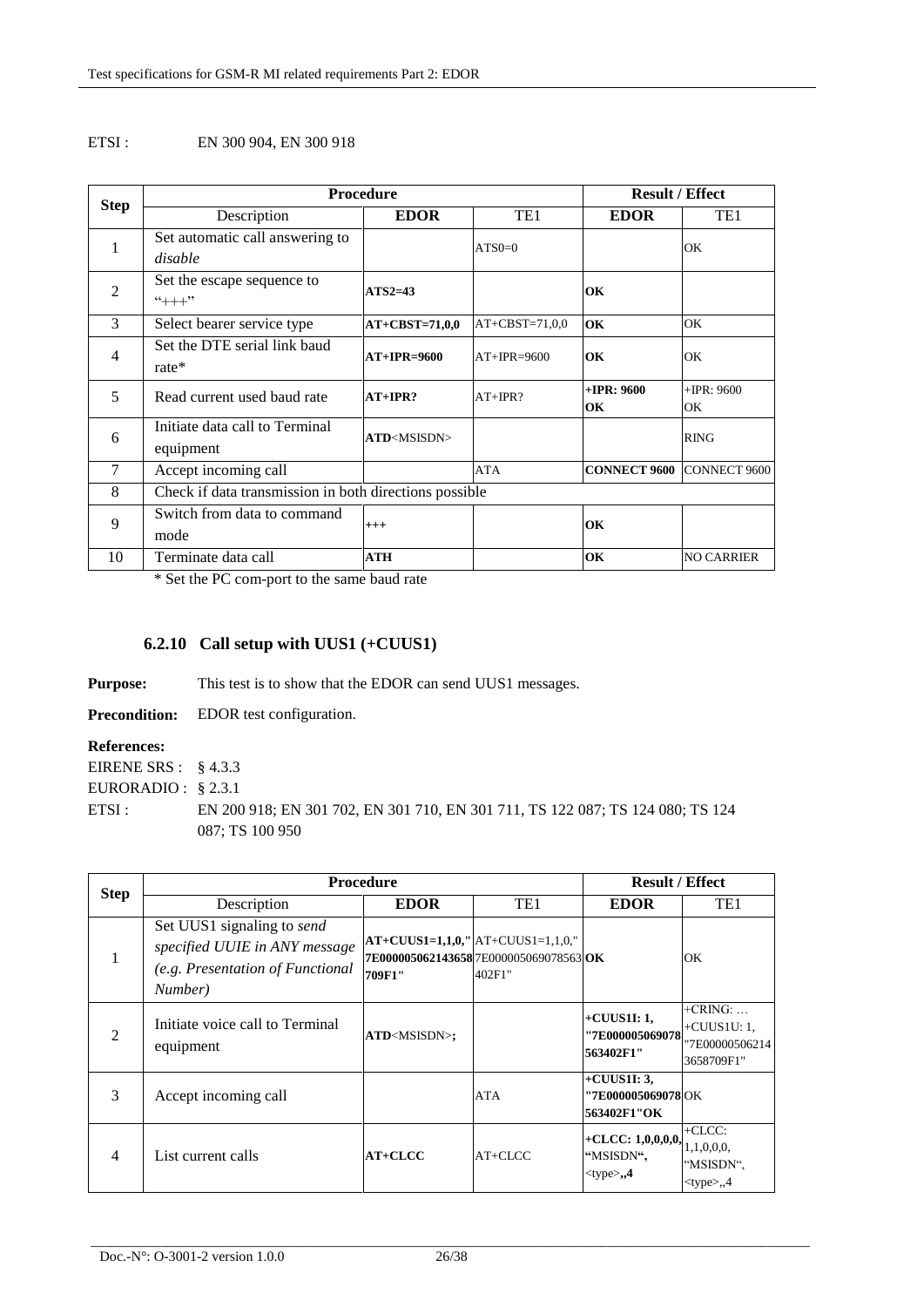#### ETSI : EN 300 904, EN 300 918

| <b>Step</b>    | <b>Procedure</b>                                       |                       |                  | <b>Result / Effect</b> |                   |
|----------------|--------------------------------------------------------|-----------------------|------------------|------------------------|-------------------|
|                | Description                                            | <b>EDOR</b>           | TE <sub>1</sub>  | <b>EDOR</b>            | TE <sub>1</sub>   |
| 1              | Set automatic call answering to                        |                       | $ATS0=0$         |                        | OK                |
|                | disable                                                |                       |                  |                        |                   |
| $\overline{2}$ | Set the escape sequence to                             | $ATS2=43$             |                  | OK                     |                   |
|                | $4 + + +$ "                                            |                       |                  |                        |                   |
| 3              | Select bearer service type                             | $AT+CBST=71,0,0$      | $AT+CBST=71,0,0$ | OK                     | OK                |
| 4              | Set the DTE serial link baud                           | $AT+IPR=9600$         | $AT+IPR=9600$    | OK                     | OK                |
|                | $rate*$                                                |                       |                  |                        |                   |
| 5              | Read current used baud rate                            | $AT+IPR?$             | $AT+IPR?$        | $+$ <b>IPR</b> : 9600  | $+$ IPR: 9600     |
|                |                                                        |                       |                  | OK                     | OK                |
| 6              | Initiate data call to Terminal                         | ATD <msisdn></msisdn> |                  |                        | <b>RING</b>       |
|                | equipment                                              |                       |                  |                        |                   |
| 7              | Accept incoming call                                   |                       | <b>ATA</b>       | <b>CONNECT 9600</b>    | CONNECT 9600      |
| 8              | Check if data transmission in both directions possible |                       |                  |                        |                   |
| 9              | Switch from data to command                            | $^{+++}$              |                  | OK                     |                   |
|                | mode                                                   |                       |                  |                        |                   |
| 10             | Terminate data call                                    | ATH                   |                  | OK                     | <b>NO CARRIER</b> |

\* Set the PC com-port to the same baud rate

## **6.2.10 Call setup with UUS1 (+CUUS1)**

**Purpose:** This test is to show that the EDOR can send UUS1 messages.

**Precondition:** EDOR test configuration.

#### **References:**

EIRENE SRS : § 4.3.3 EURORADIO : § 2.3.1 ETSI :

EN 200 918; EN 301 702, EN 301 710, EN 301 711, TS 122 087; TS 124 080; TS 124 087; TS 100 950

| <b>Step</b>                 | <b>Procedure</b>                                                                                           |                        |                                                                                            | <b>Result / Effect</b>                               |                                                                 |
|-----------------------------|------------------------------------------------------------------------------------------------------------|------------------------|--------------------------------------------------------------------------------------------|------------------------------------------------------|-----------------------------------------------------------------|
|                             | Description                                                                                                | <b>EDOR</b>            | TE1                                                                                        | <b>EDOR</b>                                          | TE1                                                             |
|                             | Set UUS1 signaling to send<br>specified UUIE in ANY message<br>(e.g. Presentation of Functional<br>Number) | 709F1"                 | $AT+CUUS1=1,1,0,''   AT+CUUS1=1,1,0,'$<br>7E000005062143658 7E000005069078563 OK<br>402F1" |                                                      | OK                                                              |
| $\mathcal{D}_{\mathcal{L}}$ | Initiate voice call to Terminal<br>equipment                                                               | ATD <msisdn>;</msisdn> |                                                                                            | $+CUUS1I:1,$<br><b>''7E000005069078</b><br>563402F1" | $+CRING: \dots$<br>$+CUUS1U:1,$<br>"7E00000506214<br>3658709F1" |
| 3                           | Accept incoming call                                                                                       |                        | <b>ATA</b>                                                                                 | $+CUUS1I: 3,$<br>''7E000005069078 OK<br>563402F1"OK  |                                                                 |
| 4                           | List current calls                                                                                         | $AT+CLCC$              | $AT+CLCC$                                                                                  | +CLCC: $1,0,0,0,0,$<br>"MSISDN",<br>$lt$ type $>, 4$ | $+CLCC$ :<br>1,1,0,0,0,<br>"MSISDN",<br>$<$ type $>$ ,,4        |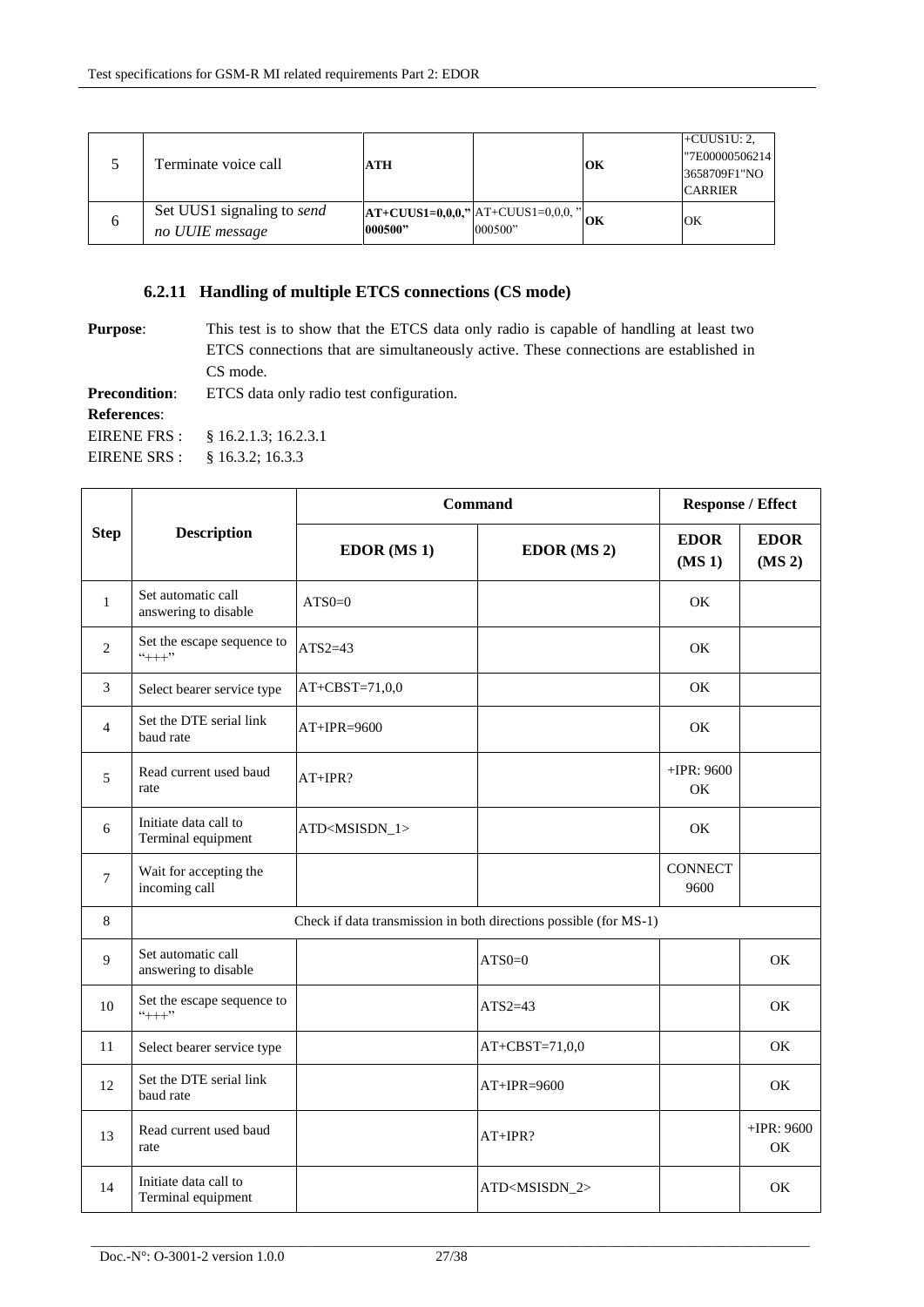|  | Terminate voice call                                 | ATH     |                                                  | OК | $+CUUS1U: 2,$<br>"7E00000506214<br>3658709F1"NO<br><b>CARRIER</b> |
|--|------------------------------------------------------|---------|--------------------------------------------------|----|-------------------------------------------------------------------|
|  | Set UUS1 signaling to <i>send</i><br>no UUIE message | 000500" | $ AT+CUUS1=0,0,0," AT+CUUS1=0,0,0," $<br>000500" | OК | OK                                                                |

## **6.2.11 Handling of multiple ETCS connections (CS mode)**

**Purpose:** This test is to show that the ETCS data only radio is capable of handling at least two ETCS connections that are simultaneously active. These connections are established in CS mode.

**Precondition:** ETCS data only radio test configuration.

**References**:

EIRENE FRS : § 16.2.1.3; 16.2.3.1

EIRENE SRS : § 16.3.2; 16.3.3

|                |                                                                   | <b>Command</b>            | <b>Response / Effect</b>  |                         |                                   |
|----------------|-------------------------------------------------------------------|---------------------------|---------------------------|-------------------------|-----------------------------------|
| <b>Step</b>    | <b>Description</b>                                                | EDOR (MS 1)               | EDOR (MS 2)               | <b>EDOR</b><br>$(MS_1)$ | <b>EDOR</b><br>(MS <sub>2</sub> ) |
| $\mathbf{1}$   | Set automatic call<br>answering to disable                        | $ATSO=0$                  |                           | OK                      |                                   |
| $\overline{c}$ | Set the escape sequence to<br>$``+++"$                            | $ATS2=43$                 |                           | OK                      |                                   |
| 3              | Select bearer service type                                        | $AT+CBST=71,0,0$          |                           | OK.                     |                                   |
| $\overline{4}$ | Set the DTE serial link<br>baud rate                              | $AT+IPR=9600$             |                           | OK                      |                                   |
| 5              | Read current used baud<br>rate                                    | $AT+IPR?$                 |                           | $+$ IPR: 9600<br>OK     |                                   |
| $\sqrt{6}$     | Initiate data call to<br>Terminal equipment                       | ATD <msisdn_1></msisdn_1> |                           | ОK                      |                                   |
| 7              | Wait for accepting the<br>incoming call                           |                           |                           | <b>CONNECT</b><br>9600  |                                   |
| 8              | Check if data transmission in both directions possible (for MS-1) |                           |                           |                         |                                   |
| 9              | Set automatic call<br>answering to disable                        |                           | $ATS0=0$                  |                         | <b>OK</b>                         |
| 10             | Set the escape sequence to<br>$``++"$                             |                           | $ATS2=43$                 |                         | <b>OK</b>                         |
| 11             | Select bearer service type                                        |                           | $AT+CBST=71,0,0$          |                         | OK                                |
| 12             | Set the DTE serial link<br>baud rate                              |                           | $AT+IPR=9600$             |                         | <b>OK</b>                         |
| 13             | Read current used baud<br>rate                                    |                           | AT+IPR?                   |                         | $+IPR: 9600$<br>OK                |
| 14             | Initiate data call to<br>Terminal equipment                       |                           | ATD <msisdn_2></msisdn_2> |                         | OK                                |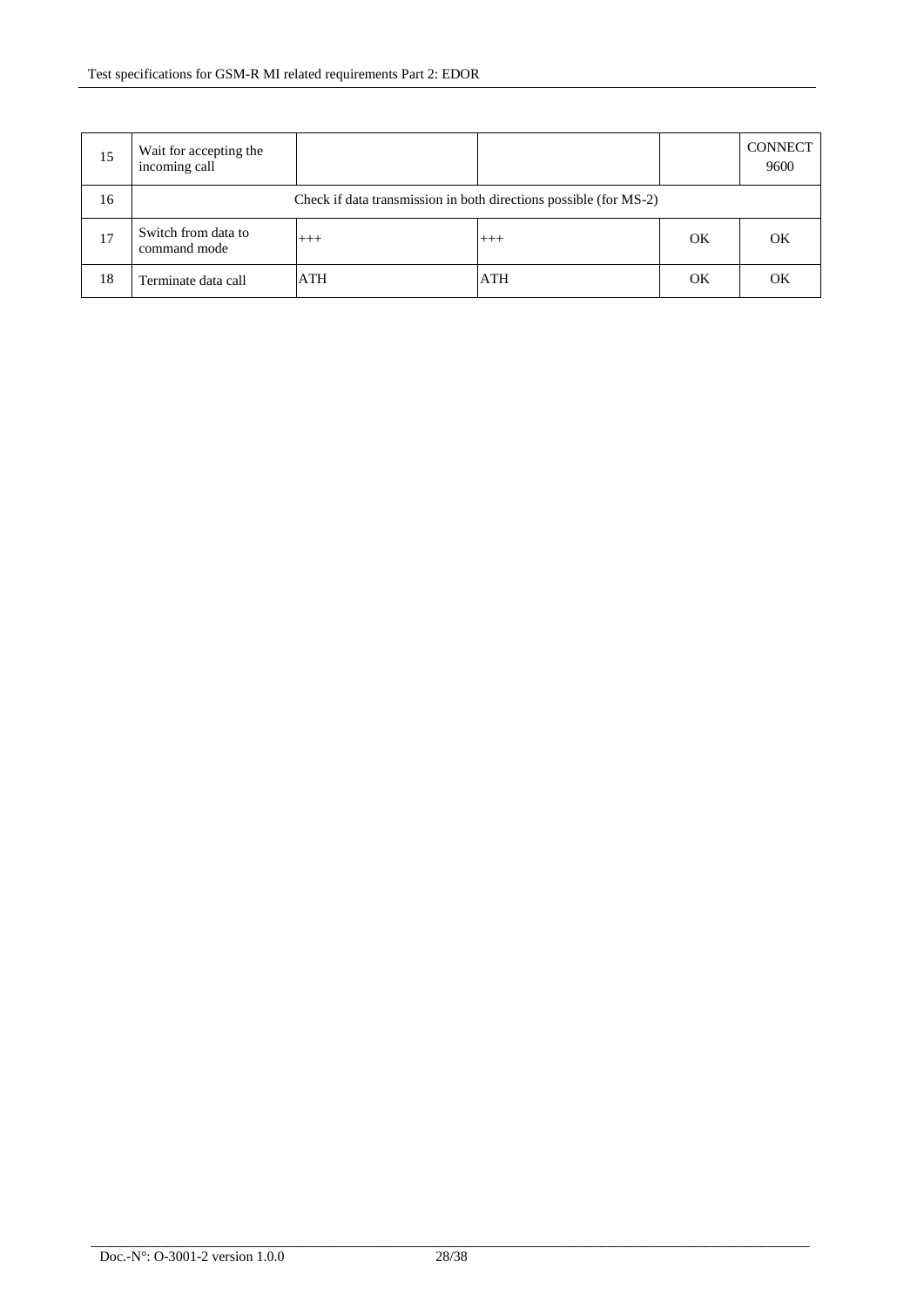| 15 | Wait for accepting the<br>incoming call                           |       |          |    | <b>CONNECT</b><br>9600 |
|----|-------------------------------------------------------------------|-------|----------|----|------------------------|
| 16 | Check if data transmission in both directions possible (for MS-2) |       |          |    |                        |
| 17 | Switch from data to<br>command mode                               | $+++$ | $^{+++}$ | OK | OK                     |
| 18 | Terminate data call                                               | ATH   | ATH      | OK | $\alpha$               |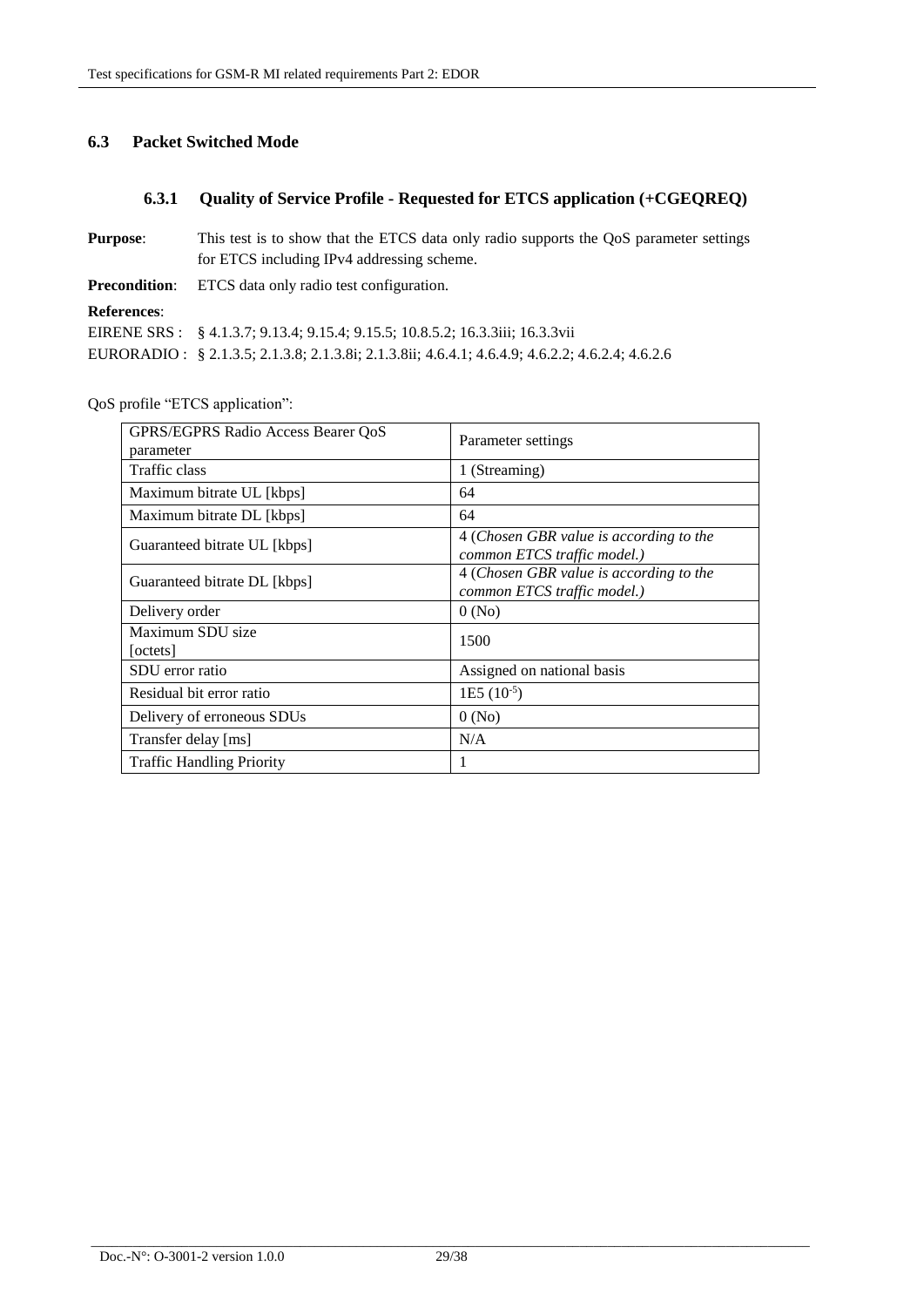## **6.3 Packet Switched Mode**

## **6.3.1 Quality of Service Profile - Requested for ETCS application (+CGEQREQ)**

| <b>Purpose:</b>                                               | This test is to show that the ETCS data only radio supports the QoS parameter settings          |  |  |  |
|---------------------------------------------------------------|-------------------------------------------------------------------------------------------------|--|--|--|
|                                                               | for ETCS including IPv4 addressing scheme.                                                      |  |  |  |
| <b>Precondition:</b> ETCS data only radio test configuration. |                                                                                                 |  |  |  |
| <b>References:</b>                                            |                                                                                                 |  |  |  |
|                                                               | EIRENE SRS: § 4.1.3.7; 9.13.4; 9.15.4; 9.15.5; 10.8.5.2; 16.3.3iii; 16.3.3vii                   |  |  |  |
|                                                               | EURORADIO: § 2.1.3.5; 2.1.3.8; 2.1.3.8i; 2.1.3.8ii; 4.6.4.1; 4.6.4.9; 4.6.2.2; 4.6.2.4; 4.6.2.6 |  |  |  |

QoS profile "ETCS application":

| <b>GPRS/EGPRS Radio Access Bearer OoS</b><br>parameter | Parameter settings                                                     |
|--------------------------------------------------------|------------------------------------------------------------------------|
| Traffic class                                          | 1 (Streaming)                                                          |
| Maximum bitrate UL [kbps]                              | 64                                                                     |
| Maximum bitrate DL [kbps]                              | 64                                                                     |
| Guaranteed bitrate UL [kbps]                           | 4 (Chosen GBR value is according to the<br>common ETCS traffic model.) |
| Guaranteed bitrate DL [kbps]                           | 4 (Chosen GBR value is according to the<br>common ETCS traffic model.) |
| Delivery order                                         | 0(No)                                                                  |
| Maximum SDU size<br>[octets]                           | 1500                                                                   |
| SDU error ratio                                        | Assigned on national basis                                             |
| Residual bit error ratio                               | $1E5 (10^{-5})$                                                        |
| Delivery of erroneous SDUs                             | 0(No)                                                                  |
| Transfer delay [ms]                                    | N/A                                                                    |
| <b>Traffic Handling Priority</b>                       | 1                                                                      |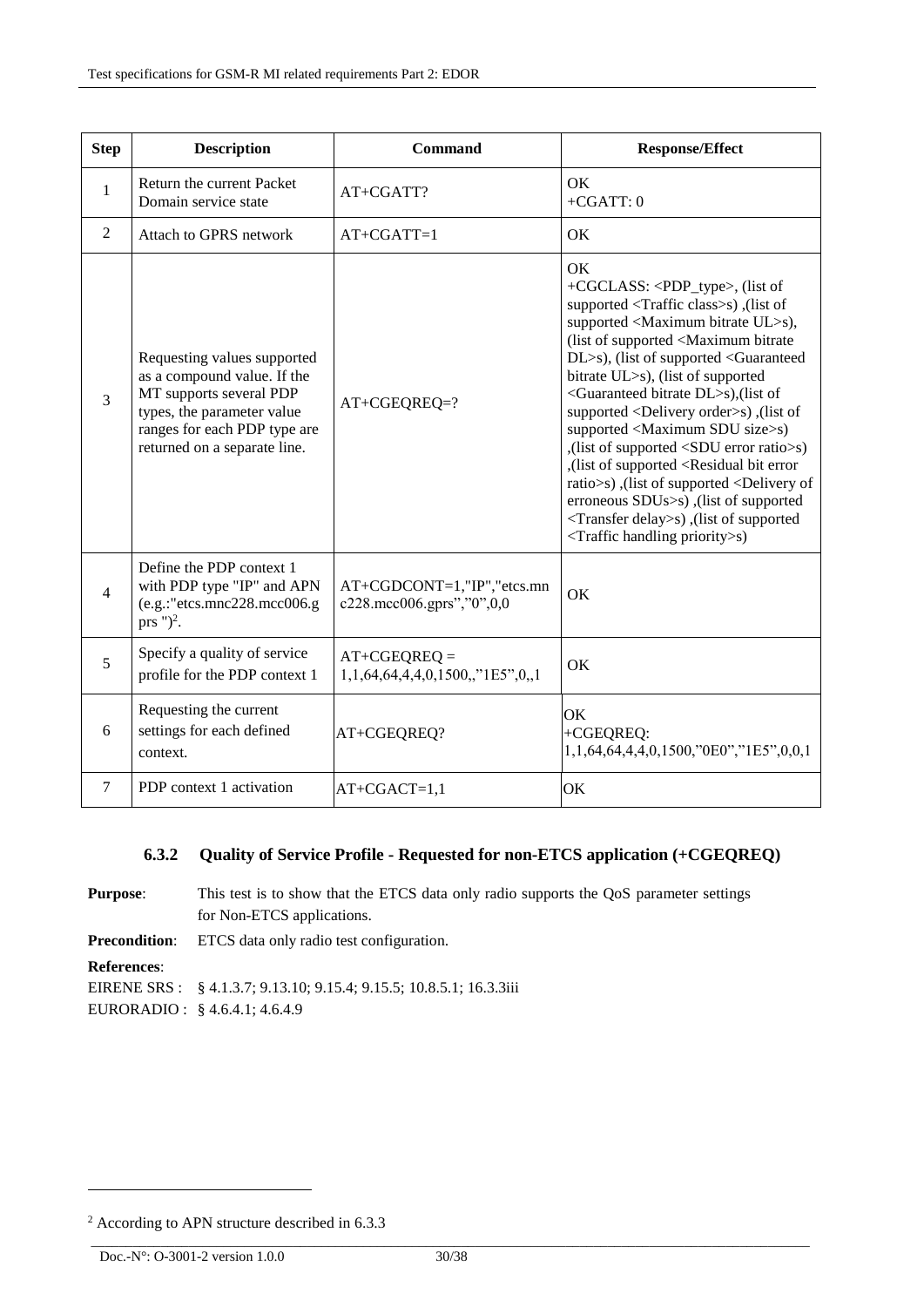| <b>Step</b>    | <b>Description</b>                                                                                                                                                                  | <b>Command</b>                                            | <b>Response/Effect</b>                                                                                                                                                                                                                                                                                                                                                                                                                                                                                                                                                                                                                                                                                                                                                                                                                      |
|----------------|-------------------------------------------------------------------------------------------------------------------------------------------------------------------------------------|-----------------------------------------------------------|---------------------------------------------------------------------------------------------------------------------------------------------------------------------------------------------------------------------------------------------------------------------------------------------------------------------------------------------------------------------------------------------------------------------------------------------------------------------------------------------------------------------------------------------------------------------------------------------------------------------------------------------------------------------------------------------------------------------------------------------------------------------------------------------------------------------------------------------|
| $\mathbf{1}$   | Return the current Packet<br>Domain service state                                                                                                                                   | AT+CGATT?                                                 | OK<br>$+CGATT:0$                                                                                                                                                                                                                                                                                                                                                                                                                                                                                                                                                                                                                                                                                                                                                                                                                            |
| 2              | Attach to GPRS network                                                                                                                                                              | $AT+CGATT=1$                                              | OK                                                                                                                                                                                                                                                                                                                                                                                                                                                                                                                                                                                                                                                                                                                                                                                                                                          |
| 3              | Requesting values supported<br>as a compound value. If the<br>MT supports several PDP<br>types, the parameter value<br>ranges for each PDP type are<br>returned on a separate line. | AT+CGEQREQ=?                                              | <b>OK</b><br>+CGCLASS: <pdp_type>, (list of<br/>supported <traffic class="">s), (list of<br/>supported <maximum bitrate="" ul="">s),<br/>(list of supported <maximum bitrate<br="">DL&gt;s), (list of supported <guaranteed<br>bitrate UL&gt;s), (list of supported<br/><guaranteed bitrate="" dl="">s), (list of<br/>supported <delivery order="">s), (list of<br/>supported <maximum sdu="" size="">s)<br/>(list of supported <sdu error="" ratio="">s)<br/>(list of supported <residual bit="" error<br="">ratio&gt;s), (list of supported <delivery of<br="">erroneous SDUs&gt;s), (list of supported<br/><transfer delay="">s), (list of supported<br/><traffic handling="" priority="">s)</traffic></transfer></delivery></residual></sdu></maximum></delivery></guaranteed></guaranteed<br></maximum></maximum></traffic></pdp_type> |
| $\overline{4}$ | Define the PDP context 1<br>with PDP type "IP" and APN<br>$(e.g.:$ "etcs.mnc $228.\text{mcc}006.\text{g}$<br>prs " $)^2$ .                                                          | AT+CGDCONT=1,"IP","etcs.mn<br>c228.mcc006.gprs","0",0,0   | OK                                                                                                                                                                                                                                                                                                                                                                                                                                                                                                                                                                                                                                                                                                                                                                                                                                          |
| 5              | Specify a quality of service<br>profile for the PDP context 1                                                                                                                       | $AT+CGEOREQ =$<br>$1,1,64,64,4,4,0,1500$ ,," $1E5$ ",0,,1 | OK                                                                                                                                                                                                                                                                                                                                                                                                                                                                                                                                                                                                                                                                                                                                                                                                                                          |
| 6              | Requesting the current<br>settings for each defined<br>context.                                                                                                                     | AT+CGEQREQ?                                               | OK<br>+CGEQREQ:<br>1,1,64,64,4,4,0,1500,"0E0","1E5",0,0,1                                                                                                                                                                                                                                                                                                                                                                                                                                                                                                                                                                                                                                                                                                                                                                                   |
| 7              | PDP context 1 activation                                                                                                                                                            | $AT+CGACT=1,1$                                            | OK                                                                                                                                                                                                                                                                                                                                                                                                                                                                                                                                                                                                                                                                                                                                                                                                                                          |

## **6.3.2 Quality of Service Profile - Requested for non-ETCS application (+CGEQREQ)**

**Purpose:** This test is to show that the ETCS data only radio supports the QoS parameter settings for Non-ETCS applications. **Precondition**: ETCS data only radio test configuration. **References**: EIRENE SRS : § 4.1.3.7; 9.13.10; 9.15.4; 9.15.5; 10.8.5.1; 16.3.3iii EURORADIO : § 4.6.4.1; 4.6.4.9

-

<sup>2</sup> According to APN structure described in [6.3.3](#page-32-0)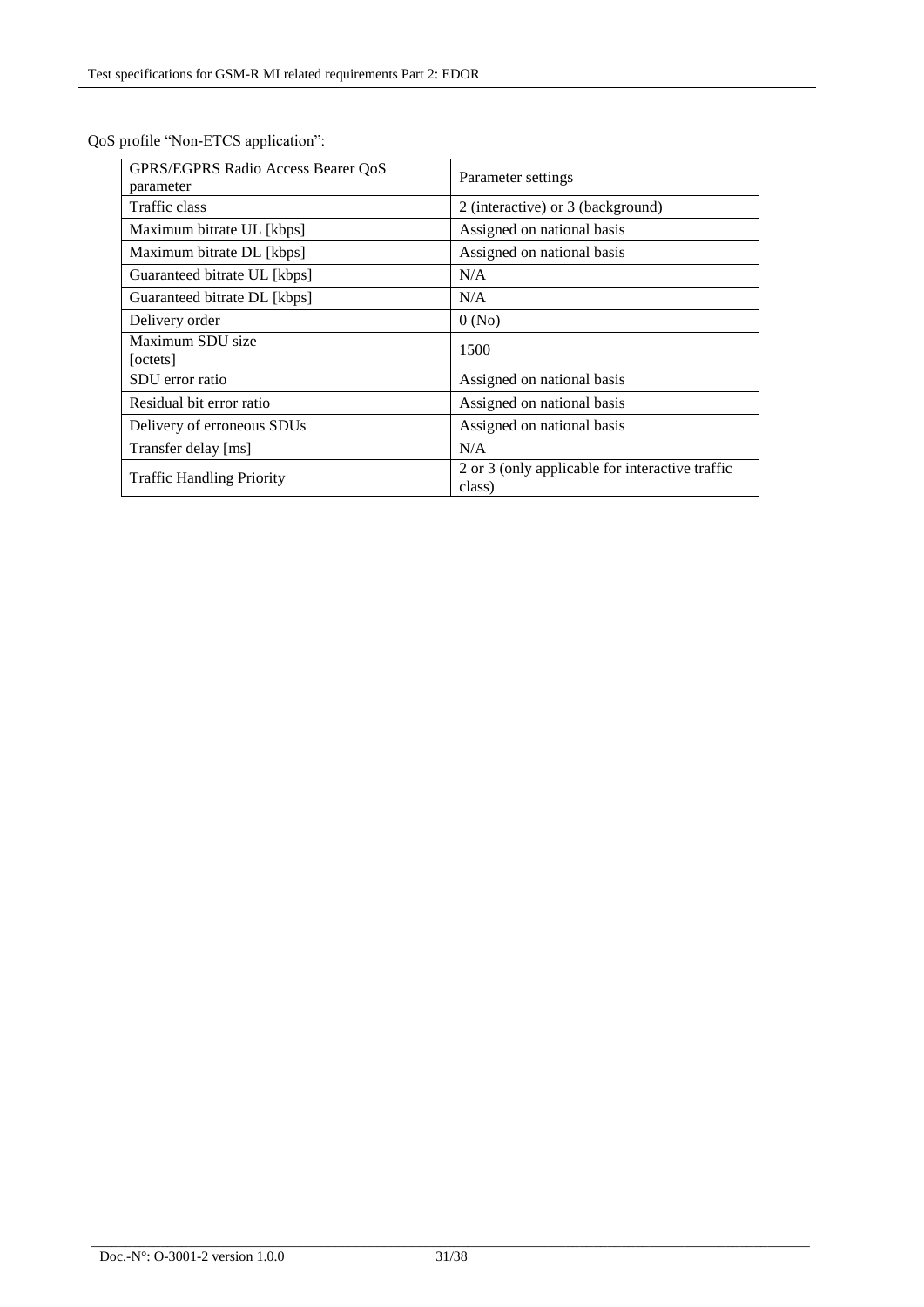| GPRS/EGPRS Radio Access Bearer QoS<br>parameter | Parameter settings                                        |
|-------------------------------------------------|-----------------------------------------------------------|
| Traffic class                                   | 2 (interactive) or 3 (background)                         |
| Maximum bitrate UL [kbps]                       | Assigned on national basis                                |
| Maximum bitrate DL [kbps]                       | Assigned on national basis                                |
| Guaranteed bitrate UL [kbps]                    | N/A                                                       |
| Guaranteed bitrate DL [kbps]                    | N/A                                                       |
| Delivery order                                  | 0(No)                                                     |
| Maximum SDU size<br>[octets]                    | 1500                                                      |
| SDU error ratio                                 | Assigned on national basis                                |
| Residual bit error ratio                        | Assigned on national basis                                |
| Delivery of erroneous SDUs                      | Assigned on national basis                                |
| Transfer delay [ms]                             | N/A                                                       |
| <b>Traffic Handling Priority</b>                | 2 or 3 (only applicable for interactive traffic<br>class) |

QoS profile "Non-ETCS application":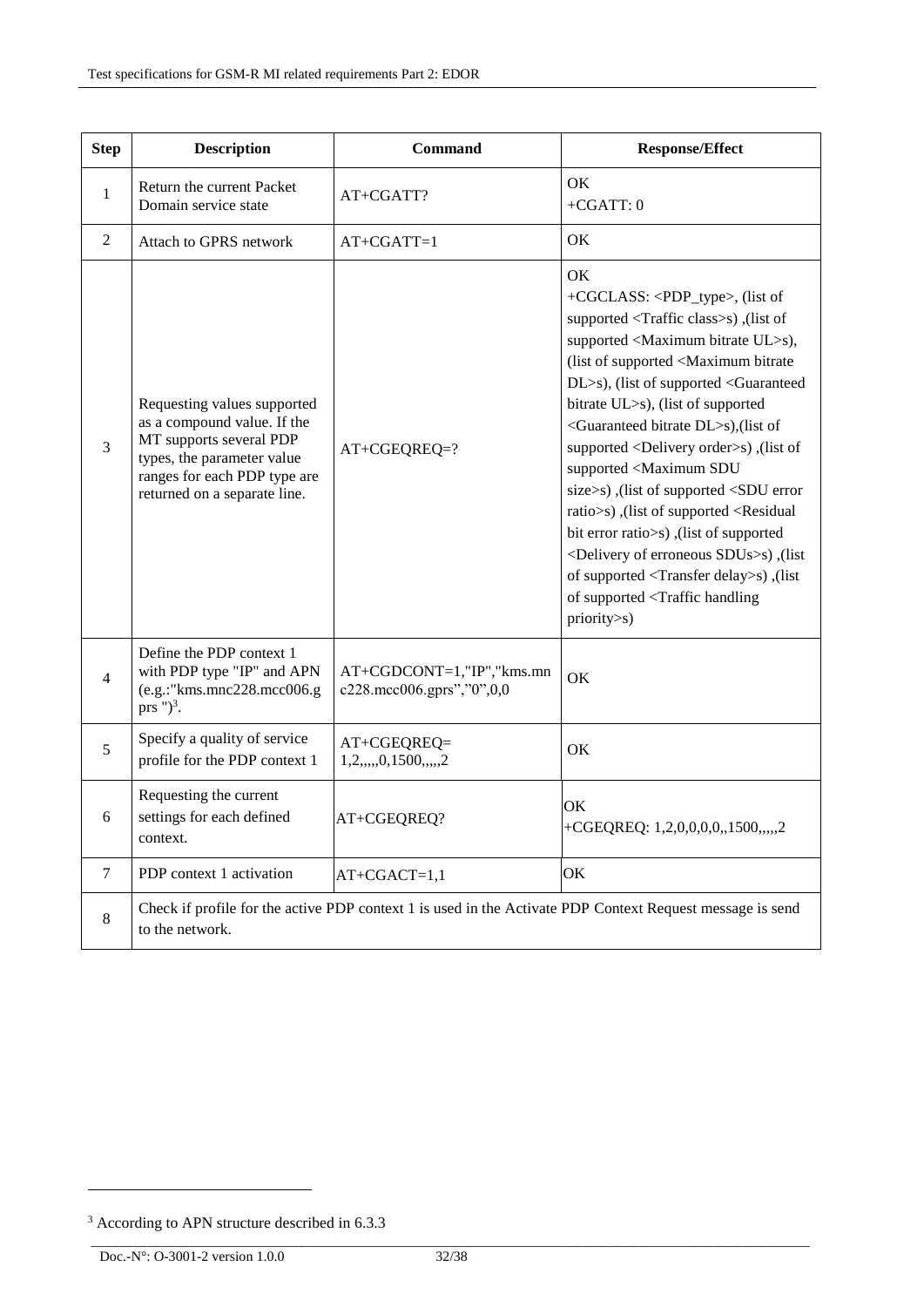| <b>Step</b>    | <b>Description</b>                                                                                                                                                                  | Command                                                | <b>Response/Effect</b>                                                                                                                                                                                                                                                                                                                                                                                                                                                                                                                                                                                                                                                                                                                                                                                                                   |  |
|----------------|-------------------------------------------------------------------------------------------------------------------------------------------------------------------------------------|--------------------------------------------------------|------------------------------------------------------------------------------------------------------------------------------------------------------------------------------------------------------------------------------------------------------------------------------------------------------------------------------------------------------------------------------------------------------------------------------------------------------------------------------------------------------------------------------------------------------------------------------------------------------------------------------------------------------------------------------------------------------------------------------------------------------------------------------------------------------------------------------------------|--|
| $\mathbf{1}$   | Return the current Packet<br>Domain service state                                                                                                                                   | AT+CGATT?                                              | OK<br>$+CGATT:0$                                                                                                                                                                                                                                                                                                                                                                                                                                                                                                                                                                                                                                                                                                                                                                                                                         |  |
| $\mathbf{2}$   | Attach to GPRS network                                                                                                                                                              | $AT+CGATT=1$                                           | OK                                                                                                                                                                                                                                                                                                                                                                                                                                                                                                                                                                                                                                                                                                                                                                                                                                       |  |
| 3              | Requesting values supported<br>as a compound value. If the<br>MT supports several PDP<br>types, the parameter value<br>ranges for each PDP type are<br>returned on a separate line. | AT+CGEQREQ=?                                           | OK<br>+CGCLASS: <pdp_type>, (list of<br/>supported <traffic class="">s), (list of<br/>supported <maximum bitrate="" ul="">s),<br/>(list of supported <maximum bitrate<br="">DL&gt;s), (list of supported <guaranteed<br>bitrate UL&gt;s), (list of supported<br/><guaranteed bitrate="" dl="">s), (list of<br/>supported <delivery order="">s), (list of<br/>supported <maximum sdu<br="">size&gt;s), (list of supported <sdu error<br="">ratio&gt;s), (list of supported <residual<br>bit error ratio&gt;s), (list of supported<br/><delivery erroneous="" of="" sdus="">s), (list<br/>of supported <transfer delay="">s), (list<br/>of supported <traffic handling<br="">priority&gt;s)</traffic></transfer></delivery></residual<br></sdu></maximum></delivery></guaranteed></guaranteed<br></maximum></maximum></traffic></pdp_type> |  |
| 4              | Define the PDP context 1<br>with PDP type "IP" and APN<br>(e.g.:"kms.mnc228.mcc006.g<br>prs $")^3$ .                                                                                | AT+CGDCONT=1,"IP","kms.mn<br>c228.mcc006.gprs","0",0,0 | OK                                                                                                                                                                                                                                                                                                                                                                                                                                                                                                                                                                                                                                                                                                                                                                                                                                       |  |
| 5              | Specify a quality of service<br>profile for the PDP context 1                                                                                                                       | AT+CGEQREQ=<br>1, 2, , 0, 1500, , 2                    | OK                                                                                                                                                                                                                                                                                                                                                                                                                                                                                                                                                                                                                                                                                                                                                                                                                                       |  |
| 6              | Requesting the current<br>settings for each defined<br>context.                                                                                                                     | AT+CGEQREQ?                                            | OK<br>+CGEQREQ: $1,2,0,0,0,0,1500,,2$                                                                                                                                                                                                                                                                                                                                                                                                                                                                                                                                                                                                                                                                                                                                                                                                    |  |
| $\overline{7}$ | PDP context 1 activation                                                                                                                                                            | $AT+CGACT=1,1$                                         | OK                                                                                                                                                                                                                                                                                                                                                                                                                                                                                                                                                                                                                                                                                                                                                                                                                                       |  |
| $8\,$          | Check if profile for the active PDP context 1 is used in the Activate PDP Context Request message is send<br>to the network.                                                        |                                                        |                                                                                                                                                                                                                                                                                                                                                                                                                                                                                                                                                                                                                                                                                                                                                                                                                                          |  |

-

<sup>&</sup>lt;sup>3</sup> According to APN structure described in [6.3.3](#page-32-0)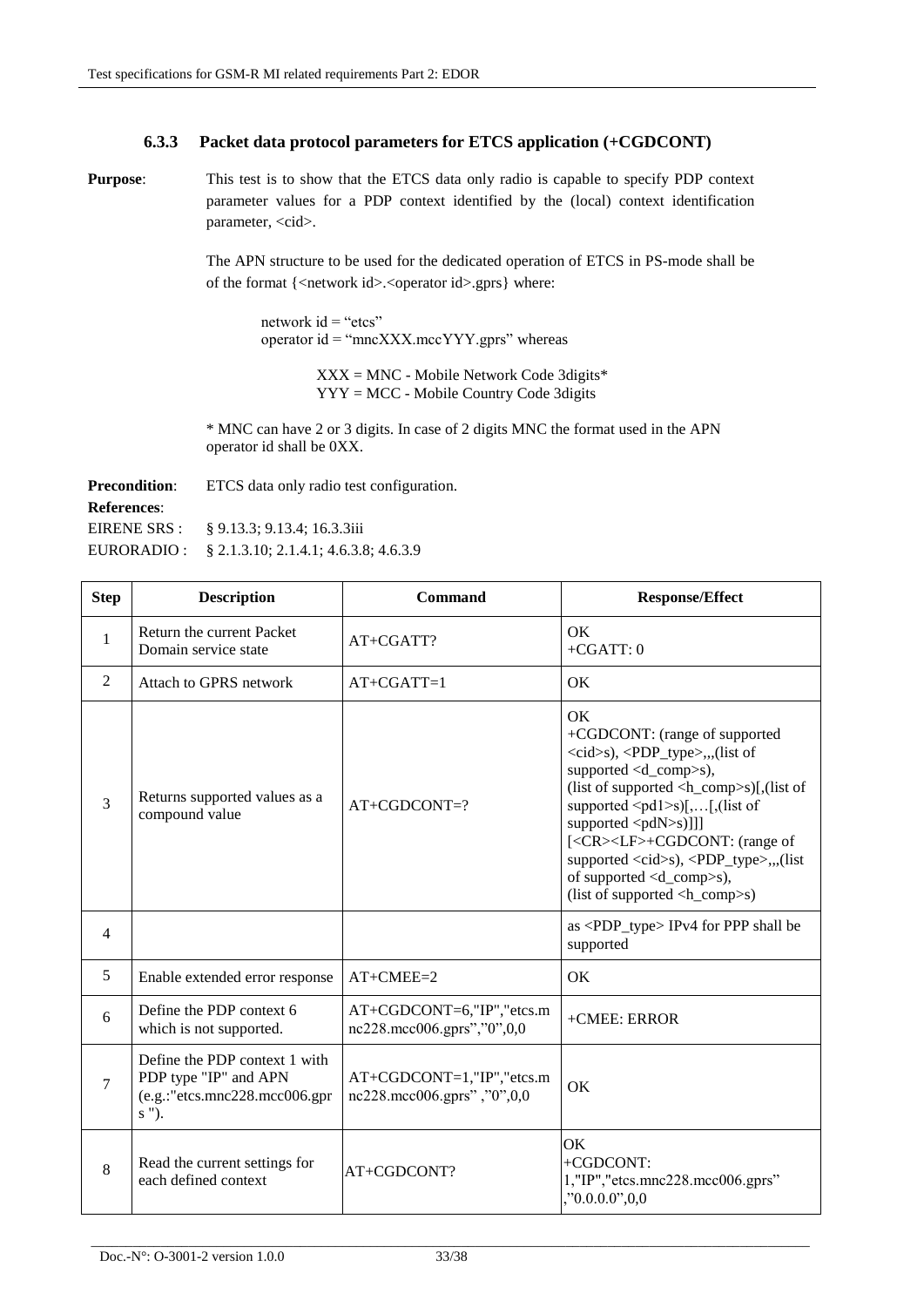### **6.3.3 Packet data protocol parameters for ETCS application (+CGDCONT)**

<span id="page-32-0"></span>**Purpose**: This test is to show that the ETCS data only radio is capable to specify PDP context parameter values for a PDP context identified by the (local) context identification parameter, <cid>.

> The APN structure to be used for the dedicated operation of ETCS in PS-mode shall be of the format {<network id>.<operator id>.gprs} where:

network  $id = "etcs"$ operator id = "mncXXX.mccYYY.gprs" whereas

> XXX = MNC - Mobile Network Code 3digits\* YYY = MCC - Mobile Country Code 3digits

\* MNC can have 2 or 3 digits. In case of 2 digits MNC the format used in the APN operator id shall be 0XX.

| <b>Precondition:</b> | ETCS data only radio test configuration. |
|----------------------|------------------------------------------|
| <b>References:</b>   |                                          |
| EIRENE SRS :         | § 9.13.3: 9.13.4: 16.3.3iii              |
| EURORADIO :          | § 2.1.3.10; 2.1.4.1; 4.6.3.8; 4.6.3.9    |

| <b>Step</b>    | <b>Description</b>                                                                               | Command                                                     | <b>Response/Effect</b>                                                                                                                                                                                                                                                                                                                                                                                                                                                                                                                                                                                                                                           |
|----------------|--------------------------------------------------------------------------------------------------|-------------------------------------------------------------|------------------------------------------------------------------------------------------------------------------------------------------------------------------------------------------------------------------------------------------------------------------------------------------------------------------------------------------------------------------------------------------------------------------------------------------------------------------------------------------------------------------------------------------------------------------------------------------------------------------------------------------------------------------|
| 1              | Return the current Packet<br>Domain service state                                                | $AT+CGATT$ ?                                                | <b>OK</b><br>$+CGATT:0$                                                                                                                                                                                                                                                                                                                                                                                                                                                                                                                                                                                                                                          |
| 2              | Attach to GPRS network                                                                           | $AT+CGATT=1$                                                | OK                                                                                                                                                                                                                                                                                                                                                                                                                                                                                                                                                                                                                                                               |
| 3              | Returns supported values as a<br>compound value                                                  | $AT+CGDCONT=?$                                              | <b>OK</b><br>+CGDCONT: (range of supported<br><cid>s), <pdp_type>,,,(list of<br/>supported <math>\langle d_{\text{comp}} \rangle</math>s),<br/>(list of supported <math>\langle h_{\text{1}} \rangle</math>comp<math>\langle h_{\text{2}} \rangle</math>[, (list of<br/>supported <math>\leq</math>pd1<math>\geq</math>s)[,[,(list of<br/>supported <pdn>s)]]]<br/>[<cr><lf>+CGDCONT: (range of<br/>supported <cid>s), <pdp_type>,,,(list<br/>of supported <math>\langle d_{\text{comp}} \rangle</math>s),<br/>(list of supported <math>\langle h_{\text{1}} \rangle</math>comp<math>\langle s \rangle</math>)</pdp_type></cid></lf></cr></pdn></pdp_type></cid> |
| $\overline{4}$ |                                                                                                  |                                                             | as <pdp_type> IPv4 for PPP shall be<br/>supported</pdp_type>                                                                                                                                                                                                                                                                                                                                                                                                                                                                                                                                                                                                     |
| 5              | Enable extended error response                                                                   | $AT+CMEE=2$                                                 | OK                                                                                                                                                                                                                                                                                                                                                                                                                                                                                                                                                                                                                                                               |
| 6              | Define the PDP context 6<br>which is not supported.                                              | AT+CGDCONT=6,"IP","etcs.m<br>nc228.mcc006.gprs","0",0,0     | +CMEE: ERROR                                                                                                                                                                                                                                                                                                                                                                                                                                                                                                                                                                                                                                                     |
| 7              | Define the PDP context 1 with<br>PDP type "IP" and APN<br>(e.g.:"etcs.mnc228.mcc006.gpr<br>s "). | $AT+CGDCONT=1, "IP", "etcs.m$<br>nc228.mcc006.gprs","0",0,0 | OK                                                                                                                                                                                                                                                                                                                                                                                                                                                                                                                                                                                                                                                               |
| 8              | Read the current settings for<br>each defined context                                            | AT+CGDCONT?                                                 | OK<br>+CGDCONT:<br>1,"IP","etcs.mnc228.mcc006.gprs"<br>, 0.000, 0.00                                                                                                                                                                                                                                                                                                                                                                                                                                                                                                                                                                                             |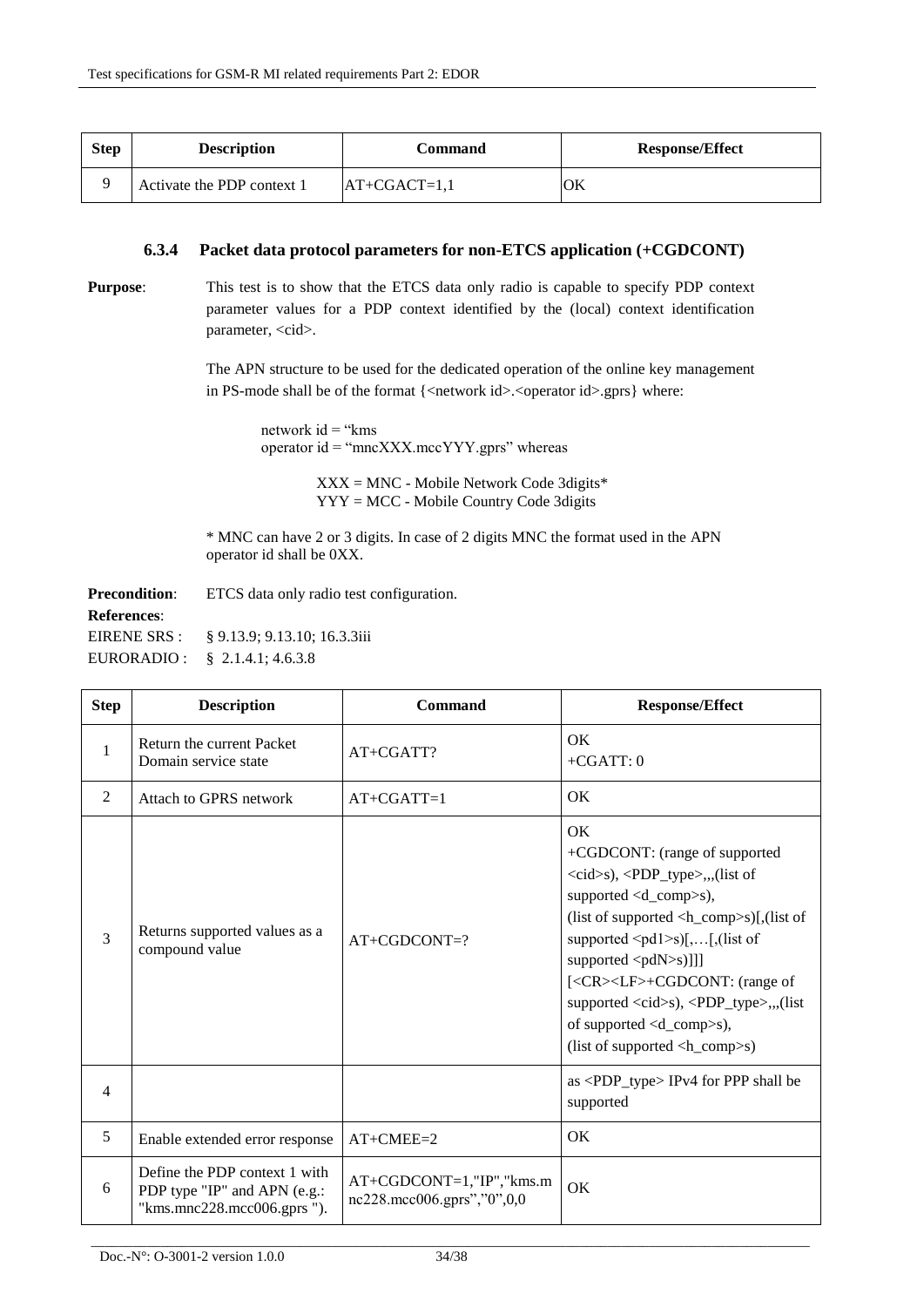| <b>Step</b> | <b>Description</b>         | Command        | <b>Response/Effect</b> |
|-------------|----------------------------|----------------|------------------------|
|             | Activate the PDP context 1 | $AT+CGACT=1,1$ | OK                     |

#### **6.3.4 Packet data protocol parameters for non-ETCS application (+CGDCONT)**

**Purpose:** This test is to show that the ETCS data only radio is capable to specify PDP context parameter values for a PDP context identified by the (local) context identification parameter, <cid>.

> The APN structure to be used for the dedicated operation of the online key management in PS-mode shall be of the format {<network id>.<operator id>.gprs} where:

network  $id = "kms$ operator id = "mncXXX.mccYYY.gprs" whereas

> XXX = MNC - Mobile Network Code 3digits\* YYY = MCC - Mobile Country Code 3digits

\* MNC can have 2 or 3 digits. In case of 2 digits MNC the format used in the APN operator id shall be 0XX.

**Precondition:** ETCS data only radio test configuration. **References**: EIRENE SRS : EURORADIO : § 9.13.9; 9.13.10; 16.3.3iii § 2.1.4.1; 4.6.3.8

| <b>Step</b> | <b>Description</b>                                                                          | Command                                                    | <b>Response/Effect</b>                                                                                                                                                                                                                                                                                                                                                                                                                                                                                                                                                                                               |
|-------------|---------------------------------------------------------------------------------------------|------------------------------------------------------------|----------------------------------------------------------------------------------------------------------------------------------------------------------------------------------------------------------------------------------------------------------------------------------------------------------------------------------------------------------------------------------------------------------------------------------------------------------------------------------------------------------------------------------------------------------------------------------------------------------------------|
| 1           | Return the current Packet<br>Domain service state                                           | $AT+CGATT$ ?                                               | $\alpha$<br>$+CGATT:0$                                                                                                                                                                                                                                                                                                                                                                                                                                                                                                                                                                                               |
| 2           | Attach to GPRS network                                                                      | $AT+CGATT=1$                                               | OK                                                                                                                                                                                                                                                                                                                                                                                                                                                                                                                                                                                                                   |
| 3           | Returns supported values as a<br>compound value                                             | $AT+CGDCONT=?$                                             | OK<br>+CGDCONT: (range of supported<br><cid>s), <pdp_type>,,,(list of<br/>supported <d_comp>s),<br/>(list of supported <math>\langle h_{\text{1}} \rangle</math>comp<math>\langle h_{\text{2}} \rangle</math>)[,(list of<br/>supported <math>\leq</math>pd1<math>\geq</math>s)[,[,(list of<br/>supported <math>\langle pdN&gt;s)</math>]]]<br/>[<cr><lf>+CGDCONT: (range of<br/>supported <cid>s), <pdp_type>,,,(list<br/>of supported <d_comp>s),<br/>(list of supported <math>\langle h_{\text{1}} \rangle</math>comp<math>\langle s \rangle</math>)</d_comp></pdp_type></cid></lf></cr></d_comp></pdp_type></cid> |
| 4           |                                                                                             |                                                            | $as <$ PDP_type $>$ IPv4 for PPP shall be<br>supported                                                                                                                                                                                                                                                                                                                                                                                                                                                                                                                                                               |
| 5           | Enable extended error response                                                              | $AT+CMEE=2$                                                | OK                                                                                                                                                                                                                                                                                                                                                                                                                                                                                                                                                                                                                   |
| 6           | Define the PDP context 1 with<br>PDP type "IP" and APN (e.g.:<br>"kms.mnc228.mcc006.gprs"). | $AT+CGDCONT=1," IP", "kms.m$<br>nc228.mcc006.gprs","0",0,0 | OK                                                                                                                                                                                                                                                                                                                                                                                                                                                                                                                                                                                                                   |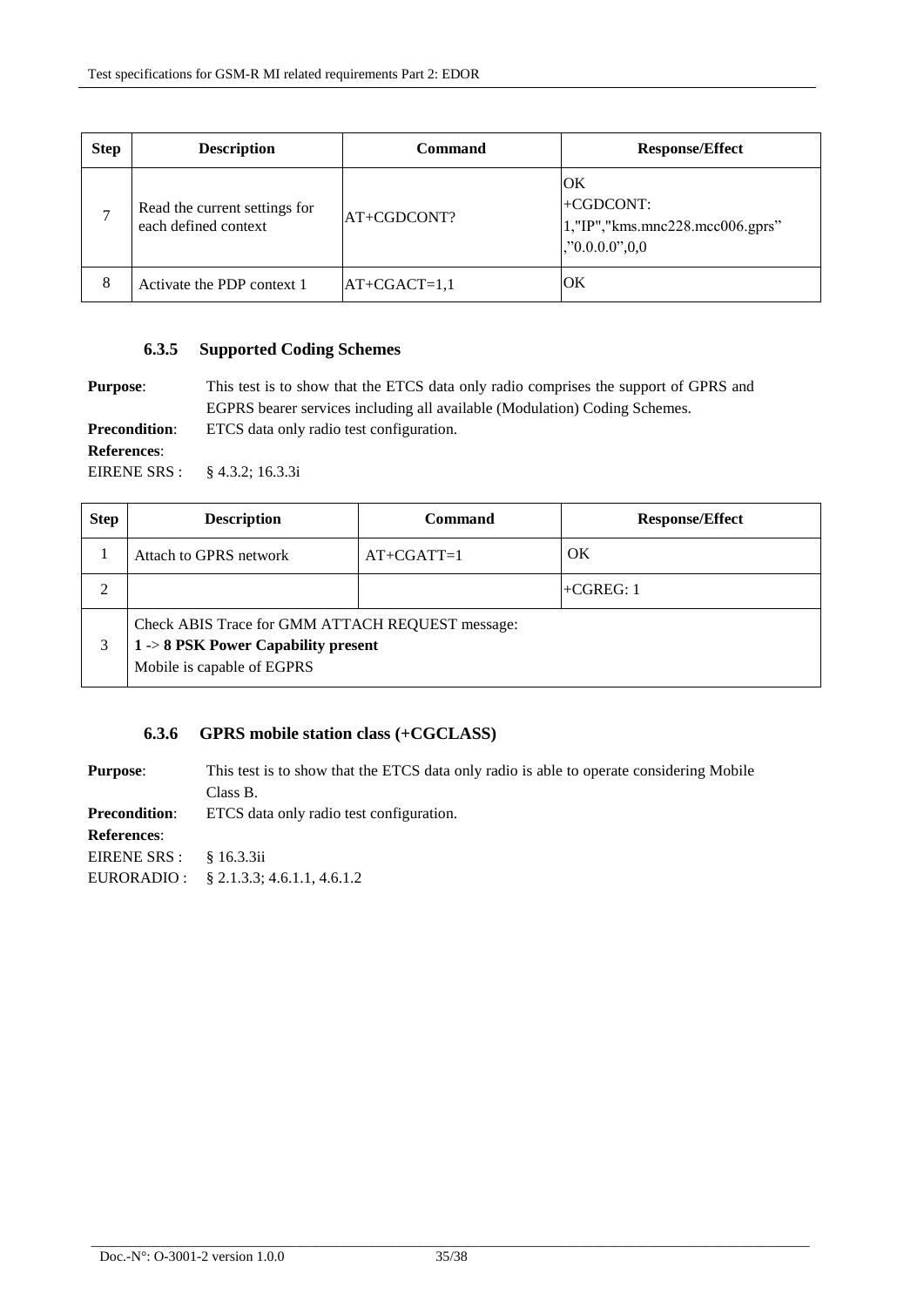| <b>Step</b> | <b>Description</b>                                    | Command        | <b>Response/Effect</b>                                                               |
|-------------|-------------------------------------------------------|----------------|--------------------------------------------------------------------------------------|
| ⇁           | Read the current settings for<br>each defined context | AT+CGDCONT?    | ЮK<br>$+CGDCONT:$<br>$1$ ,"IP"," $kms$ .mnc $228$ .mcc $006$ .gprs"<br>, 0.000, 0.00 |
| 8           | Activate the PDP context 1                            | $AT+CGACT=1,1$ | ЮK                                                                                   |

#### **6.3.5 Supported Coding Schemes**

**Purpose:** This test is to show that the ETCS data only radio comprises the support of GPRS and

EGPRS bearer services including all available (Modulation) Coding Schemes.

**Precondition:** ETCS data only radio test configuration.

#### **References**:

EIRENE SRS : § 4.3.2; 16.3.3i

| <b>Step</b> | <b>Description</b>                                                                                                     | Command      | <b>Response/Effect</b> |
|-------------|------------------------------------------------------------------------------------------------------------------------|--------------|------------------------|
|             | Attach to GPRS network                                                                                                 | $AT+CGATT=1$ | OK                     |
|             |                                                                                                                        |              | $+CGREG: 1$            |
| 3           | Check ABIS Trace for GMM ATTACH REQUEST message:<br>$1 - 8$ PSK Power Capability present<br>Mobile is capable of EGPRS |              |                        |

### **6.3.6 GPRS mobile station class (+CGCLASS)**

**Purpose:** This test is to show that the ETCS data only radio is able to operate considering Mobile Class B. **Precondition:** ETCS data only radio test configuration. **References**: EIRENE SRS : EURORADIO : § 16.3.3ii § 2.1.3.3; 4.6.1.1, 4.6.1.2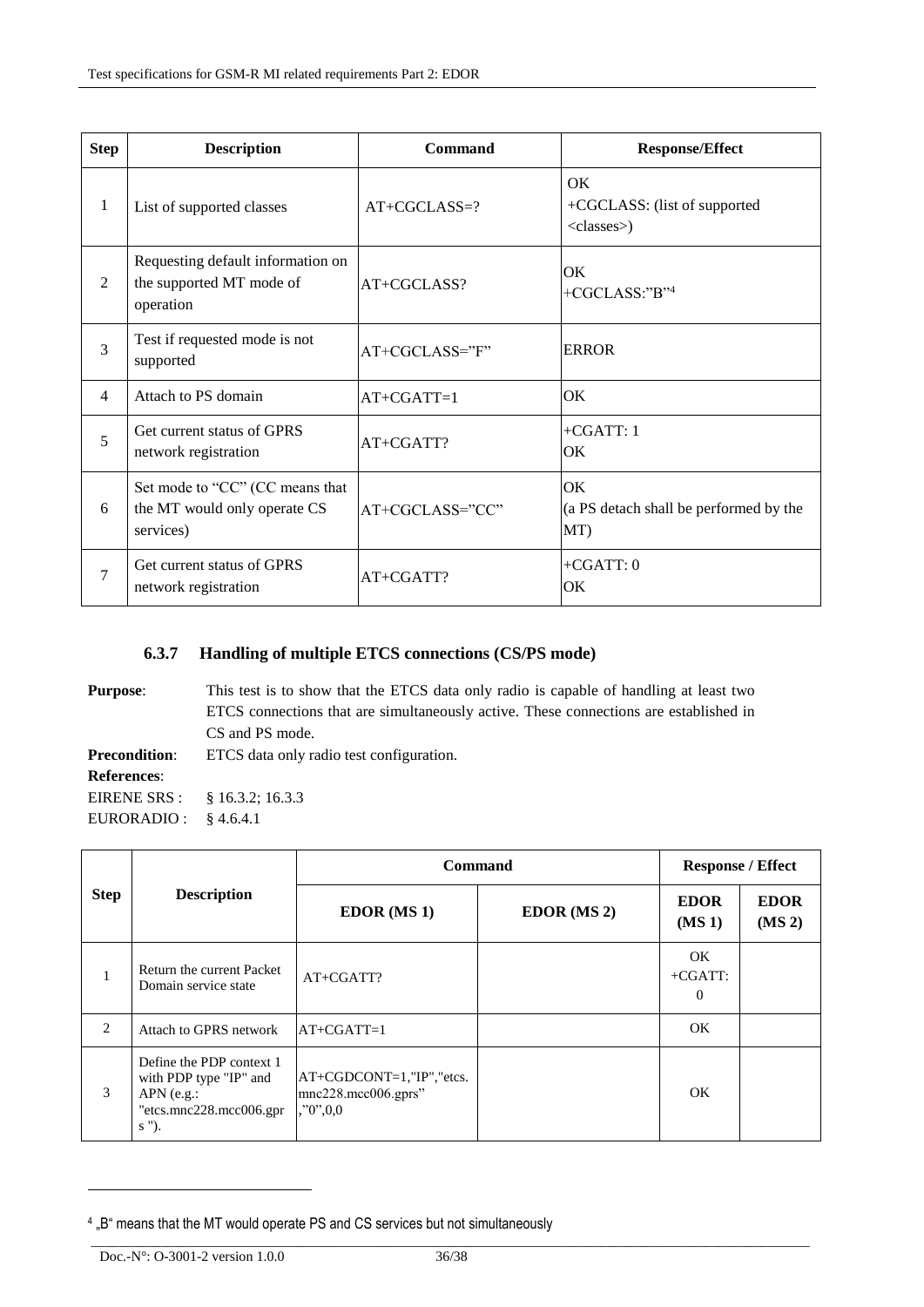| <b>Step</b>    | <b>Description</b>                                                           | <b>Command</b>  | <b>Response/Effect</b>                                     |
|----------------|------------------------------------------------------------------------------|-----------------|------------------------------------------------------------|
| 1              | List of supported classes                                                    | $AT+CGCLASS=?$  | OK<br>+CGCLASS: (list of supported<br><classes>)</classes> |
| $\overline{2}$ | Requesting default information on<br>the supported MT mode of<br>operation   | $AT+CGCLASS?$   | OK<br>+CGCLASS:"B" <sup>4</sup>                            |
| 3              | Test if requested mode is not<br>supported                                   | AT+CGCLASS="F"  | <b>ERROR</b>                                               |
| $\overline{4}$ | Attach to PS domain                                                          | $AT+CGATT=1$    | OK                                                         |
| 5              | Get current status of GPRS<br>network registration                           | AT+CGATT?       | $+CGATT:1$<br>OK                                           |
| 6              | Set mode to "CC" (CC means that<br>the MT would only operate CS<br>services) | AT+CGCLASS="CC" | <b>OK</b><br>(a PS detach shall be performed by the<br>MT) |
| $\overline{7}$ | Get current status of GPRS<br>network registration                           | AT+CGATT?       | $+CGATT:0$<br>OK                                           |

## **6.3.7 Handling of multiple ETCS connections (CS/PS mode)**

| This test is to show that the ETCS data only radio is capable of handling at least two<br><b>Purpose:</b> |                                                                                       |  |  |  |
|-----------------------------------------------------------------------------------------------------------|---------------------------------------------------------------------------------------|--|--|--|
|                                                                                                           | ETCS connections that are simultaneously active. These connections are established in |  |  |  |
|                                                                                                           | CS and PS mode.                                                                       |  |  |  |
| ETCS data only radio test configuration.<br><b>Precondition:</b>                                          |                                                                                       |  |  |  |
| <b>References:</b>                                                                                        |                                                                                       |  |  |  |
| EIRENE SRS : § 16.3.2; 16.3.3                                                                             |                                                                                       |  |  |  |
| EURORADIO :                                                                                               | § 4.6.4.1                                                                             |  |  |  |

| <b>Step</b>  | <b>Description</b>                                                                                                 | Command                                                             | <b>Response / Effect</b> |                                     |                                   |
|--------------|--------------------------------------------------------------------------------------------------------------------|---------------------------------------------------------------------|--------------------------|-------------------------------------|-----------------------------------|
|              |                                                                                                                    | EDOR(MS1)                                                           | $EDOR$ (MS 2)            | <b>EDOR</b><br>$(MS_1)$             | <b>EDOR</b><br>(MS <sub>2</sub> ) |
| $\mathbf{1}$ | Return the current Packet<br>Domain service state                                                                  | $AT+CGATT$ ?                                                        |                          | OK.<br>$+CGATT$ :<br>$\overline{0}$ |                                   |
| 2            | Attach to GPRS network                                                                                             | $AT+CGATT=1$                                                        |                          | OK                                  |                                   |
| 3            | Define the PDP context 1<br>with PDP type "IP" and<br>$APN$ (e.g.:<br>$\text{''etcs.mnc228.mcc006.gpr}$<br>$s$ "). | $AT+CGDCONT=1, "IP", "etcs.$<br>mnc228.mcc006.gprs"<br>, 0, 0, 0, 0 |                          | OK.                                 |                                   |

-

<sup>&</sup>lt;sup>4</sup> "B" means that the MT would operate PS and CS services but not simultaneously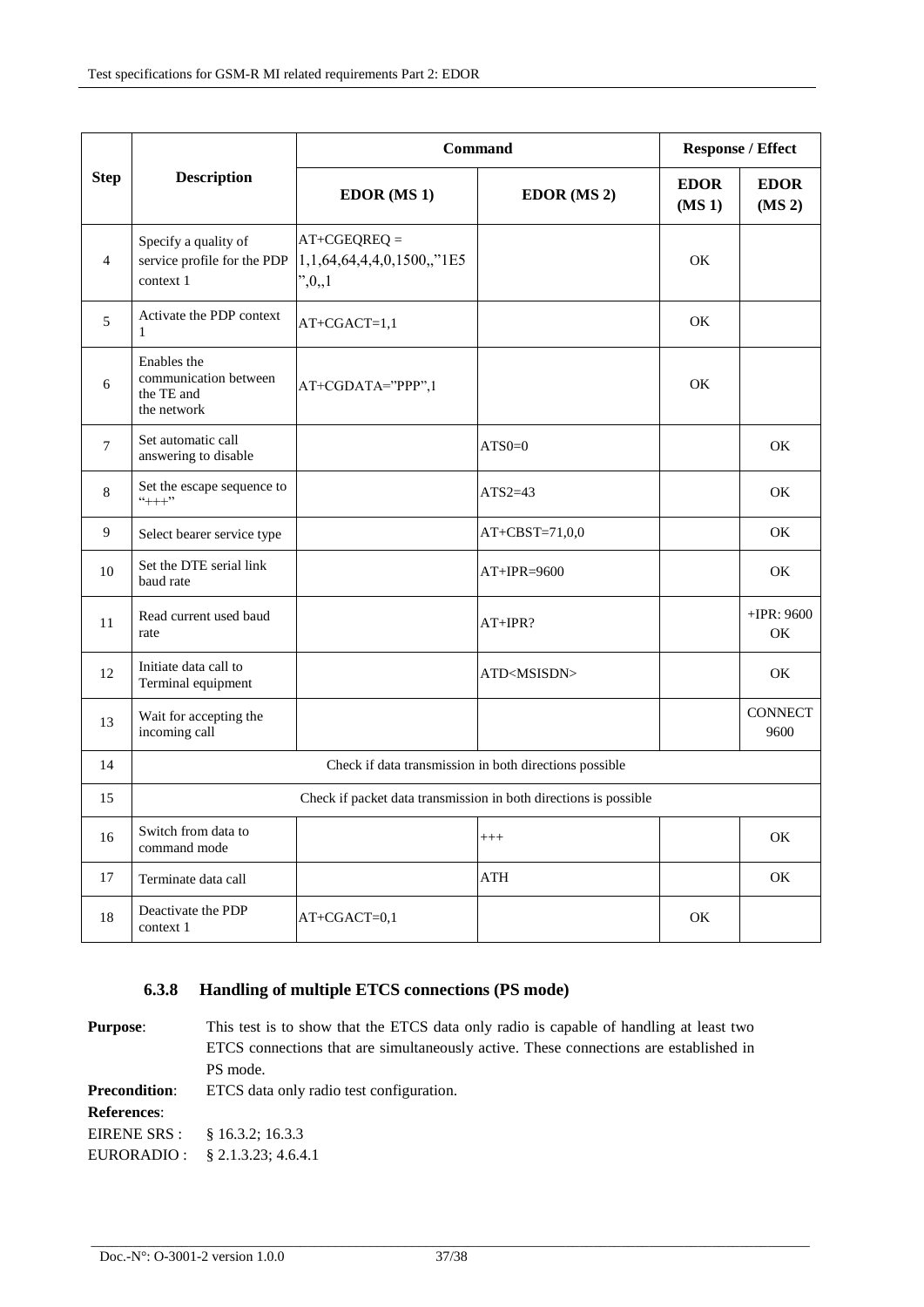| <b>Step</b>    | <b>Description</b>                                                | Command                                                 |                                                        | <b>Response / Effect</b>          |                                   |
|----------------|-------------------------------------------------------------------|---------------------------------------------------------|--------------------------------------------------------|-----------------------------------|-----------------------------------|
|                |                                                                   | <b>EDOR</b> (MS 1)                                      | EDOR (MS 2)                                            | <b>EDOR</b><br>(MS <sub>1</sub> ) | <b>EDOR</b><br>(MS <sub>2</sub> ) |
| $\overline{4}$ | Specify a quality of<br>service profile for the PDP<br>context 1  | $AT+CGEQREQ =$<br>1,1,64,64,4,4,0,1500,,"1E5<br>", 0, 1 |                                                        | OK                                |                                   |
| 5              | Activate the PDP context                                          | $AT+CGACT=1,1$                                          |                                                        | OK                                |                                   |
| 6              | Enables the<br>communication between<br>the TE and<br>the network | AT+CGDATA="PPP",1                                       |                                                        | OK                                |                                   |
| 7              | Set automatic call<br>answering to disable                        |                                                         | $ATS0=0$                                               |                                   | OK                                |
| 8              | Set the escape sequence to<br>$``++"$                             |                                                         | $ATS2=43$                                              |                                   | OK                                |
| 9              | Select bearer service type                                        |                                                         | AT+CBST=71,0,0                                         |                                   | OK                                |
| 10             | Set the DTE serial link<br>baud rate                              |                                                         | $AT+IPR=9600$                                          |                                   | OK                                |
| 11             | Read current used baud<br>rate                                    |                                                         | $AT+IPR?$                                              |                                   | $+$ IPR: 9600<br>OK               |
| 12             | Initiate data call to<br>Terminal equipment                       |                                                         | ATD <msisdn></msisdn>                                  |                                   | OK                                |
| 13             | Wait for accepting the<br>incoming call                           |                                                         |                                                        |                                   | <b>CONNECT</b><br>9600            |
| 14             |                                                                   |                                                         | Check if data transmission in both directions possible |                                   |                                   |
| 15             | Check if packet data transmission in both directions is possible  |                                                         |                                                        |                                   |                                   |
| 16             | Switch from data to<br>command mode                               |                                                         | $^{+++}$                                               |                                   | OK                                |
| 17             | Terminate data call                                               |                                                         | ATH                                                    |                                   | OK                                |
| 18             | Deactivate the PDP<br>context 1                                   | $AT+CGACT=0,1$                                          |                                                        | OK                                |                                   |

## **6.3.8 Handling of multiple ETCS connections (PS mode)**

**Purpose:** This test is to show that the ETCS data only radio is capable of handling at least two ETCS connections that are simultaneously active. These connections are established in PS mode. **Precondition:** ETCS data only radio test configuration. **References**: EIRENE SRS : EURORADIO : § 16.3.2; 16.3.3 § 2.1.3.23; 4.6.4.1